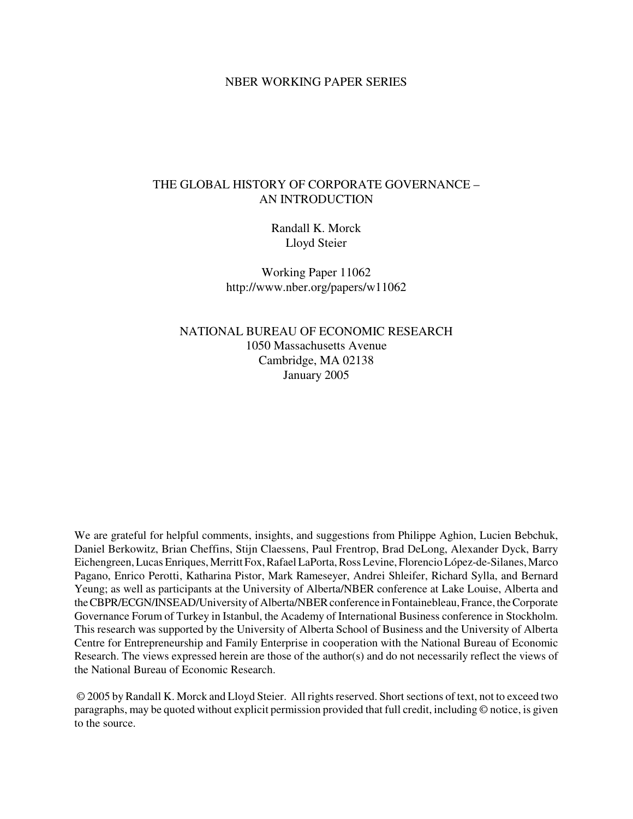### NBER WORKING PAPER SERIES

## THE GLOBAL HISTORY OF CORPORATE GOVERNANCE – AN INTRODUCTION

Randall K. Morck Lloyd Steier

Working Paper 11062 http://www.nber.org/papers/w11062

NATIONAL BUREAU OF ECONOMIC RESEARCH 1050 Massachusetts Avenue Cambridge, MA 02138 January 2005

We are grateful for helpful comments, insights, and suggestions from Philippe Aghion, Lucien Bebchuk, Daniel Berkowitz, Brian Cheffins, Stijn Claessens, Paul Frentrop, Brad DeLong, Alexander Dyck, Barry Eichengreen,Lucas Enriques, Merritt Fox,RafaelLaPorta,RossLevine, FlorencioLópez-de-Silanes,Marco Pagano, Enrico Perotti, Katharina Pistor, Mark Rameseyer, Andrei Shleifer, Richard Sylla, and Bernard Yeung; as well as participants at the University of Alberta/NBER conference at Lake Louise, Alberta and the CBPR/ECGN/INSEAD/University of Alberta/NBER conference in Fontainebleau, France, the Corporate Governance Forum of Turkey in Istanbul, the Academy of International Business conference in Stockholm. This research was supported by the University of Alberta School of Business and the University of Alberta Centre for Entrepreneurship and Family Enterprise in cooperation with the National Bureau of Economic Research. The views expressed herein are those of the author(s) and do not necessarily reflect the views of the National Bureau of Economic Research.

© 2005 by Randall K. Morck and Lloyd Steier. All rights reserved. Short sections of text, not to exceed two paragraphs, may be quoted without explicit permission provided that full credit, including © notice, is given to the source.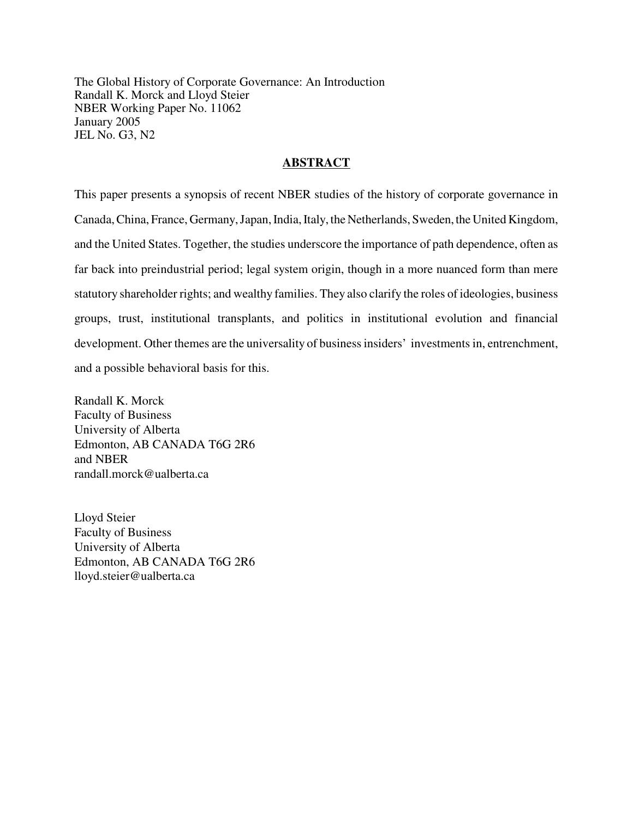The Global History of Corporate Governance: An Introduction Randall K. Morck and Lloyd Steier NBER Working Paper No. 11062 January 2005 JEL No. G3, N2

## **ABSTRACT**

This paper presents a synopsis of recent NBER studies of the history of corporate governance in Canada, China, France, Germany, Japan, India, Italy, the Netherlands, Sweden, the United Kingdom, and the United States. Together, the studies underscore the importance of path dependence, often as far back into preindustrial period; legal system origin, though in a more nuanced form than mere statutory shareholder rights; and wealthy families. They also clarify the roles of ideologies, business groups, trust, institutional transplants, and politics in institutional evolution and financial development. Other themes are the universality of business insiders' investments in, entrenchment, and a possible behavioral basis for this.

Randall K. Morck Faculty of Business University of Alberta Edmonton, AB CANADA T6G 2R6 and NBER randall.morck@ualberta.ca

Lloyd Steier Faculty of Business University of Alberta Edmonton, AB CANADA T6G 2R6 lloyd.steier@ualberta.ca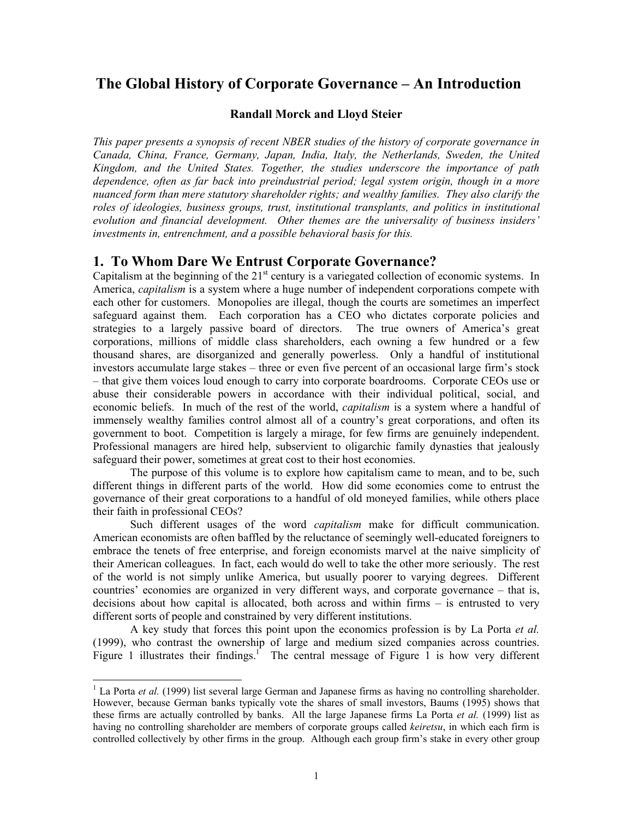# **The Global History of Corporate Governance – An Introduction**

## **Randall Morck and Lloyd Steier**

*This paper presents a synopsis of recent NBER studies of the history of corporate governance in Canada, China, France, Germany, Japan, India, Italy, the Netherlands, Sweden, the United Kingdom, and the United States. Together, the studies underscore the importance of path dependence, often as far back into preindustrial period; legal system origin, though in a more nuanced form than mere statutory shareholder rights; and wealthy families. They also clarify the roles of ideologies, business groups, trust, institutional transplants, and politics in institutional evolution and financial development. Other themes are the universality of business insiders' investments in, entrenchment, and a possible behavioral basis for this.* 

# **1. To Whom Dare We Entrust Corporate Governance?**

Capitalism at the beginning of the  $21<sup>st</sup>$  century is a variegated collection of economic systems. In America, *capitalism* is a system where a huge number of independent corporations compete with each other for customers. Monopolies are illegal, though the courts are sometimes an imperfect safeguard against them. Each corporation has a CEO who dictates corporate policies and strategies to a largely passive board of directors. The true owners of America's great corporations, millions of middle class shareholders, each owning a few hundred or a few thousand shares, are disorganized and generally powerless. Only a handful of institutional investors accumulate large stakes – three or even five percent of an occasional large firm's stock – that give them voices loud enough to carry into corporate boardrooms. Corporate CEOs use or abuse their considerable powers in accordance with their individual political, social, and economic beliefs. In much of the rest of the world, *capitalism* is a system where a handful of immensely wealthy families control almost all of a country's great corporations, and often its government to boot. Competition is largely a mirage, for few firms are genuinely independent. Professional managers are hired help, subservient to oligarchic family dynasties that jealously safeguard their power, sometimes at great cost to their host economies.

 The purpose of this volume is to explore how capitalism came to mean, and to be, such different things in different parts of the world. How did some economies come to entrust the governance of their great corporations to a handful of old moneyed families, while others place their faith in professional CEOs?

 Such different usages of the word *capitalism* make for difficult communication. American economists are often baffled by the reluctance of seemingly well-educated foreigners to embrace the tenets of free enterprise, and foreign economists marvel at the naive simplicity of their American colleagues. In fact, each would do well to take the other more seriously. The rest of the world is not simply unlike America, but usually poorer to varying degrees. Different countries' economies are organized in very different ways, and corporate governance – that is, decisions about how capital is allocated, both across and within firms – is entrusted to very different sorts of people and constrained by very different institutions.

 A key study that forces this point upon the economics profession is by La Porta *et al.* (1999), who contrast the ownership of large and medium sized companies across countries. Figure 1 illustrates their findings.<sup>1</sup> The central message of Figure 1 is how very different

<sup>&</sup>lt;sup>1</sup> La Porta *et al.* (1999) list several large German and Japanese firms as having no controlling shareholder. However, because German banks typically vote the shares of small investors, Baums (1995) shows that these firms are actually controlled by banks. All the large Japanese firms La Porta *et al.* (1999) list as having no controlling shareholder are members of corporate groups called *keiretsu*, in which each firm is controlled collectively by other firms in the group. Although each group firm's stake in every other group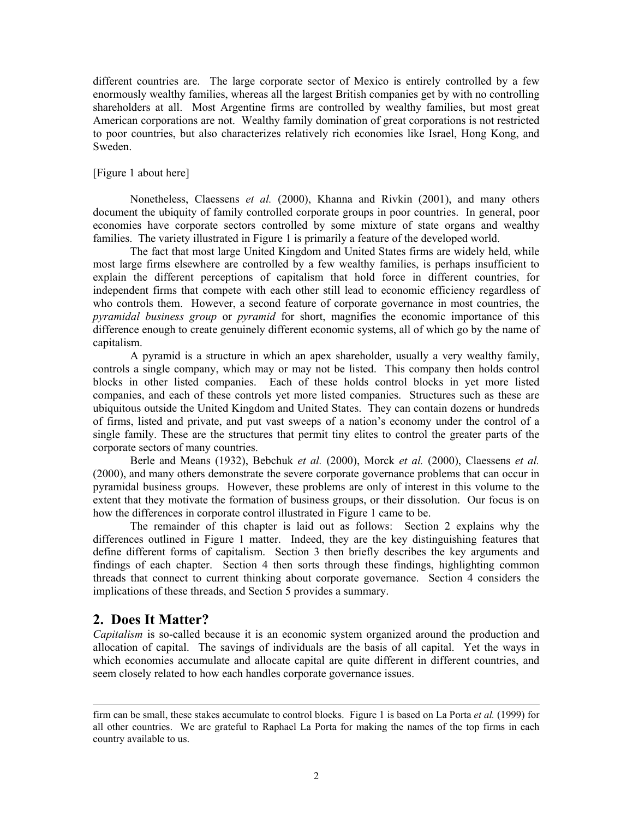different countries are. The large corporate sector of Mexico is entirely controlled by a few enormously wealthy families, whereas all the largest British companies get by with no controlling shareholders at all. Most Argentine firms are controlled by wealthy families, but most great American corporations are not. Wealthy family domination of great corporations is not restricted to poor countries, but also characterizes relatively rich economies like Israel, Hong Kong, and Sweden.

### [Figure 1 about here]

 Nonetheless, Claessens *et al.* (2000), Khanna and Rivkin (2001), and many others document the ubiquity of family controlled corporate groups in poor countries. In general, poor economies have corporate sectors controlled by some mixture of state organs and wealthy families. The variety illustrated in Figure 1 is primarily a feature of the developed world.

 The fact that most large United Kingdom and United States firms are widely held, while most large firms elsewhere are controlled by a few wealthy families, is perhaps insufficient to explain the different perceptions of capitalism that hold force in different countries, for independent firms that compete with each other still lead to economic efficiency regardless of who controls them. However, a second feature of corporate governance in most countries, the *pyramidal business group* or *pyramid* for short, magnifies the economic importance of this difference enough to create genuinely different economic systems, all of which go by the name of capitalism.

 A pyramid is a structure in which an apex shareholder, usually a very wealthy family, controls a single company, which may or may not be listed. This company then holds control blocks in other listed companies. Each of these holds control blocks in yet more listed companies, and each of these controls yet more listed companies. Structures such as these are ubiquitous outside the United Kingdom and United States. They can contain dozens or hundreds of firms, listed and private, and put vast sweeps of a nation's economy under the control of a single family. These are the structures that permit tiny elites to control the greater parts of the corporate sectors of many countries.

 Berle and Means (1932), Bebchuk *et al.* (2000), Morck *et al.* (2000), Claessens *et al.* (2000), and many others demonstrate the severe corporate governance problems that can occur in pyramidal business groups. However, these problems are only of interest in this volume to the extent that they motivate the formation of business groups, or their dissolution. Our focus is on how the differences in corporate control illustrated in Figure 1 came to be.

 The remainder of this chapter is laid out as follows: Section 2 explains why the differences outlined in Figure 1 matter. Indeed, they are the key distinguishing features that define different forms of capitalism. Section 3 then briefly describes the key arguments and findings of each chapter. Section 4 then sorts through these findings, highlighting common threads that connect to current thinking about corporate governance. Section 4 considers the implications of these threads, and Section 5 provides a summary.

# **2. Does It Matter?**

l

*Capitalism* is so-called because it is an economic system organized around the production and allocation of capital. The savings of individuals are the basis of all capital. Yet the ways in which economies accumulate and allocate capital are quite different in different countries, and seem closely related to how each handles corporate governance issues.

firm can be small, these stakes accumulate to control blocks. Figure 1 is based on La Porta *et al.* (1999) for all other countries. We are grateful to Raphael La Porta for making the names of the top firms in each country available to us.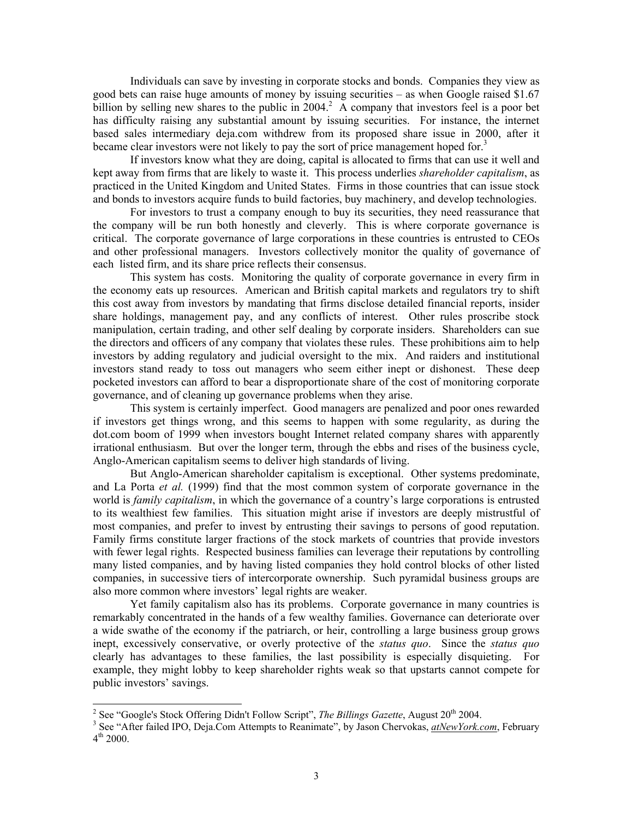Individuals can save by investing in corporate stocks and bonds. Companies they view as good bets can raise huge amounts of money by issuing securities – as when Google raised \$1.67 billion by selling new shares to the public in  $2004$ .<sup>2</sup> A company that investors feel is a poor bet has difficulty raising any substantial amount by issuing securities. For instance, the internet based sales intermediary deja.com withdrew from its proposed share issue in 2000, after it became clear investors were not likely to pay the sort of price management hoped for.<sup>3</sup>

 If investors know what they are doing, capital is allocated to firms that can use it well and kept away from firms that are likely to waste it. This process underlies *shareholder capitalism*, as practiced in the United Kingdom and United States. Firms in those countries that can issue stock and bonds to investors acquire funds to build factories, buy machinery, and develop technologies.

 For investors to trust a company enough to buy its securities, they need reassurance that the company will be run both honestly and cleverly. This is where corporate governance is critical. The corporate governance of large corporations in these countries is entrusted to CEOs and other professional managers. Investors collectively monitor the quality of governance of each listed firm, and its share price reflects their consensus.

 This system has costs. Monitoring the quality of corporate governance in every firm in the economy eats up resources. American and British capital markets and regulators try to shift this cost away from investors by mandating that firms disclose detailed financial reports, insider share holdings, management pay, and any conflicts of interest. Other rules proscribe stock manipulation, certain trading, and other self dealing by corporate insiders. Shareholders can sue the directors and officers of any company that violates these rules. These prohibitions aim to help investors by adding regulatory and judicial oversight to the mix. And raiders and institutional investors stand ready to toss out managers who seem either inept or dishonest. These deep pocketed investors can afford to bear a disproportionate share of the cost of monitoring corporate governance, and of cleaning up governance problems when they arise.

 This system is certainly imperfect. Good managers are penalized and poor ones rewarded if investors get things wrong, and this seems to happen with some regularity, as during the dot.com boom of 1999 when investors bought Internet related company shares with apparently irrational enthusiasm. But over the longer term, through the ebbs and rises of the business cycle, Anglo-American capitalism seems to deliver high standards of living.

 But Anglo-American shareholder capitalism is exceptional. Other systems predominate, and La Porta *et al.* (1999) find that the most common system of corporate governance in the world is *family capitalism*, in which the governance of a country's large corporations is entrusted to its wealthiest few families. This situation might arise if investors are deeply mistrustful of most companies, and prefer to invest by entrusting their savings to persons of good reputation. Family firms constitute larger fractions of the stock markets of countries that provide investors with fewer legal rights. Respected business families can leverage their reputations by controlling many listed companies, and by having listed companies they hold control blocks of other listed companies, in successive tiers of intercorporate ownership. Such pyramidal business groups are also more common where investors' legal rights are weaker.

 Yet family capitalism also has its problems. Corporate governance in many countries is remarkably concentrated in the hands of a few wealthy families. Governance can deteriorate over a wide swathe of the economy if the patriarch, or heir, controlling a large business group grows inept, excessively conservative, or overly protective of the *status quo*. Since the *status quo* clearly has advantages to these families, the last possibility is especially disquieting. For example, they might lobby to keep shareholder rights weak so that upstarts cannot compete for public investors' savings.

<sup>&</sup>lt;sup>2</sup> See "Google's Stock Offering Didn't Follow Script", *The Billings Gazette*, August 20<sup>th</sup> 2004.

<sup>&</sup>lt;sup>3</sup> See "After failed IPO, Deja.Com Attempts to Reanimate", by Jason Chervokas, *atNewYork.com*, February  $4^{th}$  2000.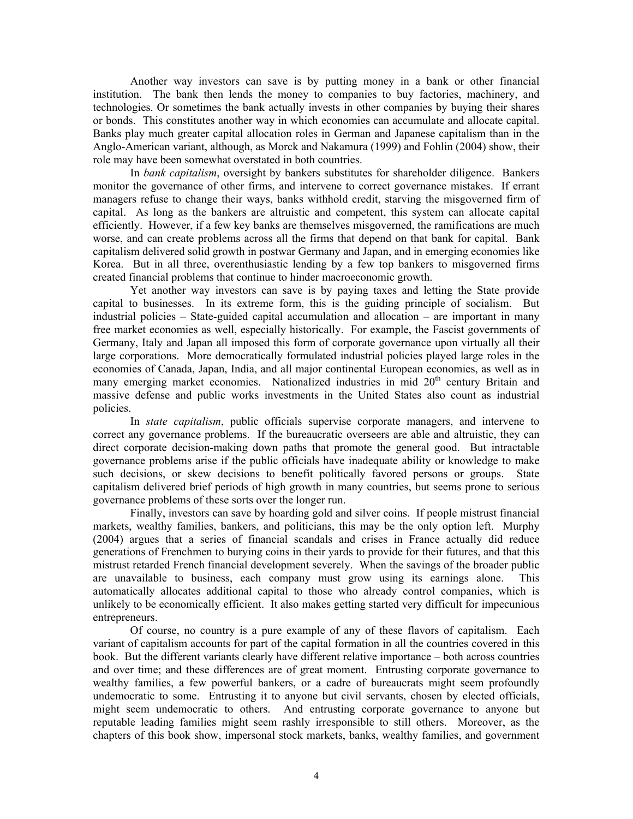Another way investors can save is by putting money in a bank or other financial institution. The bank then lends the money to companies to buy factories, machinery, and technologies. Or sometimes the bank actually invests in other companies by buying their shares or bonds. This constitutes another way in which economies can accumulate and allocate capital. Banks play much greater capital allocation roles in German and Japanese capitalism than in the Anglo-American variant, although, as Morck and Nakamura (1999) and Fohlin (2004) show, their role may have been somewhat overstated in both countries.

 In *bank capitalism*, oversight by bankers substitutes for shareholder diligence. Bankers monitor the governance of other firms, and intervene to correct governance mistakes. If errant managers refuse to change their ways, banks withhold credit, starving the misgoverned firm of capital. As long as the bankers are altruistic and competent, this system can allocate capital efficiently. However, if a few key banks are themselves misgoverned, the ramifications are much worse, and can create problems across all the firms that depend on that bank for capital. Bank capitalism delivered solid growth in postwar Germany and Japan, and in emerging economies like Korea. But in all three, overenthusiastic lending by a few top bankers to misgoverned firms created financial problems that continue to hinder macroeconomic growth.

 Yet another way investors can save is by paying taxes and letting the State provide capital to businesses. In its extreme form, this is the guiding principle of socialism. But industrial policies – State-guided capital accumulation and allocation – are important in many free market economies as well, especially historically. For example, the Fascist governments of Germany, Italy and Japan all imposed this form of corporate governance upon virtually all their large corporations. More democratically formulated industrial policies played large roles in the economies of Canada, Japan, India, and all major continental European economies, as well as in many emerging market economies. Nationalized industries in mid 20<sup>th</sup> century Britain and massive defense and public works investments in the United States also count as industrial policies.

 In *state capitalism*, public officials supervise corporate managers, and intervene to correct any governance problems. If the bureaucratic overseers are able and altruistic, they can direct corporate decision-making down paths that promote the general good. But intractable governance problems arise if the public officials have inadequate ability or knowledge to make such decisions, or skew decisions to benefit politically favored persons or groups. State capitalism delivered brief periods of high growth in many countries, but seems prone to serious governance problems of these sorts over the longer run.

 Finally, investors can save by hoarding gold and silver coins. If people mistrust financial markets, wealthy families, bankers, and politicians, this may be the only option left. Murphy (2004) argues that a series of financial scandals and crises in France actually did reduce generations of Frenchmen to burying coins in their yards to provide for their futures, and that this mistrust retarded French financial development severely. When the savings of the broader public are unavailable to business, each company must grow using its earnings alone. This automatically allocates additional capital to those who already control companies, which is unlikely to be economically efficient. It also makes getting started very difficult for impecunious entrepreneurs.

 Of course, no country is a pure example of any of these flavors of capitalism. Each variant of capitalism accounts for part of the capital formation in all the countries covered in this book. But the different variants clearly have different relative importance – both across countries and over time; and these differences are of great moment. Entrusting corporate governance to wealthy families, a few powerful bankers, or a cadre of bureaucrats might seem profoundly undemocratic to some. Entrusting it to anyone but civil servants, chosen by elected officials, might seem undemocratic to others. And entrusting corporate governance to anyone but reputable leading families might seem rashly irresponsible to still others. Moreover, as the chapters of this book show, impersonal stock markets, banks, wealthy families, and government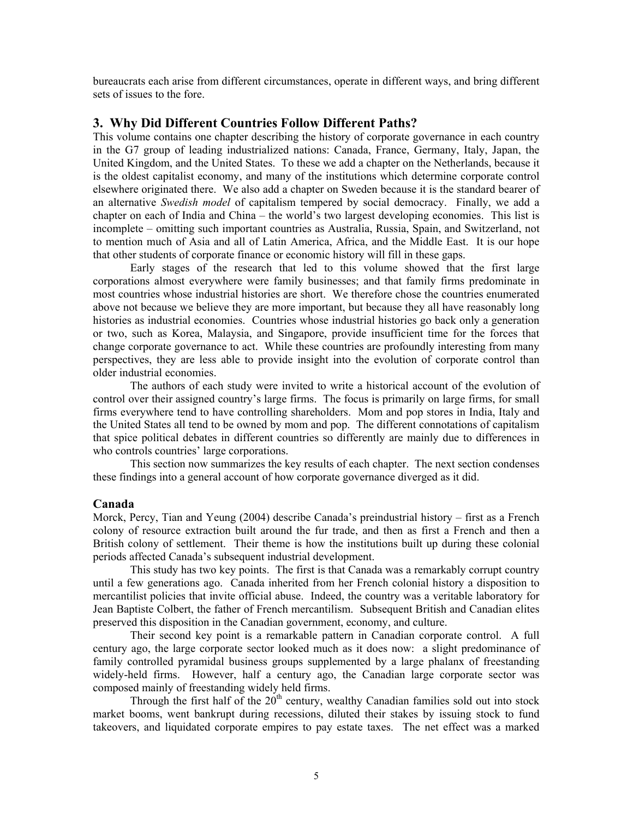bureaucrats each arise from different circumstances, operate in different ways, and bring different sets of issues to the fore.

## **3. Why Did Different Countries Follow Different Paths?**

This volume contains one chapter describing the history of corporate governance in each country in the G7 group of leading industrialized nations: Canada, France, Germany, Italy, Japan, the United Kingdom, and the United States. To these we add a chapter on the Netherlands, because it is the oldest capitalist economy, and many of the institutions which determine corporate control elsewhere originated there. We also add a chapter on Sweden because it is the standard bearer of an alternative *Swedish model* of capitalism tempered by social democracy. Finally, we add a chapter on each of India and China – the world's two largest developing economies. This list is incomplete – omitting such important countries as Australia, Russia, Spain, and Switzerland, not to mention much of Asia and all of Latin America, Africa, and the Middle East. It is our hope that other students of corporate finance or economic history will fill in these gaps.

 Early stages of the research that led to this volume showed that the first large corporations almost everywhere were family businesses; and that family firms predominate in most countries whose industrial histories are short. We therefore chose the countries enumerated above not because we believe they are more important, but because they all have reasonably long histories as industrial economies. Countries whose industrial histories go back only a generation or two, such as Korea, Malaysia, and Singapore, provide insufficient time for the forces that change corporate governance to act. While these countries are profoundly interesting from many perspectives, they are less able to provide insight into the evolution of corporate control than older industrial economies.

 The authors of each study were invited to write a historical account of the evolution of control over their assigned country's large firms. The focus is primarily on large firms, for small firms everywhere tend to have controlling shareholders. Mom and pop stores in India, Italy and the United States all tend to be owned by mom and pop. The different connotations of capitalism that spice political debates in different countries so differently are mainly due to differences in who controls countries' large corporations.

 This section now summarizes the key results of each chapter. The next section condenses these findings into a general account of how corporate governance diverged as it did.

#### **Canada**

Morck, Percy, Tian and Yeung (2004) describe Canada's preindustrial history – first as a French colony of resource extraction built around the fur trade, and then as first a French and then a British colony of settlement. Their theme is how the institutions built up during these colonial periods affected Canada's subsequent industrial development.

 This study has two key points. The first is that Canada was a remarkably corrupt country until a few generations ago. Canada inherited from her French colonial history a disposition to mercantilist policies that invite official abuse. Indeed, the country was a veritable laboratory for Jean Baptiste Colbert, the father of French mercantilism. Subsequent British and Canadian elites preserved this disposition in the Canadian government, economy, and culture.

 Their second key point is a remarkable pattern in Canadian corporate control. A full century ago, the large corporate sector looked much as it does now: a slight predominance of family controlled pyramidal business groups supplemented by a large phalanx of freestanding widely-held firms. However, half a century ago, the Canadian large corporate sector was composed mainly of freestanding widely held firms.

Through the first half of the  $20<sup>th</sup>$  century, wealthy Canadian families sold out into stock market booms, went bankrupt during recessions, diluted their stakes by issuing stock to fund takeovers, and liquidated corporate empires to pay estate taxes. The net effect was a marked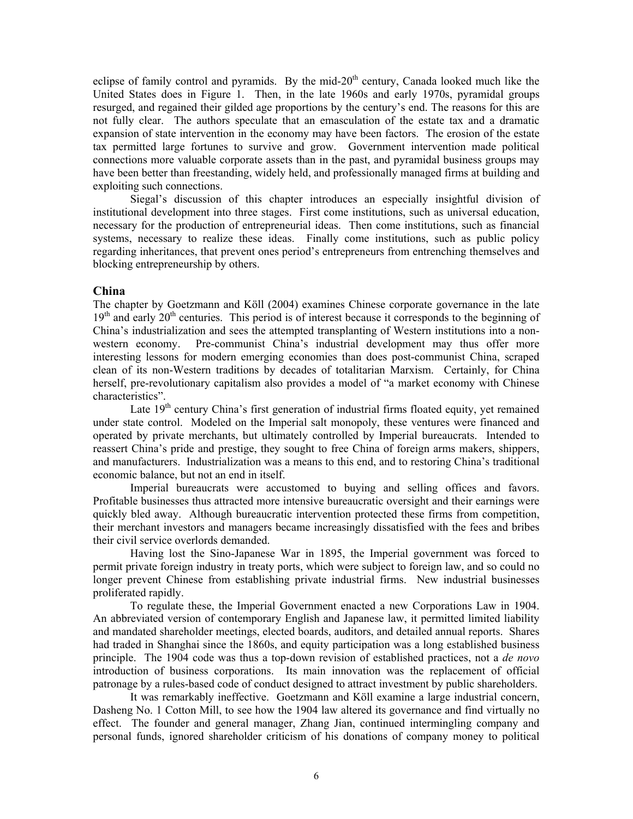eclipse of family control and pyramids. By the mid-20<sup>th</sup> century, Canada looked much like the United States does in Figure 1. Then, in the late 1960s and early 1970s, pyramidal groups resurged, and regained their gilded age proportions by the century's end. The reasons for this are not fully clear. The authors speculate that an emasculation of the estate tax and a dramatic expansion of state intervention in the economy may have been factors. The erosion of the estate tax permitted large fortunes to survive and grow. Government intervention made political connections more valuable corporate assets than in the past, and pyramidal business groups may have been better than freestanding, widely held, and professionally managed firms at building and exploiting such connections.

 Siegal's discussion of this chapter introduces an especially insightful division of institutional development into three stages. First come institutions, such as universal education, necessary for the production of entrepreneurial ideas. Then come institutions, such as financial systems, necessary to realize these ideas. Finally come institutions, such as public policy regarding inheritances, that prevent ones period's entrepreneurs from entrenching themselves and blocking entrepreneurship by others.

## **China**

The chapter by Goetzmann and Köll (2004) examines Chinese corporate governance in the late  $19<sup>th</sup>$  and early  $20<sup>th</sup>$  centuries. This period is of interest because it corresponds to the beginning of China's industrialization and sees the attempted transplanting of Western institutions into a nonwestern economy. Pre-communist China's industrial development may thus offer more interesting lessons for modern emerging economies than does post-communist China, scraped clean of its non-Western traditions by decades of totalitarian Marxism. Certainly, for China herself, pre-revolutionary capitalism also provides a model of "a market economy with Chinese characteristics".

Late 19<sup>th</sup> century China's first generation of industrial firms floated equity, yet remained under state control. Modeled on the Imperial salt monopoly, these ventures were financed and operated by private merchants, but ultimately controlled by Imperial bureaucrats. Intended to reassert China's pride and prestige, they sought to free China of foreign arms makers, shippers, and manufacturers. Industrialization was a means to this end, and to restoring China's traditional economic balance, but not an end in itself.

 Imperial bureaucrats were accustomed to buying and selling offices and favors. Profitable businesses thus attracted more intensive bureaucratic oversight and their earnings were quickly bled away. Although bureaucratic intervention protected these firms from competition, their merchant investors and managers became increasingly dissatisfied with the fees and bribes their civil service overlords demanded.

 Having lost the Sino-Japanese War in 1895, the Imperial government was forced to permit private foreign industry in treaty ports, which were subject to foreign law, and so could no longer prevent Chinese from establishing private industrial firms. New industrial businesses proliferated rapidly.

 To regulate these, the Imperial Government enacted a new Corporations Law in 1904. An abbreviated version of contemporary English and Japanese law, it permitted limited liability and mandated shareholder meetings, elected boards, auditors, and detailed annual reports. Shares had traded in Shanghai since the 1860s, and equity participation was a long established business principle. The 1904 code was thus a top-down revision of established practices, not a *de novo* introduction of business corporations. Its main innovation was the replacement of official patronage by a rules-based code of conduct designed to attract investment by public shareholders.

 It was remarkably ineffective. Goetzmann and Köll examine a large industrial concern, Dasheng No. 1 Cotton Mill, to see how the 1904 law altered its governance and find virtually no effect. The founder and general manager, Zhang Jian, continued intermingling company and personal funds, ignored shareholder criticism of his donations of company money to political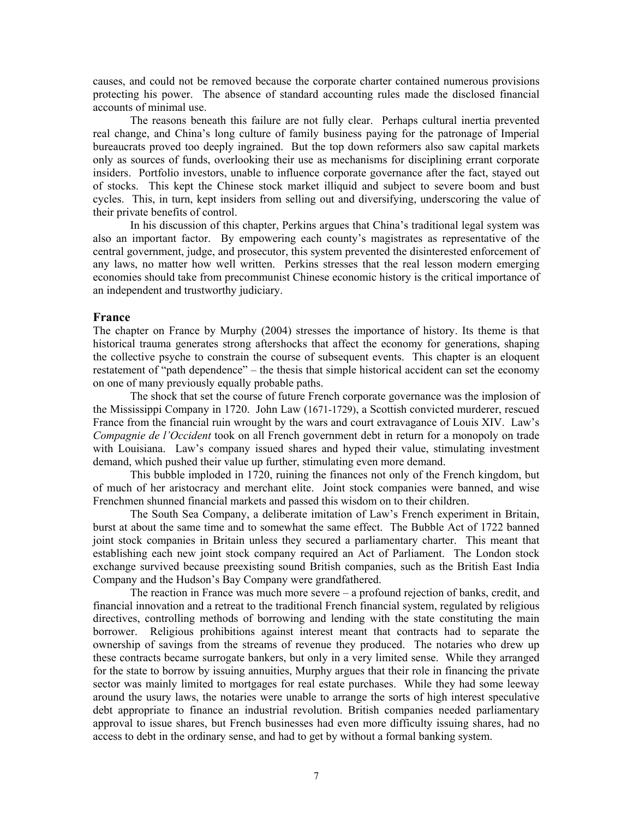causes, and could not be removed because the corporate charter contained numerous provisions protecting his power. The absence of standard accounting rules made the disclosed financial accounts of minimal use.

 The reasons beneath this failure are not fully clear. Perhaps cultural inertia prevented real change, and China's long culture of family business paying for the patronage of Imperial bureaucrats proved too deeply ingrained. But the top down reformers also saw capital markets only as sources of funds, overlooking their use as mechanisms for disciplining errant corporate insiders. Portfolio investors, unable to influence corporate governance after the fact, stayed out of stocks. This kept the Chinese stock market illiquid and subject to severe boom and bust cycles. This, in turn, kept insiders from selling out and diversifying, underscoring the value of their private benefits of control.

 In his discussion of this chapter, Perkins argues that China's traditional legal system was also an important factor. By empowering each county's magistrates as representative of the central government, judge, and prosecutor, this system prevented the disinterested enforcement of any laws, no matter how well written. Perkins stresses that the real lesson modern emerging economies should take from precommunist Chinese economic history is the critical importance of an independent and trustworthy judiciary.

#### **France**

The chapter on France by Murphy (2004) stresses the importance of history. Its theme is that historical trauma generates strong aftershocks that affect the economy for generations, shaping the collective psyche to constrain the course of subsequent events. This chapter is an eloquent restatement of "path dependence" – the thesis that simple historical accident can set the economy on one of many previously equally probable paths.

 The shock that set the course of future French corporate governance was the implosion of the Mississippi Company in 1720. John Law (1671-1729), a Scottish convicted murderer, rescued France from the financial ruin wrought by the wars and court extravagance of Louis XIV. Law's *Compagnie de l'Occident* took on all French government debt in return for a monopoly on trade with Louisiana. Law's company issued shares and hyped their value, stimulating investment demand, which pushed their value up further, stimulating even more demand.

 This bubble imploded in 1720, ruining the finances not only of the French kingdom, but of much of her aristocracy and merchant elite. Joint stock companies were banned, and wise Frenchmen shunned financial markets and passed this wisdom on to their children.

 The South Sea Company, a deliberate imitation of Law's French experiment in Britain, burst at about the same time and to somewhat the same effect. The Bubble Act of 1722 banned joint stock companies in Britain unless they secured a parliamentary charter. This meant that establishing each new joint stock company required an Act of Parliament. The London stock exchange survived because preexisting sound British companies, such as the British East India Company and the Hudson's Bay Company were grandfathered.

 The reaction in France was much more severe – a profound rejection of banks, credit, and financial innovation and a retreat to the traditional French financial system, regulated by religious directives, controlling methods of borrowing and lending with the state constituting the main borrower. Religious prohibitions against interest meant that contracts had to separate the ownership of savings from the streams of revenue they produced. The notaries who drew up these contracts became surrogate bankers, but only in a very limited sense. While they arranged for the state to borrow by issuing annuities, Murphy argues that their role in financing the private sector was mainly limited to mortgages for real estate purchases. While they had some leeway around the usury laws, the notaries were unable to arrange the sorts of high interest speculative debt appropriate to finance an industrial revolution. British companies needed parliamentary approval to issue shares, but French businesses had even more difficulty issuing shares, had no access to debt in the ordinary sense, and had to get by without a formal banking system.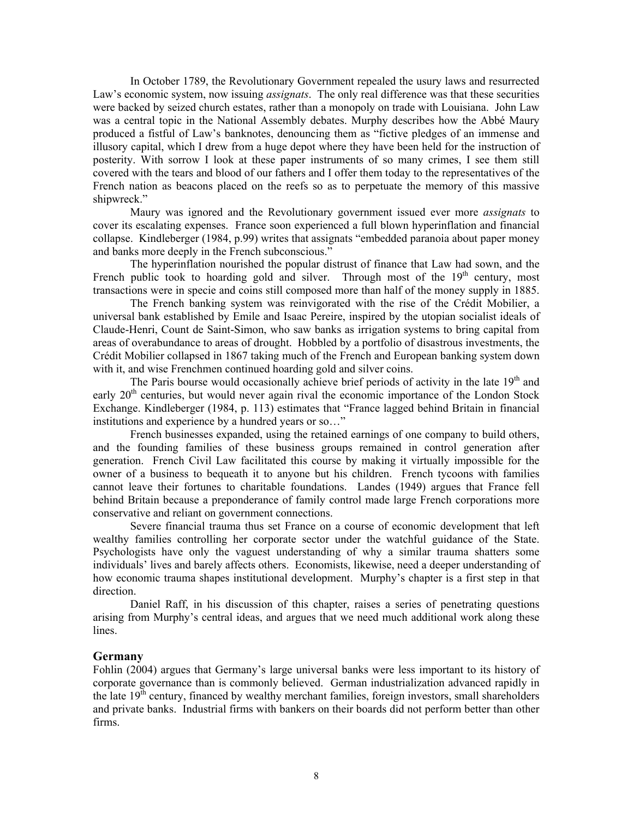In October 1789, the Revolutionary Government repealed the usury laws and resurrected Law's economic system, now issuing *assignats*. The only real difference was that these securities were backed by seized church estates, rather than a monopoly on trade with Louisiana. John Law was a central topic in the National Assembly debates. Murphy describes how the Abbé Maury produced a fistful of Law's banknotes, denouncing them as "fictive pledges of an immense and illusory capital, which I drew from a huge depot where they have been held for the instruction of posterity. With sorrow I look at these paper instruments of so many crimes, I see them still covered with the tears and blood of our fathers and I offer them today to the representatives of the French nation as beacons placed on the reefs so as to perpetuate the memory of this massive shipwreck."

 Maury was ignored and the Revolutionary government issued ever more *assignats* to cover its escalating expenses. France soon experienced a full blown hyperinflation and financial collapse. Kindleberger (1984, p.99) writes that assignats "embedded paranoia about paper money and banks more deeply in the French subconscious."

 The hyperinflation nourished the popular distrust of finance that Law had sown, and the French public took to hoarding gold and silver. Through most of the  $19<sup>th</sup>$  century, most transactions were in specie and coins still composed more than half of the money supply in 1885.

 The French banking system was reinvigorated with the rise of the Crédit Mobilier, a universal bank established by Emile and Isaac Pereire, inspired by the utopian socialist ideals of Claude-Henri, Count de Saint-Simon, who saw banks as irrigation systems to bring capital from areas of overabundance to areas of drought. Hobbled by a portfolio of disastrous investments, the Crédit Mobilier collapsed in 1867 taking much of the French and European banking system down with it, and wise Frenchmen continued hoarding gold and silver coins.

The Paris bourse would occasionally achieve brief periods of activity in the late 19<sup>th</sup> and early  $20<sup>th</sup>$  centuries, but would never again rival the economic importance of the London Stock Exchange. Kindleberger (1984, p. 113) estimates that "France lagged behind Britain in financial institutions and experience by a hundred years or so…"

 French businesses expanded, using the retained earnings of one company to build others, and the founding families of these business groups remained in control generation after generation. French Civil Law facilitated this course by making it virtually impossible for the owner of a business to bequeath it to anyone but his children. French tycoons with families cannot leave their fortunes to charitable foundations. Landes (1949) argues that France fell behind Britain because a preponderance of family control made large French corporations more conservative and reliant on government connections.

 Severe financial trauma thus set France on a course of economic development that left wealthy families controlling her corporate sector under the watchful guidance of the State. Psychologists have only the vaguest understanding of why a similar trauma shatters some individuals' lives and barely affects others. Economists, likewise, need a deeper understanding of how economic trauma shapes institutional development. Murphy's chapter is a first step in that direction.

 Daniel Raff, in his discussion of this chapter, raises a series of penetrating questions arising from Murphy's central ideas, and argues that we need much additional work along these lines.

## **Germany**

Fohlin (2004) argues that Germany's large universal banks were less important to its history of corporate governance than is commonly believed. German industrialization advanced rapidly in the late  $19<sup>th</sup>$  century, financed by wealthy merchant families, foreign investors, small shareholders and private banks. Industrial firms with bankers on their boards did not perform better than other firms.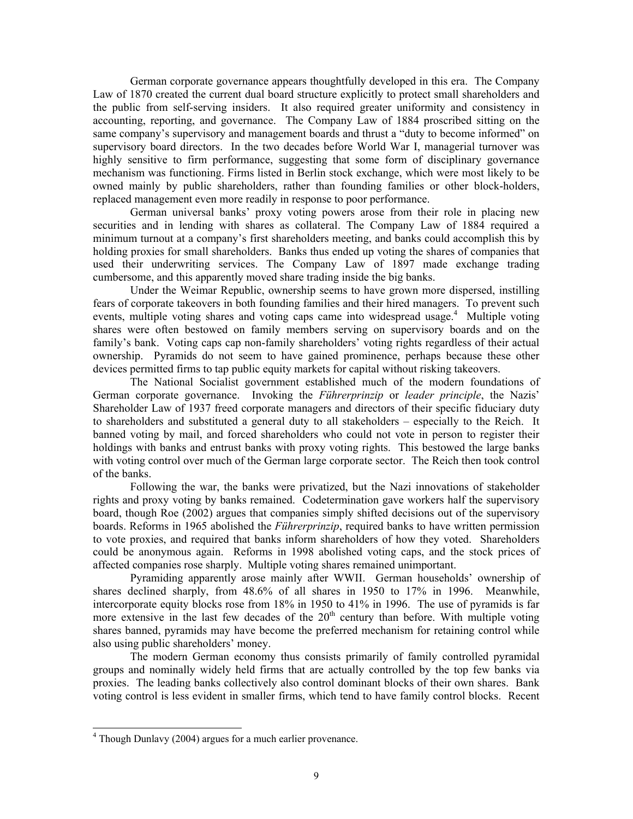German corporate governance appears thoughtfully developed in this era. The Company Law of 1870 created the current dual board structure explicitly to protect small shareholders and the public from self-serving insiders. It also required greater uniformity and consistency in accounting, reporting, and governance. The Company Law of 1884 proscribed sitting on the same company's supervisory and management boards and thrust a "duty to become informed" on supervisory board directors. In the two decades before World War I, managerial turnover was highly sensitive to firm performance, suggesting that some form of disciplinary governance mechanism was functioning. Firms listed in Berlin stock exchange, which were most likely to be owned mainly by public shareholders, rather than founding families or other block-holders, replaced management even more readily in response to poor performance.

 German universal banks' proxy voting powers arose from their role in placing new securities and in lending with shares as collateral. The Company Law of 1884 required a minimum turnout at a company's first shareholders meeting, and banks could accomplish this by holding proxies for small shareholders. Banks thus ended up voting the shares of companies that used their underwriting services. The Company Law of 1897 made exchange trading cumbersome, and this apparently moved share trading inside the big banks.

 Under the Weimar Republic, ownership seems to have grown more dispersed, instilling fears of corporate takeovers in both founding families and their hired managers. To prevent such events, multiple voting shares and voting caps came into widespread usage.<sup>4</sup> Multiple voting shares were often bestowed on family members serving on supervisory boards and on the family's bank. Voting caps cap non-family shareholders' voting rights regardless of their actual ownership. Pyramids do not seem to have gained prominence, perhaps because these other devices permitted firms to tap public equity markets for capital without risking takeovers.

 The National Socialist government established much of the modern foundations of German corporate governance. Invoking the *Führerprinzip* or *leader principle*, the Nazis' Shareholder Law of 1937 freed corporate managers and directors of their specific fiduciary duty to shareholders and substituted a general duty to all stakeholders – especially to the Reich. It banned voting by mail, and forced shareholders who could not vote in person to register their holdings with banks and entrust banks with proxy voting rights. This bestowed the large banks with voting control over much of the German large corporate sector. The Reich then took control of the banks.

 Following the war, the banks were privatized, but the Nazi innovations of stakeholder rights and proxy voting by banks remained. Codetermination gave workers half the supervisory board, though Roe (2002) argues that companies simply shifted decisions out of the supervisory boards. Reforms in 1965 abolished the *Führerprinzip*, required banks to have written permission to vote proxies, and required that banks inform shareholders of how they voted. Shareholders could be anonymous again. Reforms in 1998 abolished voting caps, and the stock prices of affected companies rose sharply. Multiple voting shares remained unimportant.

 Pyramiding apparently arose mainly after WWII. German households' ownership of shares declined sharply, from 48.6% of all shares in 1950 to 17% in 1996. Meanwhile, intercorporate equity blocks rose from 18% in 1950 to 41% in 1996. The use of pyramids is far more extensive in the last few decades of the 20<sup>th</sup> century than before. With multiple voting shares banned, pyramids may have become the preferred mechanism for retaining control while also using public shareholders' money.

 The modern German economy thus consists primarily of family controlled pyramidal groups and nominally widely held firms that are actually controlled by the top few banks via proxies. The leading banks collectively also control dominant blocks of their own shares. Bank voting control is less evident in smaller firms, which tend to have family control blocks. Recent

 $4$  Though Dunlavy (2004) argues for a much earlier provenance.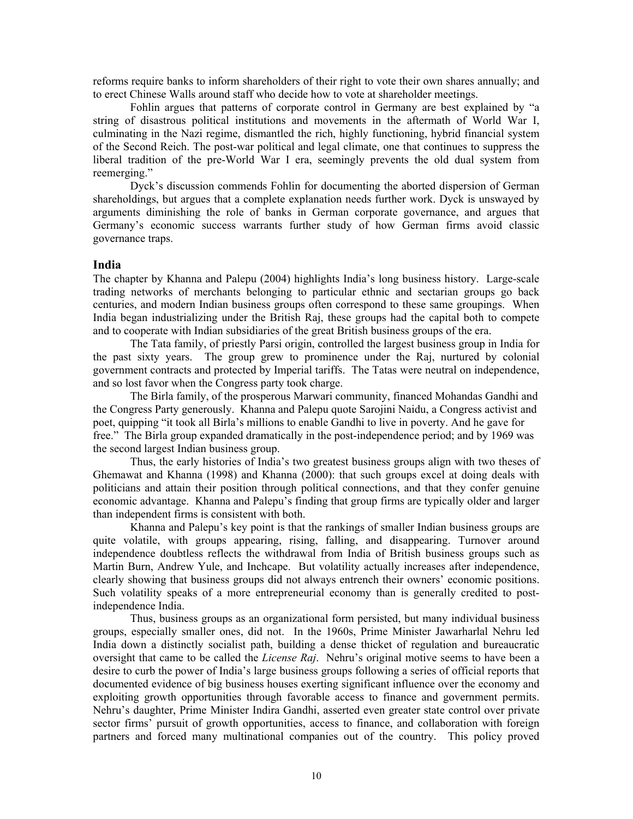reforms require banks to inform shareholders of their right to vote their own shares annually; and to erect Chinese Walls around staff who decide how to vote at shareholder meetings.

 Fohlin argues that patterns of corporate control in Germany are best explained by "a string of disastrous political institutions and movements in the aftermath of World War I, culminating in the Nazi regime, dismantled the rich, highly functioning, hybrid financial system of the Second Reich. The post-war political and legal climate, one that continues to suppress the liberal tradition of the pre-World War I era, seemingly prevents the old dual system from reemerging."

 Dyck's discussion commends Fohlin for documenting the aborted dispersion of German shareholdings, but argues that a complete explanation needs further work. Dyck is unswayed by arguments diminishing the role of banks in German corporate governance, and argues that Germany's economic success warrants further study of how German firms avoid classic governance traps.

### **India**

The chapter by Khanna and Palepu (2004) highlights India's long business history. Large-scale trading networks of merchants belonging to particular ethnic and sectarian groups go back centuries, and modern Indian business groups often correspond to these same groupings. When India began industrializing under the British Raj, these groups had the capital both to compete and to cooperate with Indian subsidiaries of the great British business groups of the era.

 The Tata family, of priestly Parsi origin, controlled the largest business group in India for the past sixty years. The group grew to prominence under the Raj, nurtured by colonial government contracts and protected by Imperial tariffs. The Tatas were neutral on independence, and so lost favor when the Congress party took charge.

The Birla family, of the prosperous Marwari community, financed Mohandas Gandhi and the Congress Party generously. Khanna and Palepu quote Sarojini Naidu, a Congress activist and poet, quipping "it took all Birla's millions to enable Gandhi to live in poverty. And he gave for free." The Birla group expanded dramatically in the post-independence period; and by 1969 was the second largest Indian business group.

 Thus, the early histories of India's two greatest business groups align with two theses of Ghemawat and Khanna (1998) and Khanna (2000): that such groups excel at doing deals with politicians and attain their position through political connections, and that they confer genuine economic advantage. Khanna and Palepu's finding that group firms are typically older and larger than independent firms is consistent with both.

 Khanna and Palepu's key point is that the rankings of smaller Indian business groups are quite volatile, with groups appearing, rising, falling, and disappearing. Turnover around independence doubtless reflects the withdrawal from India of British business groups such as Martin Burn, Andrew Yule, and Inchcape. But volatility actually increases after independence, clearly showing that business groups did not always entrench their owners' economic positions. Such volatility speaks of a more entrepreneurial economy than is generally credited to postindependence India.

 Thus, business groups as an organizational form persisted, but many individual business groups, especially smaller ones, did not. In the 1960s, Prime Minister Jawarharlal Nehru led India down a distinctly socialist path, building a dense thicket of regulation and bureaucratic oversight that came to be called the *License Raj*. Nehru's original motive seems to have been a desire to curb the power of India's large business groups following a series of official reports that documented evidence of big business houses exerting significant influence over the economy and exploiting growth opportunities through favorable access to finance and government permits. Nehru's daughter, Prime Minister Indira Gandhi, asserted even greater state control over private sector firms' pursuit of growth opportunities, access to finance, and collaboration with foreign partners and forced many multinational companies out of the country. This policy proved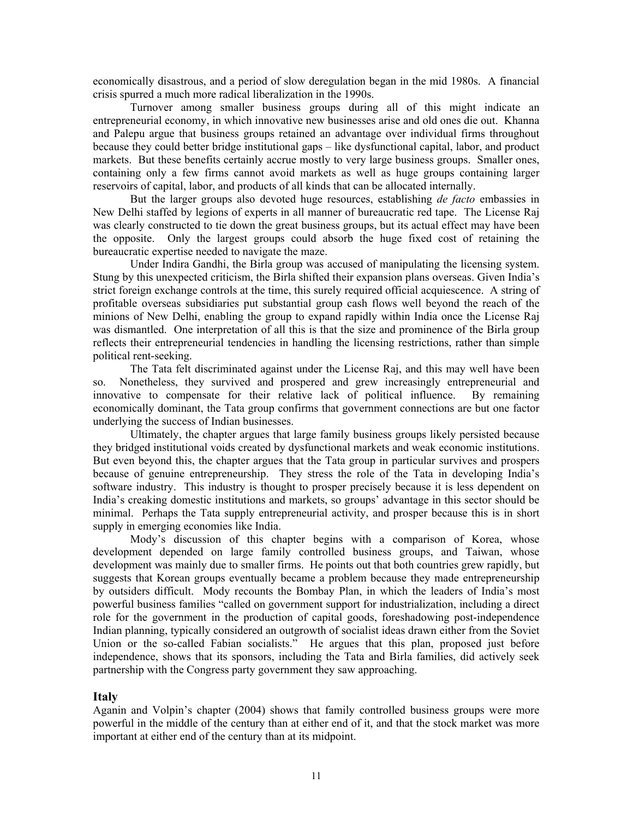economically disastrous, and a period of slow deregulation began in the mid 1980s. A financial crisis spurred a much more radical liberalization in the 1990s.

 Turnover among smaller business groups during all of this might indicate an entrepreneurial economy, in which innovative new businesses arise and old ones die out. Khanna and Palepu argue that business groups retained an advantage over individual firms throughout because they could better bridge institutional gaps – like dysfunctional capital, labor, and product markets. But these benefits certainly accrue mostly to very large business groups. Smaller ones, containing only a few firms cannot avoid markets as well as huge groups containing larger reservoirs of capital, labor, and products of all kinds that can be allocated internally.

 But the larger groups also devoted huge resources, establishing *de facto* embassies in New Delhi staffed by legions of experts in all manner of bureaucratic red tape. The License Raj was clearly constructed to tie down the great business groups, but its actual effect may have been the opposite. Only the largest groups could absorb the huge fixed cost of retaining the bureaucratic expertise needed to navigate the maze.

 Under Indira Gandhi, the Birla group was accused of manipulating the licensing system. Stung by this unexpected criticism, the Birla shifted their expansion plans overseas. Given India's strict foreign exchange controls at the time, this surely required official acquiescence. A string of profitable overseas subsidiaries put substantial group cash flows well beyond the reach of the minions of New Delhi, enabling the group to expand rapidly within India once the License Raj was dismantled. One interpretation of all this is that the size and prominence of the Birla group reflects their entrepreneurial tendencies in handling the licensing restrictions, rather than simple political rent-seeking.

 The Tata felt discriminated against under the License Raj, and this may well have been so. Nonetheless, they survived and prospered and grew increasingly entrepreneurial and innovative to compensate for their relative lack of political influence. By remaining economically dominant, the Tata group confirms that government connections are but one factor underlying the success of Indian businesses.

 Ultimately, the chapter argues that large family business groups likely persisted because they bridged institutional voids created by dysfunctional markets and weak economic institutions. But even beyond this, the chapter argues that the Tata group in particular survives and prospers because of genuine entrepreneurship. They stress the role of the Tata in developing India's software industry. This industry is thought to prosper precisely because it is less dependent on India's creaking domestic institutions and markets, so groups' advantage in this sector should be minimal. Perhaps the Tata supply entrepreneurial activity, and prosper because this is in short supply in emerging economies like India.

 Mody's discussion of this chapter begins with a comparison of Korea, whose development depended on large family controlled business groups, and Taiwan, whose development was mainly due to smaller firms. He points out that both countries grew rapidly, but suggests that Korean groups eventually became a problem because they made entrepreneurship by outsiders difficult. Mody recounts the Bombay Plan, in which the leaders of India's most powerful business families "called on government support for industrialization, including a direct role for the government in the production of capital goods, foreshadowing post-independence Indian planning, typically considered an outgrowth of socialist ideas drawn either from the Soviet Union or the so-called Fabian socialists." He argues that this plan, proposed just before independence, shows that its sponsors, including the Tata and Birla families, did actively seek partnership with the Congress party government they saw approaching.

### **Italy**

Aganin and Volpin's chapter (2004) shows that family controlled business groups were more powerful in the middle of the century than at either end of it, and that the stock market was more important at either end of the century than at its midpoint.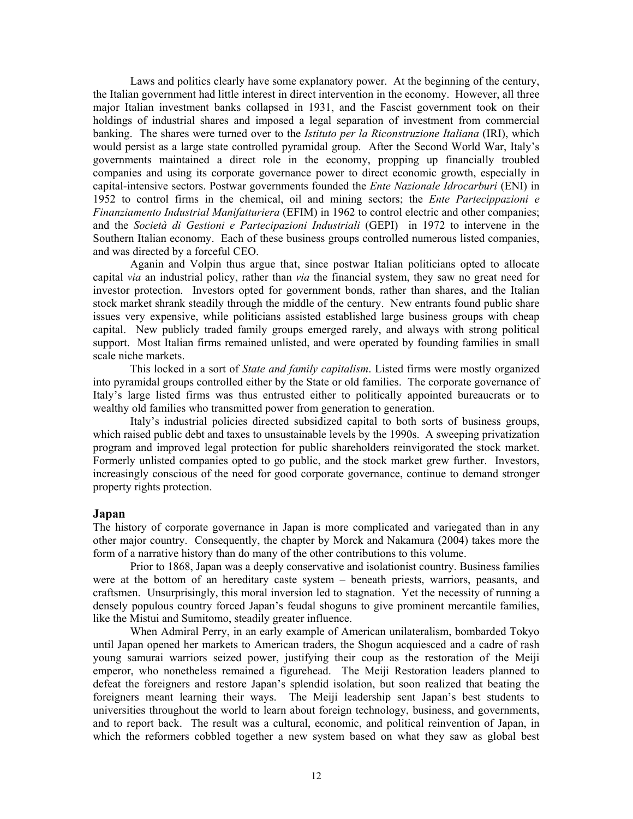Laws and politics clearly have some explanatory power. At the beginning of the century, the Italian government had little interest in direct intervention in the economy. However, all three major Italian investment banks collapsed in 1931, and the Fascist government took on their holdings of industrial shares and imposed a legal separation of investment from commercial banking. The shares were turned over to the *Istituto per la Riconstruzione Italiana* (IRI), which would persist as a large state controlled pyramidal group. After the Second World War, Italy's governments maintained a direct role in the economy, propping up financially troubled companies and using its corporate governance power to direct economic growth, especially in capital-intensive sectors. Postwar governments founded the *Ente Nazionale Idrocarburi* (ENI) in 1952 to control firms in the chemical, oil and mining sectors; the *Ente Partecippazioni e Finanziamento Industrial Manifatturiera* (EFIM) in 1962 to control electric and other companies; and the *Società di Gestioni e Partecipazioni Industriali* (GEPI) in 1972 to intervene in the Southern Italian economy. Each of these business groups controlled numerous listed companies, and was directed by a forceful CEO.

 Aganin and Volpin thus argue that, since postwar Italian politicians opted to allocate capital *via* an industrial policy, rather than *via* the financial system, they saw no great need for investor protection. Investors opted for government bonds, rather than shares, and the Italian stock market shrank steadily through the middle of the century. New entrants found public share issues very expensive, while politicians assisted established large business groups with cheap capital. New publicly traded family groups emerged rarely, and always with strong political support. Most Italian firms remained unlisted, and were operated by founding families in small scale niche markets.

 This locked in a sort of *State and family capitalism*. Listed firms were mostly organized into pyramidal groups controlled either by the State or old families. The corporate governance of Italy's large listed firms was thus entrusted either to politically appointed bureaucrats or to wealthy old families who transmitted power from generation to generation.

 Italy's industrial policies directed subsidized capital to both sorts of business groups, which raised public debt and taxes to unsustainable levels by the 1990s. A sweeping privatization program and improved legal protection for public shareholders reinvigorated the stock market. Formerly unlisted companies opted to go public, and the stock market grew further. Investors, increasingly conscious of the need for good corporate governance, continue to demand stronger property rights protection.

## **Japan**

The history of corporate governance in Japan is more complicated and variegated than in any other major country. Consequently, the chapter by Morck and Nakamura (2004) takes more the form of a narrative history than do many of the other contributions to this volume.

 Prior to 1868, Japan was a deeply conservative and isolationist country. Business families were at the bottom of an hereditary caste system – beneath priests, warriors, peasants, and craftsmen. Unsurprisingly, this moral inversion led to stagnation. Yet the necessity of running a densely populous country forced Japan's feudal shoguns to give prominent mercantile families, like the Mistui and Sumitomo, steadily greater influence.

 When Admiral Perry, in an early example of American unilateralism, bombarded Tokyo until Japan opened her markets to American traders, the Shogun acquiesced and a cadre of rash young samurai warriors seized power, justifying their coup as the restoration of the Meiji emperor, who nonetheless remained a figurehead. The Meiji Restoration leaders planned to defeat the foreigners and restore Japan's splendid isolation, but soon realized that beating the foreigners meant learning their ways. The Meiji leadership sent Japan's best students to universities throughout the world to learn about foreign technology, business, and governments, and to report back. The result was a cultural, economic, and political reinvention of Japan, in which the reformers cobbled together a new system based on what they saw as global best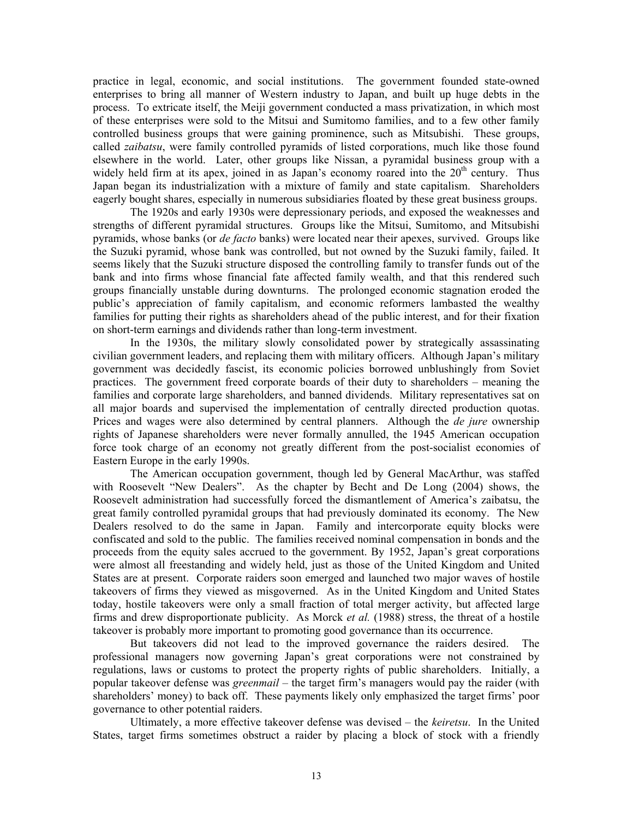practice in legal, economic, and social institutions. The government founded state-owned enterprises to bring all manner of Western industry to Japan, and built up huge debts in the process. To extricate itself, the Meiji government conducted a mass privatization, in which most of these enterprises were sold to the Mitsui and Sumitomo families, and to a few other family controlled business groups that were gaining prominence, such as Mitsubishi. These groups, called *zaibatsu*, were family controlled pyramids of listed corporations, much like those found elsewhere in the world. Later, other groups like Nissan, a pyramidal business group with a widely held firm at its apex, joined in as Japan's economy roared into the  $20<sup>th</sup>$  century. Thus Japan began its industrialization with a mixture of family and state capitalism. Shareholders eagerly bought shares, especially in numerous subsidiaries floated by these great business groups.

 The 1920s and early 1930s were depressionary periods, and exposed the weaknesses and strengths of different pyramidal structures. Groups like the Mitsui, Sumitomo, and Mitsubishi pyramids, whose banks (or *de facto* banks) were located near their apexes, survived. Groups like the Suzuki pyramid, whose bank was controlled, but not owned by the Suzuki family, failed. It seems likely that the Suzuki structure disposed the controlling family to transfer funds out of the bank and into firms whose financial fate affected family wealth, and that this rendered such groups financially unstable during downturns. The prolonged economic stagnation eroded the public's appreciation of family capitalism, and economic reformers lambasted the wealthy families for putting their rights as shareholders ahead of the public interest, and for their fixation on short-term earnings and dividends rather than long-term investment.

 In the 1930s, the military slowly consolidated power by strategically assassinating civilian government leaders, and replacing them with military officers. Although Japan's military government was decidedly fascist, its economic policies borrowed unblushingly from Soviet practices. The government freed corporate boards of their duty to shareholders – meaning the families and corporate large shareholders, and banned dividends. Military representatives sat on all major boards and supervised the implementation of centrally directed production quotas. Prices and wages were also determined by central planners. Although the *de jure* ownership rights of Japanese shareholders were never formally annulled, the 1945 American occupation force took charge of an economy not greatly different from the post-socialist economies of Eastern Europe in the early 1990s.

 The American occupation government, though led by General MacArthur, was staffed with Roosevelt "New Dealers". As the chapter by Becht and De Long (2004) shows, the Roosevelt administration had successfully forced the dismantlement of America's zaibatsu, the great family controlled pyramidal groups that had previously dominated its economy. The New Dealers resolved to do the same in Japan. Family and intercorporate equity blocks were confiscated and sold to the public. The families received nominal compensation in bonds and the proceeds from the equity sales accrued to the government. By 1952, Japan's great corporations were almost all freestanding and widely held, just as those of the United Kingdom and United States are at present. Corporate raiders soon emerged and launched two major waves of hostile takeovers of firms they viewed as misgoverned. As in the United Kingdom and United States today, hostile takeovers were only a small fraction of total merger activity, but affected large firms and drew disproportionate publicity. As Morck *et al.* (1988) stress, the threat of a hostile takeover is probably more important to promoting good governance than its occurrence.

 But takeovers did not lead to the improved governance the raiders desired. The professional managers now governing Japan's great corporations were not constrained by regulations, laws or customs to protect the property rights of public shareholders. Initially, a popular takeover defense was *greenmail* – the target firm's managers would pay the raider (with shareholders' money) to back off. These payments likely only emphasized the target firms' poor governance to other potential raiders.

 Ultimately, a more effective takeover defense was devised – the *keiretsu*. In the United States, target firms sometimes obstruct a raider by placing a block of stock with a friendly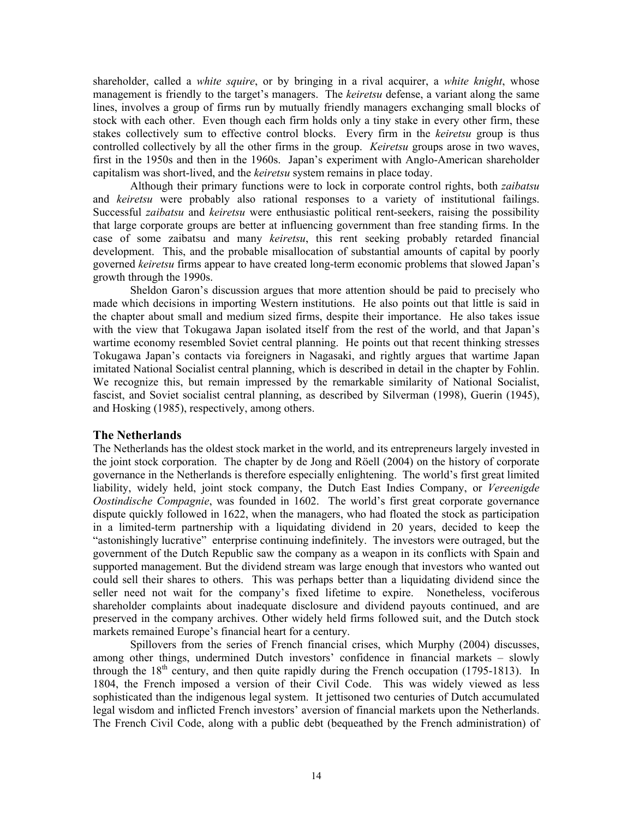shareholder, called a *white squire*, or by bringing in a rival acquirer, a *white knight*, whose management is friendly to the target's managers. The *keiretsu* defense, a variant along the same lines, involves a group of firms run by mutually friendly managers exchanging small blocks of stock with each other. Even though each firm holds only a tiny stake in every other firm, these stakes collectively sum to effective control blocks. Every firm in the *keiretsu* group is thus controlled collectively by all the other firms in the group. *Keiretsu* groups arose in two waves, first in the 1950s and then in the 1960s. Japan's experiment with Anglo-American shareholder capitalism was short-lived, and the *keiretsu* system remains in place today.

 Although their primary functions were to lock in corporate control rights, both *zaibatsu* and *keiretsu* were probably also rational responses to a variety of institutional failings. Successful *zaibatsu* and *keiretsu* were enthusiastic political rent-seekers, raising the possibility that large corporate groups are better at influencing government than free standing firms. In the case of some zaibatsu and many *keiretsu*, this rent seeking probably retarded financial development. This, and the probable misallocation of substantial amounts of capital by poorly governed *keiretsu* firms appear to have created long-term economic problems that slowed Japan's growth through the 1990s.

 Sheldon Garon's discussion argues that more attention should be paid to precisely who made which decisions in importing Western institutions. He also points out that little is said in the chapter about small and medium sized firms, despite their importance. He also takes issue with the view that Tokugawa Japan isolated itself from the rest of the world, and that Japan's wartime economy resembled Soviet central planning. He points out that recent thinking stresses Tokugawa Japan's contacts via foreigners in Nagasaki, and rightly argues that wartime Japan imitated National Socialist central planning, which is described in detail in the chapter by Fohlin. We recognize this, but remain impressed by the remarkable similarity of National Socialist, fascist, and Soviet socialist central planning, as described by Silverman (1998), Guerin (1945), and Hosking (1985), respectively, among others.

## **The Netherlands**

The Netherlands has the oldest stock market in the world, and its entrepreneurs largely invested in the joint stock corporation. The chapter by de Jong and Röell (2004) on the history of corporate governance in the Netherlands is therefore especially enlightening. The world's first great limited liability, widely held, joint stock company, the Dutch East Indies Company, or *Vereenigde Oostindische Compagnie*, was founded in 1602. The world's first great corporate governance dispute quickly followed in 1622, when the managers, who had floated the stock as participation in a limited-term partnership with a liquidating dividend in 20 years, decided to keep the "astonishingly lucrative" enterprise continuing indefinitely. The investors were outraged, but the government of the Dutch Republic saw the company as a weapon in its conflicts with Spain and supported management. But the dividend stream was large enough that investors who wanted out could sell their shares to others. This was perhaps better than a liquidating dividend since the seller need not wait for the company's fixed lifetime to expire. Nonetheless, vociferous shareholder complaints about inadequate disclosure and dividend payouts continued, and are preserved in the company archives. Other widely held firms followed suit, and the Dutch stock markets remained Europe's financial heart for a century.

 Spillovers from the series of French financial crises, which Murphy (2004) discusses, among other things, undermined Dutch investors' confidence in financial markets – slowly through the  $18<sup>th</sup>$  century, and then quite rapidly during the French occupation (1795-1813). In 1804, the French imposed a version of their Civil Code. This was widely viewed as less sophisticated than the indigenous legal system. It jettisoned two centuries of Dutch accumulated legal wisdom and inflicted French investors' aversion of financial markets upon the Netherlands. The French Civil Code, along with a public debt (bequeathed by the French administration) of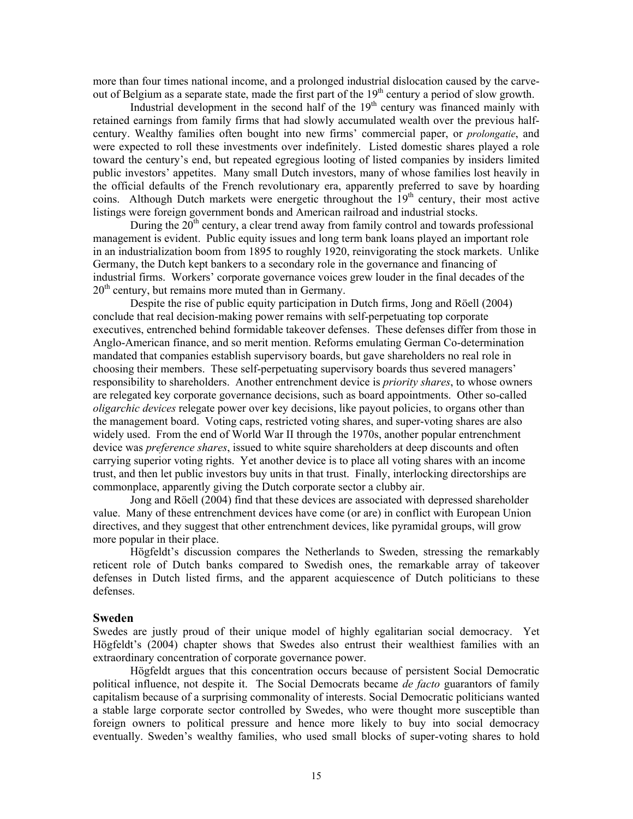more than four times national income, and a prolonged industrial dislocation caused by the carveout of Belgium as a separate state, made the first part of the  $19<sup>th</sup>$  century a period of slow growth.

Industrial development in the second half of the  $19<sup>th</sup>$  century was financed mainly with retained earnings from family firms that had slowly accumulated wealth over the previous halfcentury. Wealthy families often bought into new firms' commercial paper, or *prolongatie*, and were expected to roll these investments over indefinitely. Listed domestic shares played a role toward the century's end, but repeated egregious looting of listed companies by insiders limited public investors' appetites. Many small Dutch investors, many of whose families lost heavily in the official defaults of the French revolutionary era, apparently preferred to save by hoarding coins. Although Dutch markets were energetic throughout the  $19<sup>th</sup>$  century, their most active listings were foreign government bonds and American railroad and industrial stocks.

During the  $20<sup>th</sup>$  century, a clear trend away from family control and towards professional management is evident. Public equity issues and long term bank loans played an important role in an industrialization boom from 1895 to roughly 1920, reinvigorating the stock markets. Unlike Germany, the Dutch kept bankers to a secondary role in the governance and financing of industrial firms. Workers' corporate governance voices grew louder in the final decades of the  $20<sup>th</sup>$  century, but remains more muted than in Germany.

 Despite the rise of public equity participation in Dutch firms, Jong and Röell (2004) conclude that real decision-making power remains with self-perpetuating top corporate executives, entrenched behind formidable takeover defenses. These defenses differ from those in Anglo-American finance, and so merit mention. Reforms emulating German Co-determination mandated that companies establish supervisory boards, but gave shareholders no real role in choosing their members. These self-perpetuating supervisory boards thus severed managers' responsibility to shareholders. Another entrenchment device is *priority shares*, to whose owners are relegated key corporate governance decisions, such as board appointments. Other so-called *oligarchic devices* relegate power over key decisions, like payout policies, to organs other than the management board. Voting caps, restricted voting shares, and super-voting shares are also widely used. From the end of World War II through the 1970s, another popular entrenchment device was *preference shares*, issued to white squire shareholders at deep discounts and often carrying superior voting rights. Yet another device is to place all voting shares with an income trust, and then let public investors buy units in that trust. Finally, interlocking directorships are commonplace, apparently giving the Dutch corporate sector a clubby air.

 Jong and Röell (2004) find that these devices are associated with depressed shareholder value. Many of these entrenchment devices have come (or are) in conflict with European Union directives, and they suggest that other entrenchment devices, like pyramidal groups, will grow more popular in their place.

 Högfeldt's discussion compares the Netherlands to Sweden, stressing the remarkably reticent role of Dutch banks compared to Swedish ones, the remarkable array of takeover defenses in Dutch listed firms, and the apparent acquiescence of Dutch politicians to these defenses.

#### **Sweden**

Swedes are justly proud of their unique model of highly egalitarian social democracy. Yet Högfeldt's (2004) chapter shows that Swedes also entrust their wealthiest families with an extraordinary concentration of corporate governance power.

 Högfeldt argues that this concentration occurs because of persistent Social Democratic political influence, not despite it. The Social Democrats became *de facto* guarantors of family capitalism because of a surprising commonality of interests. Social Democratic politicians wanted a stable large corporate sector controlled by Swedes, who were thought more susceptible than foreign owners to political pressure and hence more likely to buy into social democracy eventually. Sweden's wealthy families, who used small blocks of super-voting shares to hold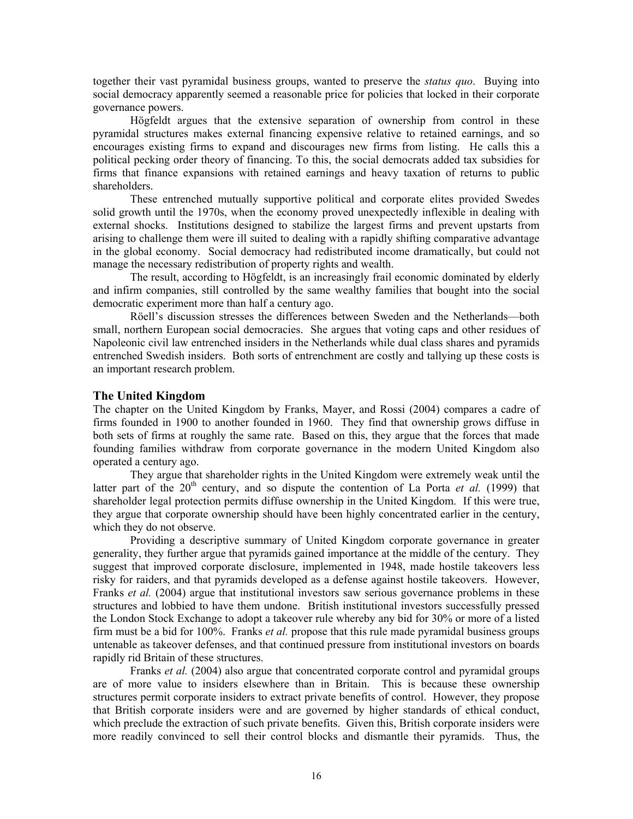together their vast pyramidal business groups, wanted to preserve the *status quo*. Buying into social democracy apparently seemed a reasonable price for policies that locked in their corporate governance powers.

 Högfeldt argues that the extensive separation of ownership from control in these pyramidal structures makes external financing expensive relative to retained earnings, and so encourages existing firms to expand and discourages new firms from listing. He calls this a political pecking order theory of financing. To this, the social democrats added tax subsidies for firms that finance expansions with retained earnings and heavy taxation of returns to public shareholders.

 These entrenched mutually supportive political and corporate elites provided Swedes solid growth until the 1970s, when the economy proved unexpectedly inflexible in dealing with external shocks. Institutions designed to stabilize the largest firms and prevent upstarts from arising to challenge them were ill suited to dealing with a rapidly shifting comparative advantage in the global economy. Social democracy had redistributed income dramatically, but could not manage the necessary redistribution of property rights and wealth.

 The result, according to Högfeldt, is an increasingly frail economic dominated by elderly and infirm companies, still controlled by the same wealthy families that bought into the social democratic experiment more than half a century ago.

 Röell's discussion stresses the differences between Sweden and the Netherlands—both small, northern European social democracies. She argues that voting caps and other residues of Napoleonic civil law entrenched insiders in the Netherlands while dual class shares and pyramids entrenched Swedish insiders. Both sorts of entrenchment are costly and tallying up these costs is an important research problem.

## **The United Kingdom**

The chapter on the United Kingdom by Franks, Mayer, and Rossi (2004) compares a cadre of firms founded in 1900 to another founded in 1960. They find that ownership grows diffuse in both sets of firms at roughly the same rate. Based on this, they argue that the forces that made founding families withdraw from corporate governance in the modern United Kingdom also operated a century ago.

 They argue that shareholder rights in the United Kingdom were extremely weak until the latter part of the  $20<sup>th</sup>$  century, and so dispute the contention of La Porta *et al.* (1999) that shareholder legal protection permits diffuse ownership in the United Kingdom. If this were true, they argue that corporate ownership should have been highly concentrated earlier in the century, which they do not observe.

 Providing a descriptive summary of United Kingdom corporate governance in greater generality, they further argue that pyramids gained importance at the middle of the century. They suggest that improved corporate disclosure, implemented in 1948, made hostile takeovers less risky for raiders, and that pyramids developed as a defense against hostile takeovers. However, Franks *et al.* (2004) argue that institutional investors saw serious governance problems in these structures and lobbied to have them undone. British institutional investors successfully pressed the London Stock Exchange to adopt a takeover rule whereby any bid for 30% or more of a listed firm must be a bid for 100%. Franks *et al.* propose that this rule made pyramidal business groups untenable as takeover defenses, and that continued pressure from institutional investors on boards rapidly rid Britain of these structures.

 Franks *et al.* (2004) also argue that concentrated corporate control and pyramidal groups are of more value to insiders elsewhere than in Britain. This is because these ownership structures permit corporate insiders to extract private benefits of control. However, they propose that British corporate insiders were and are governed by higher standards of ethical conduct, which preclude the extraction of such private benefits. Given this, British corporate insiders were more readily convinced to sell their control blocks and dismantle their pyramids. Thus, the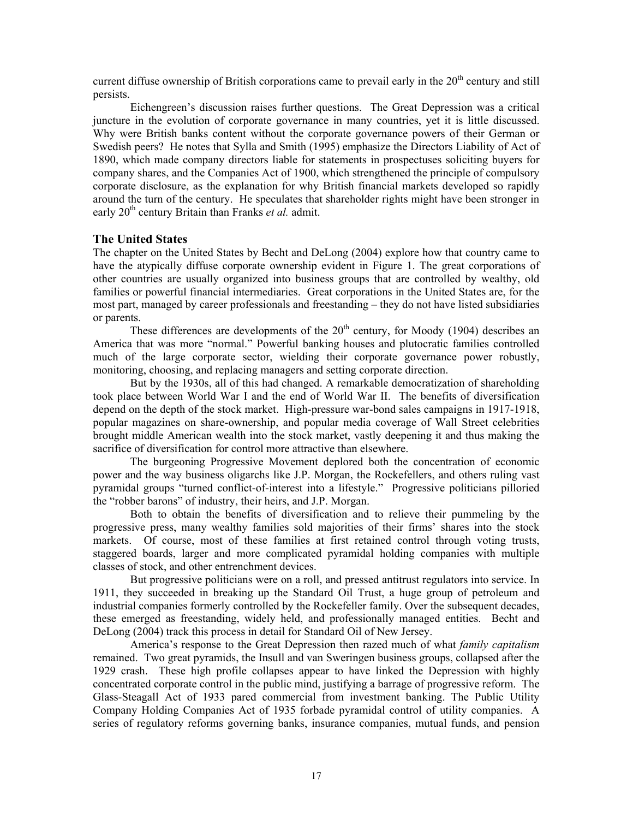current diffuse ownership of British corporations came to prevail early in the  $20<sup>th</sup>$  century and still persists.

 Eichengreen's discussion raises further questions. The Great Depression was a critical juncture in the evolution of corporate governance in many countries, yet it is little discussed. Why were British banks content without the corporate governance powers of their German or Swedish peers? He notes that Sylla and Smith (1995) emphasize the Directors Liability of Act of 1890, which made company directors liable for statements in prospectuses soliciting buyers for company shares, and the Companies Act of 1900, which strengthened the principle of compulsory corporate disclosure, as the explanation for why British financial markets developed so rapidly around the turn of the century. He speculates that shareholder rights might have been stronger in early 20<sup>th</sup> century Britain than Franks *et al.* admit.

## **The United States**

The chapter on the United States by Becht and DeLong (2004) explore how that country came to have the atypically diffuse corporate ownership evident in Figure 1. The great corporations of other countries are usually organized into business groups that are controlled by wealthy, old families or powerful financial intermediaries. Great corporations in the United States are, for the most part, managed by career professionals and freestanding – they do not have listed subsidiaries or parents.

These differences are developments of the  $20<sup>th</sup>$  century, for Moody (1904) describes an America that was more "normal." Powerful banking houses and plutocratic families controlled much of the large corporate sector, wielding their corporate governance power robustly, monitoring, choosing, and replacing managers and setting corporate direction.

 But by the 1930s, all of this had changed. A remarkable democratization of shareholding took place between World War I and the end of World War II. The benefits of diversification depend on the depth of the stock market. High-pressure war-bond sales campaigns in 1917-1918, popular magazines on share-ownership, and popular media coverage of Wall Street celebrities brought middle American wealth into the stock market, vastly deepening it and thus making the sacrifice of diversification for control more attractive than elsewhere.

 The burgeoning Progressive Movement deplored both the concentration of economic power and the way business oligarchs like J.P. Morgan, the Rockefellers, and others ruling vast pyramidal groups "turned conflict-of-interest into a lifestyle." Progressive politicians pilloried the "robber barons" of industry, their heirs, and J.P. Morgan.

 Both to obtain the benefits of diversification and to relieve their pummeling by the progressive press, many wealthy families sold majorities of their firms' shares into the stock markets. Of course, most of these families at first retained control through voting trusts, staggered boards, larger and more complicated pyramidal holding companies with multiple classes of stock, and other entrenchment devices.

 But progressive politicians were on a roll, and pressed antitrust regulators into service. In 1911, they succeeded in breaking up the Standard Oil Trust, a huge group of petroleum and industrial companies formerly controlled by the Rockefeller family. Over the subsequent decades, these emerged as freestanding, widely held, and professionally managed entities. Becht and DeLong (2004) track this process in detail for Standard Oil of New Jersey.

 America's response to the Great Depression then razed much of what *family capitalism* remained. Two great pyramids, the Insull and van Sweringen business groups, collapsed after the 1929 crash. These high profile collapses appear to have linked the Depression with highly concentrated corporate control in the public mind, justifying a barrage of progressive reform. The Glass-Steagall Act of 1933 pared commercial from investment banking. The Public Utility Company Holding Companies Act of 1935 forbade pyramidal control of utility companies. A series of regulatory reforms governing banks, insurance companies, mutual funds, and pension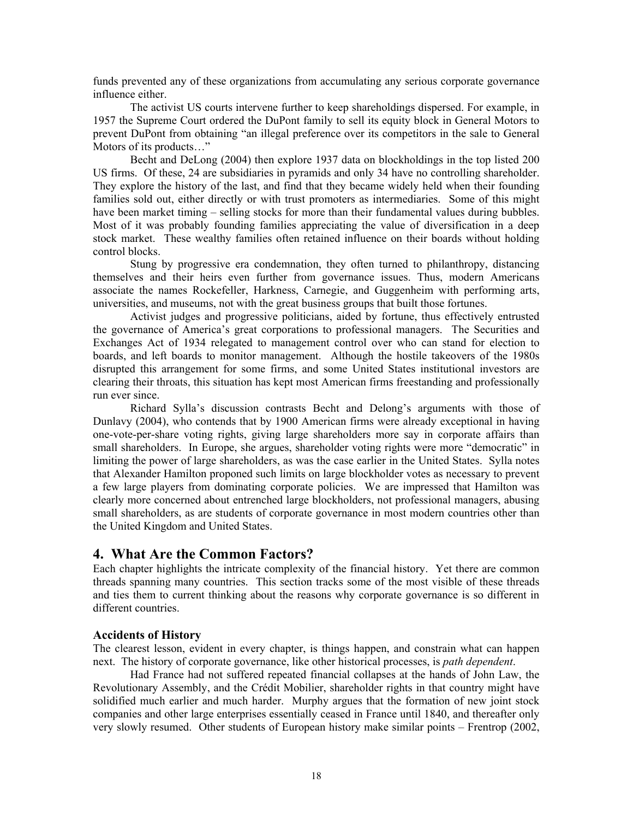funds prevented any of these organizations from accumulating any serious corporate governance influence either.

 The activist US courts intervene further to keep shareholdings dispersed. For example, in 1957 the Supreme Court ordered the DuPont family to sell its equity block in General Motors to prevent DuPont from obtaining "an illegal preference over its competitors in the sale to General Motors of its products..."

 Becht and DeLong (2004) then explore 1937 data on blockholdings in the top listed 200 US firms. Of these, 24 are subsidiaries in pyramids and only 34 have no controlling shareholder. They explore the history of the last, and find that they became widely held when their founding families sold out, either directly or with trust promoters as intermediaries. Some of this might have been market timing – selling stocks for more than their fundamental values during bubbles. Most of it was probably founding families appreciating the value of diversification in a deep stock market. These wealthy families often retained influence on their boards without holding control blocks.

 Stung by progressive era condemnation, they often turned to philanthropy, distancing themselves and their heirs even further from governance issues. Thus, modern Americans associate the names Rockefeller, Harkness, Carnegie, and Guggenheim with performing arts, universities, and museums, not with the great business groups that built those fortunes.

 Activist judges and progressive politicians, aided by fortune, thus effectively entrusted the governance of America's great corporations to professional managers. The Securities and Exchanges Act of 1934 relegated to management control over who can stand for election to boards, and left boards to monitor management. Although the hostile takeovers of the 1980s disrupted this arrangement for some firms, and some United States institutional investors are clearing their throats, this situation has kept most American firms freestanding and professionally run ever since.

 Richard Sylla's discussion contrasts Becht and Delong's arguments with those of Dunlavy (2004), who contends that by 1900 American firms were already exceptional in having one-vote-per-share voting rights, giving large shareholders more say in corporate affairs than small shareholders. In Europe, she argues, shareholder voting rights were more "democratic" in limiting the power of large shareholders, as was the case earlier in the United States. Sylla notes that Alexander Hamilton proponed such limits on large blockholder votes as necessary to prevent a few large players from dominating corporate policies. We are impressed that Hamilton was clearly more concerned about entrenched large blockholders, not professional managers, abusing small shareholders, as are students of corporate governance in most modern countries other than the United Kingdom and United States.

## **4. What Are the Common Factors?**

Each chapter highlights the intricate complexity of the financial history. Yet there are common threads spanning many countries. This section tracks some of the most visible of these threads and ties them to current thinking about the reasons why corporate governance is so different in different countries.

### **Accidents of History**

The clearest lesson, evident in every chapter, is things happen, and constrain what can happen next. The history of corporate governance, like other historical processes, is *path dependent*.

 Had France had not suffered repeated financial collapses at the hands of John Law, the Revolutionary Assembly, and the Crédit Mobilier, shareholder rights in that country might have solidified much earlier and much harder. Murphy argues that the formation of new joint stock companies and other large enterprises essentially ceased in France until 1840, and thereafter only very slowly resumed. Other students of European history make similar points – Frentrop (2002,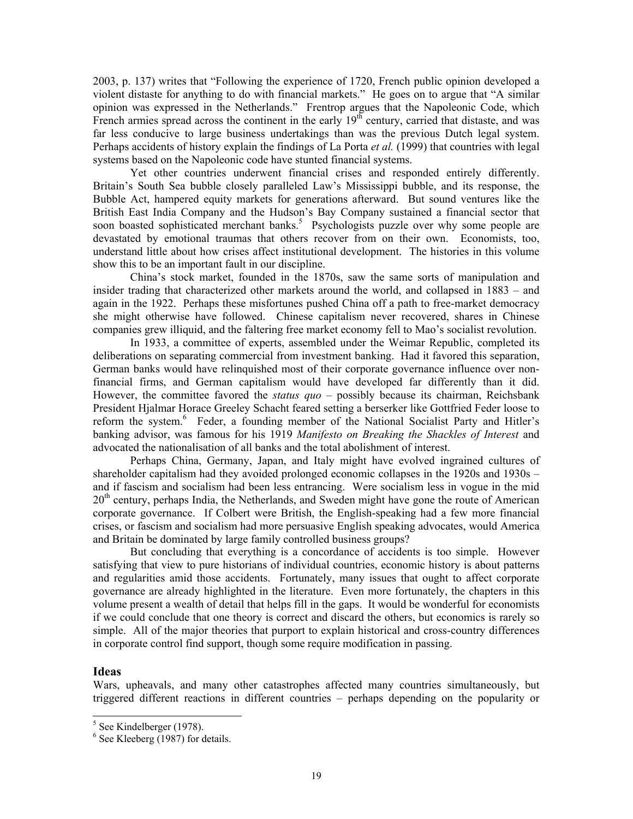2003, p. 137) writes that "Following the experience of 1720, French public opinion developed a violent distaste for anything to do with financial markets." He goes on to argue that "A similar opinion was expressed in the Netherlands." Frentrop argues that the Napoleonic Code, which French armies spread across the continent in the early  $19<sup>th</sup>$  century, carried that distaste, and was far less conducive to large business undertakings than was the previous Dutch legal system. Perhaps accidents of history explain the findings of La Porta *et al.* (1999) that countries with legal systems based on the Napoleonic code have stunted financial systems.

 Yet other countries underwent financial crises and responded entirely differently. Britain's South Sea bubble closely paralleled Law's Mississippi bubble, and its response, the Bubble Act, hampered equity markets for generations afterward. But sound ventures like the British East India Company and the Hudson's Bay Company sustained a financial sector that soon boasted sophisticated merchant banks.<sup>5</sup> Psychologists puzzle over why some people are devastated by emotional traumas that others recover from on their own. Economists, too, understand little about how crises affect institutional development. The histories in this volume show this to be an important fault in our discipline.

 China's stock market, founded in the 1870s, saw the same sorts of manipulation and insider trading that characterized other markets around the world, and collapsed in 1883 – and again in the 1922. Perhaps these misfortunes pushed China off a path to free-market democracy she might otherwise have followed. Chinese capitalism never recovered, shares in Chinese companies grew illiquid, and the faltering free market economy fell to Mao's socialist revolution.

 In 1933, a committee of experts, assembled under the Weimar Republic, completed its deliberations on separating commercial from investment banking. Had it favored this separation, German banks would have relinquished most of their corporate governance influence over nonfinancial firms, and German capitalism would have developed far differently than it did. However, the committee favored the *status quo* – possibly because its chairman, Reichsbank President Hjalmar Horace Greeley Schacht feared setting a berserker like Gottfried Feder loose to reform the system.<sup>6</sup> Feder, a founding member of the National Socialist Party and Hitler's banking advisor, was famous for his 1919 *Manifesto on Breaking the Shackles of Interest* and advocated the nationalisation of all banks and the total abolishment of interest.

 Perhaps China, Germany, Japan, and Italy might have evolved ingrained cultures of shareholder capitalism had they avoided prolonged economic collapses in the 1920s and 1930s – and if fascism and socialism had been less entrancing. Were socialism less in vogue in the mid  $20<sup>th</sup>$  century, perhaps India, the Netherlands, and Sweden might have gone the route of American corporate governance. If Colbert were British, the English-speaking had a few more financial crises, or fascism and socialism had more persuasive English speaking advocates, would America and Britain be dominated by large family controlled business groups?

 But concluding that everything is a concordance of accidents is too simple. However satisfying that view to pure historians of individual countries, economic history is about patterns and regularities amid those accidents. Fortunately, many issues that ought to affect corporate governance are already highlighted in the literature. Even more fortunately, the chapters in this volume present a wealth of detail that helps fill in the gaps. It would be wonderful for economists if we could conclude that one theory is correct and discard the others, but economics is rarely so simple. All of the major theories that purport to explain historical and cross-country differences in corporate control find support, though some require modification in passing.

### **Ideas**

Wars, upheavals, and many other catastrophes affected many countries simultaneously, but triggered different reactions in different countries – perhaps depending on the popularity or

 $<sup>5</sup>$  See Kindelberger (1978).</sup>

<sup>6</sup> See Kleeberg (1987) for details.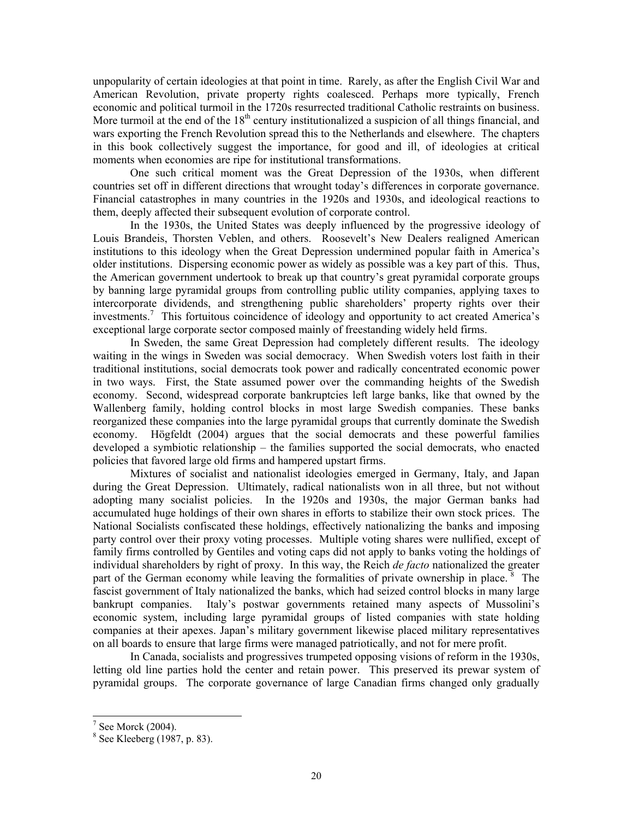unpopularity of certain ideologies at that point in time. Rarely, as after the English Civil War and American Revolution, private property rights coalesced. Perhaps more typically, French economic and political turmoil in the 1720s resurrected traditional Catholic restraints on business. More turmoil at the end of the  $18<sup>th</sup>$  century institutionalized a suspicion of all things financial, and wars exporting the French Revolution spread this to the Netherlands and elsewhere. The chapters in this book collectively suggest the importance, for good and ill, of ideologies at critical moments when economies are ripe for institutional transformations.

 One such critical moment was the Great Depression of the 1930s, when different countries set off in different directions that wrought today's differences in corporate governance. Financial catastrophes in many countries in the 1920s and 1930s, and ideological reactions to them, deeply affected their subsequent evolution of corporate control.

 In the 1930s, the United States was deeply influenced by the progressive ideology of Louis Brandeis, Thorsten Veblen, and others. Roosevelt's New Dealers realigned American institutions to this ideology when the Great Depression undermined popular faith in America's older institutions. Dispersing economic power as widely as possible was a key part of this. Thus, the American government undertook to break up that country's great pyramidal corporate groups by banning large pyramidal groups from controlling public utility companies, applying taxes to intercorporate dividends, and strengthening public shareholders' property rights over their investments.<sup>7</sup> This fortuitous coincidence of ideology and opportunity to act created America's exceptional large corporate sector composed mainly of freestanding widely held firms.

 In Sweden, the same Great Depression had completely different results. The ideology waiting in the wings in Sweden was social democracy. When Swedish voters lost faith in their traditional institutions, social democrats took power and radically concentrated economic power in two ways. First, the State assumed power over the commanding heights of the Swedish economy. Second, widespread corporate bankruptcies left large banks, like that owned by the Wallenberg family, holding control blocks in most large Swedish companies. These banks reorganized these companies into the large pyramidal groups that currently dominate the Swedish economy. Högfeldt (2004) argues that the social democrats and these powerful families developed a symbiotic relationship – the families supported the social democrats, who enacted policies that favored large old firms and hampered upstart firms.

 Mixtures of socialist and nationalist ideologies emerged in Germany, Italy, and Japan during the Great Depression. Ultimately, radical nationalists won in all three, but not without adopting many socialist policies. In the 1920s and 1930s, the major German banks had accumulated huge holdings of their own shares in efforts to stabilize their own stock prices. The National Socialists confiscated these holdings, effectively nationalizing the banks and imposing party control over their proxy voting processes. Multiple voting shares were nullified, except of family firms controlled by Gentiles and voting caps did not apply to banks voting the holdings of individual shareholders by right of proxy. In this way, the Reich *de facto* nationalized the greater part of the German economy while leaving the formalities of private ownership in place.<sup>8</sup> The fascist government of Italy nationalized the banks, which had seized control blocks in many large bankrupt companies. Italy's postwar governments retained many aspects of Mussolini's economic system, including large pyramidal groups of listed companies with state holding companies at their apexes. Japan's military government likewise placed military representatives on all boards to ensure that large firms were managed patriotically, and not for mere profit.

 In Canada, socialists and progressives trumpeted opposing visions of reform in the 1930s, letting old line parties hold the center and retain power. This preserved its prewar system of pyramidal groups. The corporate governance of large Canadian firms changed only gradually

 $\frac{7}{7}$  See Morck (2004).

<sup>8</sup> See Kleeberg (1987, p. 83).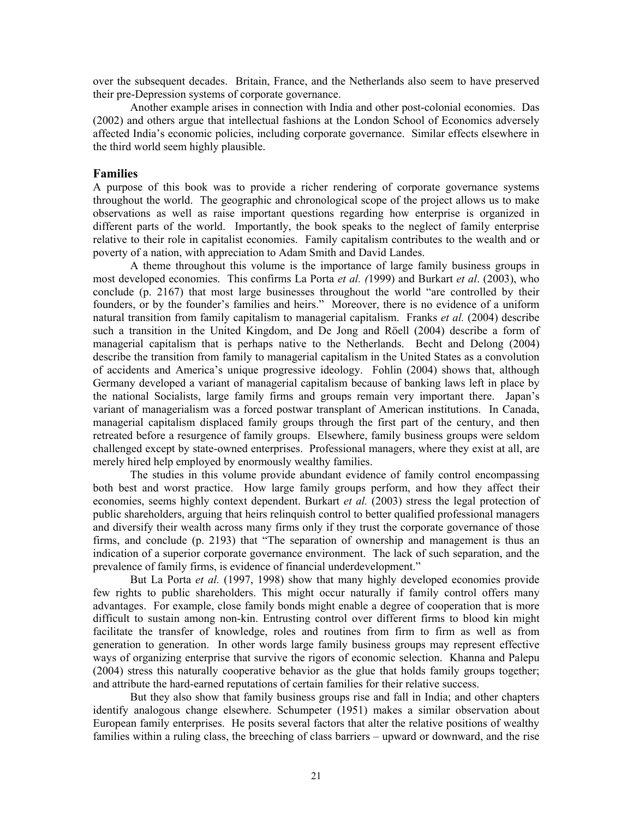over the subsequent decades. Britain, France, and the Netherlands also seem to have preserved their pre-Depression systems of corporate governance.

 Another example arises in connection with India and other post-colonial economies. Das (2002) and others argue that intellectual fashions at the London School of Economics adversely affected India's economic policies, including corporate governance. Similar effects elsewhere in the third world seem highly plausible.

#### **Families**

A purpose of this book was to provide a richer rendering of corporate governance systems throughout the world. The geographic and chronological scope of the project allows us to make observations as well as raise important questions regarding how enterprise is organized in different parts of the world. Importantly, the book speaks to the neglect of family enterprise relative to their role in capitalist economies. Family capitalism contributes to the wealth and or poverty of a nation, with appreciation to Adam Smith and David Landes.

 A theme throughout this volume is the importance of large family business groups in most developed economies. This confirms La Porta *et al. (*1999) and Burkart *et al*. (2003), who conclude (p. 2167) that most large businesses throughout the world "are controlled by their founders, or by the founder's families and heirs." Moreover, there is no evidence of a uniform natural transition from family capitalism to managerial capitalism. Franks *et al.* (2004) describe such a transition in the United Kingdom, and De Jong and Röell (2004) describe a form of managerial capitalism that is perhaps native to the Netherlands. Becht and Delong (2004) describe the transition from family to managerial capitalism in the United States as a convolution of accidents and America's unique progressive ideology. Fohlin (2004) shows that, although Germany developed a variant of managerial capitalism because of banking laws left in place by the national Socialists, large family firms and groups remain very important there. Japan's variant of managerialism was a forced postwar transplant of American institutions. In Canada, managerial capitalism displaced family groups through the first part of the century, and then retreated before a resurgence of family groups. Elsewhere, family business groups were seldom challenged except by state-owned enterprises. Professional managers, where they exist at all, are merely hired help employed by enormously wealthy families.

 The studies in this volume provide abundant evidence of family control encompassing both best and worst practice. How large family groups perform, and how they affect their economies, seems highly context dependent. Burkart *et al.* (2003) stress the legal protection of public shareholders, arguing that heirs relinquish control to better qualified professional managers and diversify their wealth across many firms only if they trust the corporate governance of those firms, and conclude (p. 2193) that "The separation of ownership and management is thus an indication of a superior corporate governance environment. The lack of such separation, and the prevalence of family firms, is evidence of financial underdevelopment."

 But La Porta *et al.* (1997, 1998) show that many highly developed economies provide few rights to public shareholders. This might occur naturally if family control offers many advantages. For example, close family bonds might enable a degree of cooperation that is more difficult to sustain among non-kin. Entrusting control over different firms to blood kin might facilitate the transfer of knowledge, roles and routines from firm to firm as well as from generation to generation. In other words large family business groups may represent effective ways of organizing enterprise that survive the rigors of economic selection. Khanna and Palepu (2004) stress this naturally cooperative behavior as the glue that holds family groups together; and attribute the hard-earned reputations of certain families for their relative success.

 But they also show that family business groups rise and fall in India; and other chapters identify analogous change elsewhere. Schumpeter (1951) makes a similar observation about European family enterprises. He posits several factors that alter the relative positions of wealthy families within a ruling class, the breeching of class barriers – upward or downward, and the rise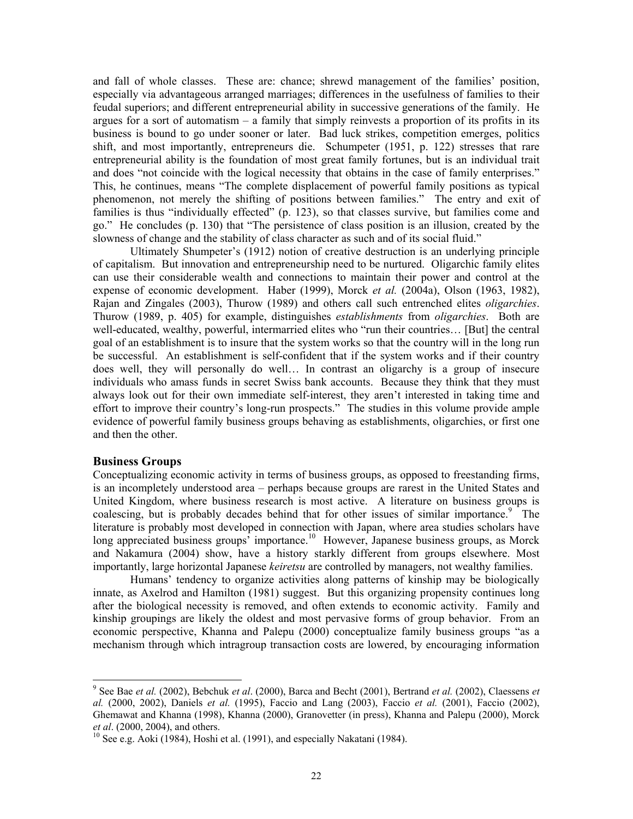and fall of whole classes. These are: chance; shrewd management of the families' position, especially via advantageous arranged marriages; differences in the usefulness of families to their feudal superiors; and different entrepreneurial ability in successive generations of the family. He argues for a sort of automatism  $-$  a family that simply reinvests a proportion of its profits in its business is bound to go under sooner or later. Bad luck strikes, competition emerges, politics shift, and most importantly, entrepreneurs die. Schumpeter (1951, p. 122) stresses that rare entrepreneurial ability is the foundation of most great family fortunes, but is an individual trait and does "not coincide with the logical necessity that obtains in the case of family enterprises." This, he continues, means "The complete displacement of powerful family positions as typical phenomenon, not merely the shifting of positions between families." The entry and exit of families is thus "individually effected" (p. 123), so that classes survive, but families come and go." He concludes (p. 130) that "The persistence of class position is an illusion, created by the slowness of change and the stability of class character as such and of its social fluid."

 Ultimately Shumpeter's (1912) notion of creative destruction is an underlying principle of capitalism. But innovation and entrepreneurship need to be nurtured. Oligarchic family elites can use their considerable wealth and connections to maintain their power and control at the expense of economic development. Haber (1999), Morck *et al.* (2004a), Olson (1963, 1982), Rajan and Zingales (2003), Thurow (1989) and others call such entrenched elites *oligarchies*. Thurow (1989, p. 405) for example, distinguishes *establishments* from *oligarchies*. Both are well-educated, wealthy, powerful, intermarried elites who "run their countries… [But] the central goal of an establishment is to insure that the system works so that the country will in the long run be successful. An establishment is self-confident that if the system works and if their country does well, they will personally do well… In contrast an oligarchy is a group of insecure individuals who amass funds in secret Swiss bank accounts. Because they think that they must always look out for their own immediate self-interest, they aren't interested in taking time and effort to improve their country's long-run prospects." The studies in this volume provide ample evidence of powerful family business groups behaving as establishments, oligarchies, or first one and then the other.

#### **Business Groups**

Conceptualizing economic activity in terms of business groups, as opposed to freestanding firms, is an incompletely understood area – perhaps because groups are rarest in the United States and United Kingdom, where business research is most active. A literature on business groups is coalescing, but is probably decades behind that for other issues of similar importance.<sup>9</sup> The literature is probably most developed in connection with Japan, where area studies scholars have long appreciated business groups<sup>3</sup> importance.<sup>10</sup> However, Japanese business groups, as Morck and Nakamura (2004) show, have a history starkly different from groups elsewhere. Most importantly, large horizontal Japanese *keiretsu* are controlled by managers, not wealthy families.

 Humans' tendency to organize activities along patterns of kinship may be biologically innate, as Axelrod and Hamilton (1981) suggest. But this organizing propensity continues long after the biological necessity is removed, and often extends to economic activity. Family and kinship groupings are likely the oldest and most pervasive forms of group behavior. From an economic perspective, Khanna and Palepu (2000) conceptualize family business groups "as a mechanism through which intragroup transaction costs are lowered, by encouraging information

 9 See Bae *et al.* (2002), Bebchuk *et al*. (2000), Barca and Becht (2001), Bertrand *et al.* (2002), Claessens *et al.* (2000, 2002), Daniels *et al.* (1995), Faccio and Lang (2003), Faccio *et al.* (2001), Faccio (2002), Ghemawat and Khanna (1998), Khanna (2000), Granovetter (in press), Khanna and Palepu (2000), Morck et al. (2000, 2004), and others.

<sup>&</sup>lt;sup>10</sup> See e.g. Aoki (1984), Hoshi et al. (1991), and especially Nakatani (1984).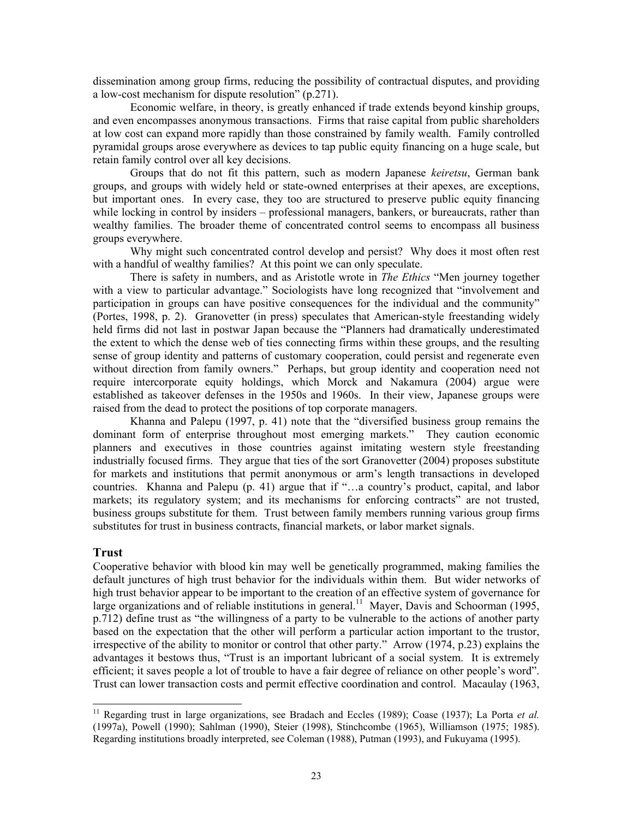dissemination among group firms, reducing the possibility of contractual disputes, and providing a low-cost mechanism for dispute resolution" (p.271).

Economic welfare, in theory, is greatly enhanced if trade extends beyond kinship groups, and even encompasses anonymous transactions. Firms that raise capital from public shareholders at low cost can expand more rapidly than those constrained by family wealth. Family controlled pyramidal groups arose everywhere as devices to tap public equity financing on a huge scale, but retain family control over all key decisions.

Groups that do not fit this pattern, such as modern Japanese *keiretsu*, German bank groups, and groups with widely held or state-owned enterprises at their apexes, are exceptions, but important ones. In every case, they too are structured to preserve public equity financing while locking in control by insiders – professional managers, bankers, or bureaucrats, rather than wealthy families. The broader theme of concentrated control seems to encompass all business groups everywhere.

Why might such concentrated control develop and persist? Why does it most often rest with a handful of wealthy families? At this point we can only speculate.

There is safety in numbers, and as Aristotle wrote in *The Ethics* "Men journey together with a view to particular advantage." Sociologists have long recognized that "involvement and participation in groups can have positive consequences for the individual and the community" (Portes, 1998, p. 2). Granovetter (in press) speculates that American-style freestanding widely held firms did not last in postwar Japan because the "Planners had dramatically underestimated the extent to which the dense web of ties connecting firms within these groups, and the resulting sense of group identity and patterns of customary cooperation, could persist and regenerate even without direction from family owners." Perhaps, but group identity and cooperation need not require intercorporate equity holdings, which Morck and Nakamura (2004) argue were established as takeover defenses in the 1950s and 1960s. In their view, Japanese groups were raised from the dead to protect the positions of top corporate managers.

Khanna and Palepu (1997, p. 41) note that the "diversified business group remains the dominant form of enterprise throughout most emerging markets." They caution economic planners and executives in those countries against imitating western style freestanding industrially focused firms. They argue that ties of the sort Granovetter (2004) proposes substitute for markets and institutions that permit anonymous or arm's length transactions in developed countries. Khanna and Palepu (p. 41) argue that if "…a country's product, capital, and labor markets; its regulatory system; and its mechanisms for enforcing contracts" are not trusted, business groups substitute for them. Trust between family members running various group firms substitutes for trust in business contracts, financial markets, or labor market signals.

## **Trust**

l

Cooperative behavior with blood kin may well be genetically programmed, making families the default junctures of high trust behavior for the individuals within them. But wider networks of high trust behavior appear to be important to the creation of an effective system of governance for large organizations and of reliable institutions in general.<sup>11</sup> Mayer, Davis and Schoorman (1995, p.712) define trust as "the willingness of a party to be vulnerable to the actions of another party based on the expectation that the other will perform a particular action important to the trustor, irrespective of the ability to monitor or control that other party." Arrow (1974, p.23) explains the advantages it bestows thus, "Trust is an important lubricant of a social system. It is extremely efficient; it saves people a lot of trouble to have a fair degree of reliance on other people's word". Trust can lower transaction costs and permit effective coordination and control. Macaulay (1963,

<sup>&</sup>lt;sup>11</sup> Regarding trust in large organizations, see Bradach and Eccles (1989); Coase (1937); La Porta et al. (1997a), Powell (1990); Sahlman (1990), Steier (1998), Stinchcombe (1965), Williamson (1975; 1985). Regarding institutions broadly interpreted, see Coleman (1988), Putman (1993), and Fukuyama (1995).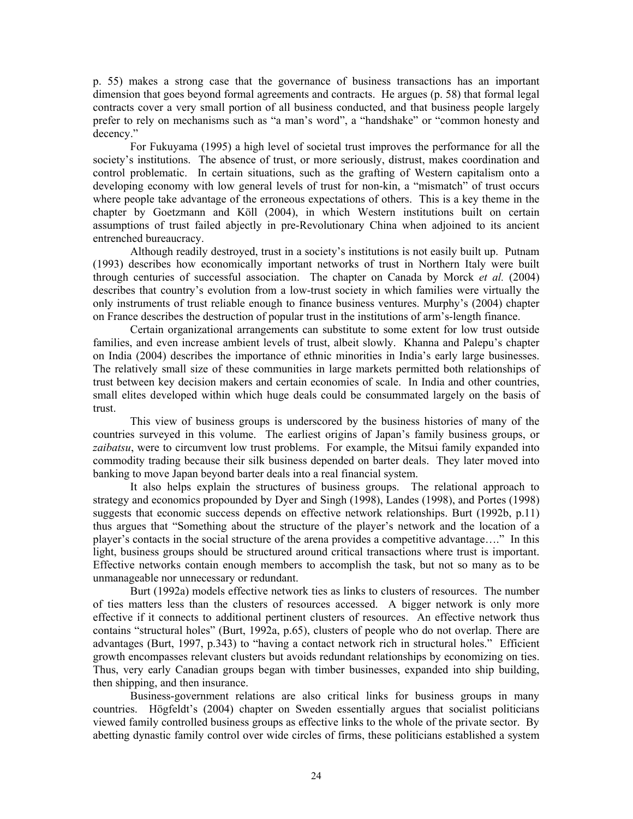p. 55) makes a strong case that the governance of business transactions has an important dimension that goes beyond formal agreements and contracts. He argues (p. 58) that formal legal contracts cover a very small portion of all business conducted, and that business people largely prefer to rely on mechanisms such as "a man's word", a "handshake" or "common honesty and decency."

 For Fukuyama (1995) a high level of societal trust improves the performance for all the society's institutions. The absence of trust, or more seriously, distrust, makes coordination and control problematic. In certain situations, such as the grafting of Western capitalism onto a developing economy with low general levels of trust for non-kin, a "mismatch" of trust occurs where people take advantage of the erroneous expectations of others. This is a key theme in the chapter by Goetzmann and Köll (2004), in which Western institutions built on certain assumptions of trust failed abjectly in pre-Revolutionary China when adjoined to its ancient entrenched bureaucracy.

 Although readily destroyed, trust in a society's institutions is not easily built up. Putnam (1993) describes how economically important networks of trust in Northern Italy were built through centuries of successful association. The chapter on Canada by Morck *et al.* (2004) describes that country's evolution from a low-trust society in which families were virtually the only instruments of trust reliable enough to finance business ventures. Murphy's (2004) chapter on France describes the destruction of popular trust in the institutions of arm's-length finance.

 Certain organizational arrangements can substitute to some extent for low trust outside families, and even increase ambient levels of trust, albeit slowly. Khanna and Palepu's chapter on India (2004) describes the importance of ethnic minorities in India's early large businesses. The relatively small size of these communities in large markets permitted both relationships of trust between key decision makers and certain economies of scale. In India and other countries, small elites developed within which huge deals could be consummated largely on the basis of trust.

 This view of business groups is underscored by the business histories of many of the countries surveyed in this volume. The earliest origins of Japan's family business groups, or *zaibatsu*, were to circumvent low trust problems. For example, the Mitsui family expanded into commodity trading because their silk business depended on barter deals. They later moved into banking to move Japan beyond barter deals into a real financial system.

 It also helps explain the structures of business groups. The relational approach to strategy and economics propounded by Dyer and Singh (1998), Landes (1998), and Portes (1998) suggests that economic success depends on effective network relationships. Burt (1992b, p.11) thus argues that "Something about the structure of the player's network and the location of a player's contacts in the social structure of the arena provides a competitive advantage…." In this light, business groups should be structured around critical transactions where trust is important. Effective networks contain enough members to accomplish the task, but not so many as to be unmanageable nor unnecessary or redundant.

Burt (1992a) models effective network ties as links to clusters of resources. The number of ties matters less than the clusters of resources accessed. A bigger network is only more effective if it connects to additional pertinent clusters of resources. An effective network thus contains "structural holes" (Burt, 1992a, p.65), clusters of people who do not overlap. There are advantages (Burt, 1997, p.343) to "having a contact network rich in structural holes." Efficient growth encompasses relevant clusters but avoids redundant relationships by economizing on ties. Thus, very early Canadian groups began with timber businesses, expanded into ship building, then shipping, and then insurance.

 Business-government relations are also critical links for business groups in many countries. Högfeldt's (2004) chapter on Sweden essentially argues that socialist politicians viewed family controlled business groups as effective links to the whole of the private sector. By abetting dynastic family control over wide circles of firms, these politicians established a system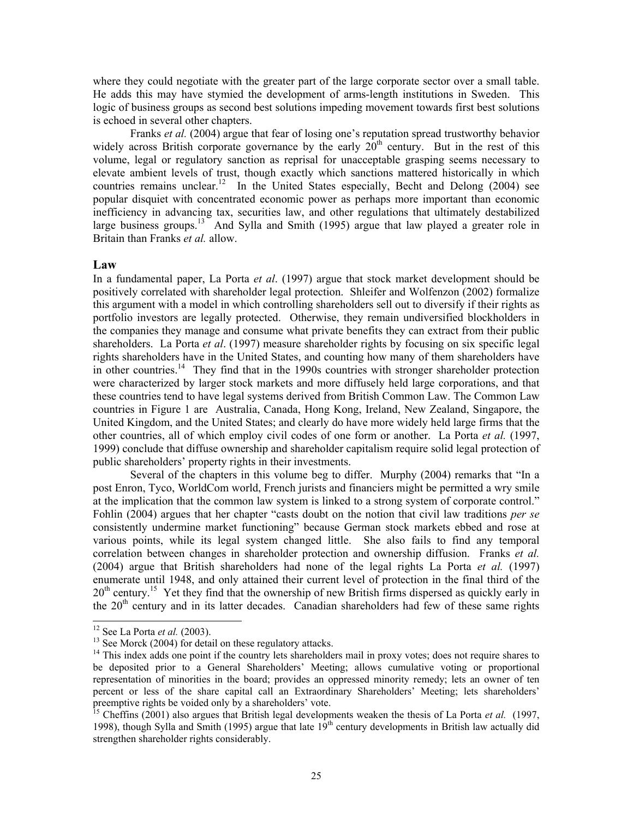where they could negotiate with the greater part of the large corporate sector over a small table. He adds this may have stymied the development of arms-length institutions in Sweden. This logic of business groups as second best solutions impeding movement towards first best solutions is echoed in several other chapters.

 Franks *et al.* (2004) argue that fear of losing one's reputation spread trustworthy behavior widely across British corporate governance by the early  $20<sup>th</sup>$  century. But in the rest of this volume, legal or regulatory sanction as reprisal for unacceptable grasping seems necessary to elevate ambient levels of trust, though exactly which sanctions mattered historically in which countries remains unclear.<sup>12</sup> In the United States especially, Becht and Delong  $(2004)$  see popular disquiet with concentrated economic power as perhaps more important than economic inefficiency in advancing tax, securities law, and other regulations that ultimately destabilized large business groups.<sup>13</sup> And Sylla and Smith (1995) argue that law played a greater role in Britain than Franks *et al.* allow.

#### **Law**

In a fundamental paper, La Porta *et al*. (1997) argue that stock market development should be positively correlated with shareholder legal protection. Shleifer and Wolfenzon (2002) formalize this argument with a model in which controlling shareholders sell out to diversify if their rights as portfolio investors are legally protected. Otherwise, they remain undiversified blockholders in the companies they manage and consume what private benefits they can extract from their public shareholders. La Porta *et al*. (1997) measure shareholder rights by focusing on six specific legal rights shareholders have in the United States, and counting how many of them shareholders have in other countries.<sup>14</sup> They find that in the 1990s countries with stronger shareholder protection were characterized by larger stock markets and more diffusely held large corporations, and that these countries tend to have legal systems derived from British Common Law. The Common Law countries in Figure 1 are Australia, Canada, Hong Kong, Ireland, New Zealand, Singapore, the United Kingdom, and the United States; and clearly do have more widely held large firms that the other countries, all of which employ civil codes of one form or another. La Porta *et al.* (1997, 1999) conclude that diffuse ownership and shareholder capitalism require solid legal protection of public shareholders' property rights in their investments.

 Several of the chapters in this volume beg to differ. Murphy (2004) remarks that "In a post Enron, Tyco, WorldCom world, French jurists and financiers might be permitted a wry smile at the implication that the common law system is linked to a strong system of corporate control." Fohlin (2004) argues that her chapter "casts doubt on the notion that civil law traditions *per se*  consistently undermine market functioning" because German stock markets ebbed and rose at various points, while its legal system changed little. She also fails to find any temporal correlation between changes in shareholder protection and ownership diffusion. Franks *et al.* (2004) argue that British shareholders had none of the legal rights La Porta *et al.* (1997) enumerate until 1948, and only attained their current level of protection in the final third of the 20<sup>th</sup> century.<sup>15</sup> Yet they find that the ownership of new British firms dispersed as quickly early in the 20<sup>th</sup> century and in its latter decades. Canadian shareholders had few of these same rights

<sup>&</sup>lt;sup>12</sup> See La Porta *et al.* (2003). <sup>13</sup> See Morck (2004) for detail on these regulatory attacks.

<sup>&</sup>lt;sup>14</sup> This index adds one point if the country lets shareholders mail in proxy votes; does not require shares to be deposited prior to a General Shareholders' Meeting; allows cumulative voting or proportional representation of minorities in the board; provides an oppressed minority remedy; lets an owner of ten percent or less of the share capital call an Extraordinary Shareholders' Meeting; lets shareholders' preemptive rights be voided only by a shareholders' vote.

<sup>&</sup>lt;sup>15</sup> Cheffins (2001) also argues that British legal developments weaken the thesis of La Porta *et al.* (1997, 1998), though Sylla and Smith (1995) argue that late  $19<sup>th</sup>$  century developments in British law actually did strengthen shareholder rights considerably.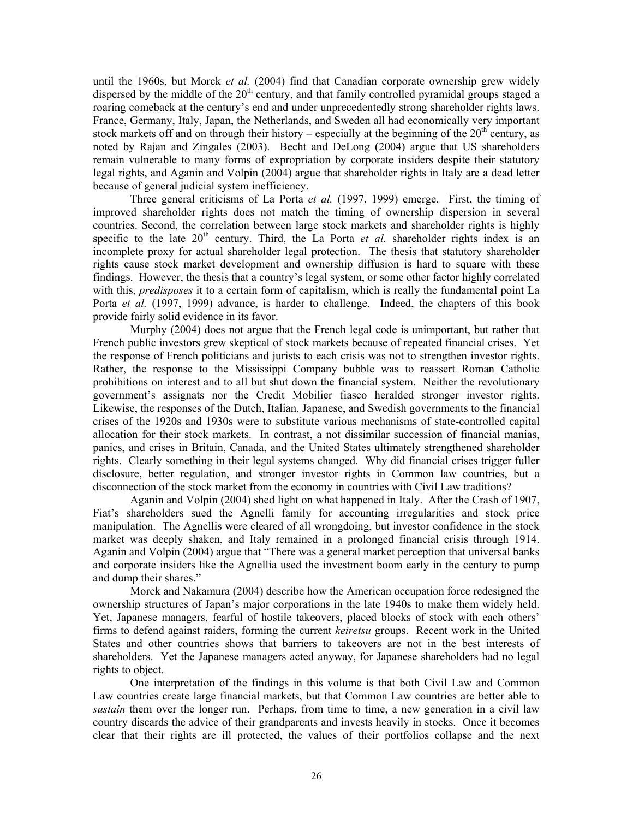until the 1960s, but Morck *et al.* (2004) find that Canadian corporate ownership grew widely dispersed by the middle of the  $20<sup>th</sup>$  century, and that family controlled pyramidal groups staged a roaring comeback at the century's end and under unprecedentedly strong shareholder rights laws. France, Germany, Italy, Japan, the Netherlands, and Sweden all had economically very important stock markets off and on through their history – especially at the beginning of the  $20<sup>th</sup>$  century, as noted by Rajan and Zingales (2003). Becht and DeLong (2004) argue that US shareholders remain vulnerable to many forms of expropriation by corporate insiders despite their statutory legal rights, and Aganin and Volpin (2004) argue that shareholder rights in Italy are a dead letter because of general judicial system inefficiency.

 Three general criticisms of La Porta *et al.* (1997, 1999) emerge. First, the timing of improved shareholder rights does not match the timing of ownership dispersion in several countries. Second, the correlation between large stock markets and shareholder rights is highly specific to the late  $20<sup>th</sup>$  century. Third, the La Porta *et al.* shareholder rights index is an incomplete proxy for actual shareholder legal protection. The thesis that statutory shareholder rights cause stock market development and ownership diffusion is hard to square with these findings. However, the thesis that a country's legal system, or some other factor highly correlated with this, *predisposes* it to a certain form of capitalism, which is really the fundamental point La Porta *et al.* (1997, 1999) advance, is harder to challenge. Indeed, the chapters of this book provide fairly solid evidence in its favor.

 Murphy (2004) does not argue that the French legal code is unimportant, but rather that French public investors grew skeptical of stock markets because of repeated financial crises. Yet the response of French politicians and jurists to each crisis was not to strengthen investor rights. Rather, the response to the Mississippi Company bubble was to reassert Roman Catholic prohibitions on interest and to all but shut down the financial system. Neither the revolutionary government's assignats nor the Credit Mobilier fiasco heralded stronger investor rights. Likewise, the responses of the Dutch, Italian, Japanese, and Swedish governments to the financial crises of the 1920s and 1930s were to substitute various mechanisms of state-controlled capital allocation for their stock markets. In contrast, a not dissimilar succession of financial manias, panics, and crises in Britain, Canada, and the United States ultimately strengthened shareholder rights. Clearly something in their legal systems changed. Why did financial crises trigger fuller disclosure, better regulation, and stronger investor rights in Common law countries, but a disconnection of the stock market from the economy in countries with Civil Law traditions?

 Aganin and Volpin (2004) shed light on what happened in Italy. After the Crash of 1907, Fiat's shareholders sued the Agnelli family for accounting irregularities and stock price manipulation. The Agnellis were cleared of all wrongdoing, but investor confidence in the stock market was deeply shaken, and Italy remained in a prolonged financial crisis through 1914. Aganin and Volpin (2004) argue that "There was a general market perception that universal banks and corporate insiders like the Agnellia used the investment boom early in the century to pump and dump their shares."

 Morck and Nakamura (2004) describe how the American occupation force redesigned the ownership structures of Japan's major corporations in the late 1940s to make them widely held. Yet, Japanese managers, fearful of hostile takeovers, placed blocks of stock with each others' firms to defend against raiders, forming the current *keiretsu* groups. Recent work in the United States and other countries shows that barriers to takeovers are not in the best interests of shareholders. Yet the Japanese managers acted anyway, for Japanese shareholders had no legal rights to object.

 One interpretation of the findings in this volume is that both Civil Law and Common Law countries create large financial markets, but that Common Law countries are better able to *sustain* them over the longer run. Perhaps, from time to time, a new generation in a civil law country discards the advice of their grandparents and invests heavily in stocks. Once it becomes clear that their rights are ill protected, the values of their portfolios collapse and the next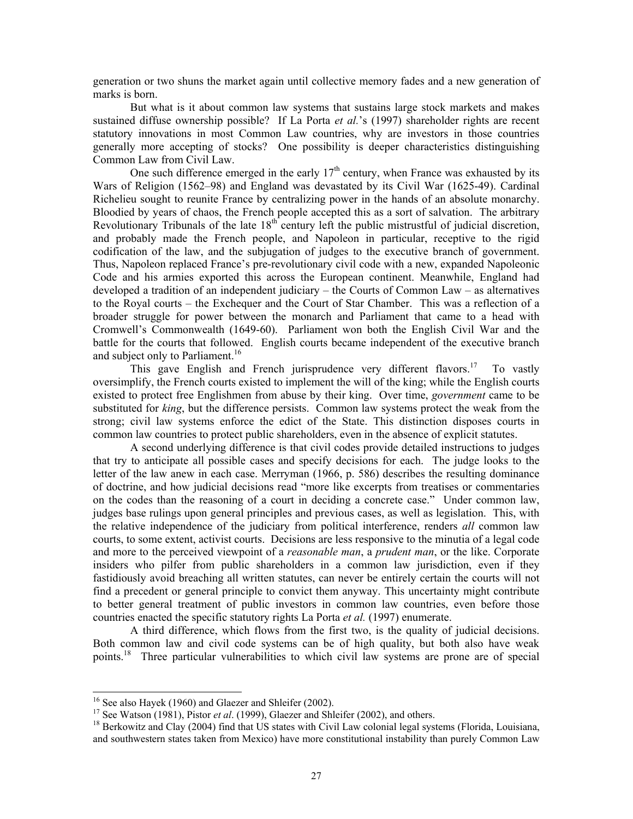generation or two shuns the market again until collective memory fades and a new generation of marks is born.

 But what is it about common law systems that sustains large stock markets and makes sustained diffuse ownership possible? If La Porta *et al.*'s (1997) shareholder rights are recent statutory innovations in most Common Law countries, why are investors in those countries generally more accepting of stocks? One possibility is deeper characteristics distinguishing Common Law from Civil Law.

One such difference emerged in the early  $17<sup>th</sup>$  century, when France was exhausted by its Wars of Religion (1562–98) and England was devastated by its Civil War (1625-49). Cardinal Richelieu sought to reunite France by centralizing power in the hands of an absolute monarchy. Bloodied by years of chaos, the French people accepted this as a sort of salvation. The arbitrary Revolutionary Tribunals of the late  $18<sup>th</sup>$  century left the public mistrustful of judicial discretion, and probably made the French people, and Napoleon in particular, receptive to the rigid codification of the law, and the subjugation of judges to the executive branch of government. Thus, Napoleon replaced France's pre-revolutionary civil code with a new, expanded Napoleonic Code and his armies exported this across the European continent. Meanwhile, England had developed a tradition of an independent judiciary – the Courts of Common Law – as alternatives to the Royal courts – the Exchequer and the Court of Star Chamber. This was a reflection of a broader struggle for power between the monarch and Parliament that came to a head with Cromwell's Commonwealth (1649-60). Parliament won both the English Civil War and the battle for the courts that followed. English courts became independent of the executive branch and subject only to Parliament.<sup>16</sup>

This gave English and French jurisprudence very different flavors.<sup>17</sup> To vastly oversimplify, the French courts existed to implement the will of the king; while the English courts existed to protect free Englishmen from abuse by their king. Over time, *government* came to be substituted for *king*, but the difference persists. Common law systems protect the weak from the strong; civil law systems enforce the edict of the State. This distinction disposes courts in common law countries to protect public shareholders, even in the absence of explicit statutes.

 A second underlying difference is that civil codes provide detailed instructions to judges that try to anticipate all possible cases and specify decisions for each. The judge looks to the letter of the law anew in each case. Merryman (1966, p. 586) describes the resulting dominance of doctrine, and how judicial decisions read "more like excerpts from treatises or commentaries on the codes than the reasoning of a court in deciding a concrete case." Under common law, judges base rulings upon general principles and previous cases, as well as legislation. This, with the relative independence of the judiciary from political interference, renders *all* common law courts, to some extent, activist courts. Decisions are less responsive to the minutia of a legal code and more to the perceived viewpoint of a *reasonable man*, a *prudent man*, or the like. Corporate insiders who pilfer from public shareholders in a common law jurisdiction, even if they fastidiously avoid breaching all written statutes, can never be entirely certain the courts will not find a precedent or general principle to convict them anyway. This uncertainty might contribute to better general treatment of public investors in common law countries, even before those countries enacted the specific statutory rights La Porta *et al.* (1997) enumerate.

 A third difference, which flows from the first two, is the quality of judicial decisions. Both common law and civil code systems can be of high quality, but both also have weak points.<sup>18</sup> Three particular vulnerabilities to which civil law systems are prone are of special

 $16$  See also Hayek (1960) and Glaezer and Shleifer (2002).

<sup>&</sup>lt;sup>17</sup> See Watson (1981), Pistor *et al.* (1999), Glaezer and Shleifer (2002), and others.<br><sup>18</sup> Berkowitz and Clay (2004) find that US states with Civil Law colonial legal systems (Florida, Louisiana, and southwestern states taken from Mexico) have more constitutional instability than purely Common Law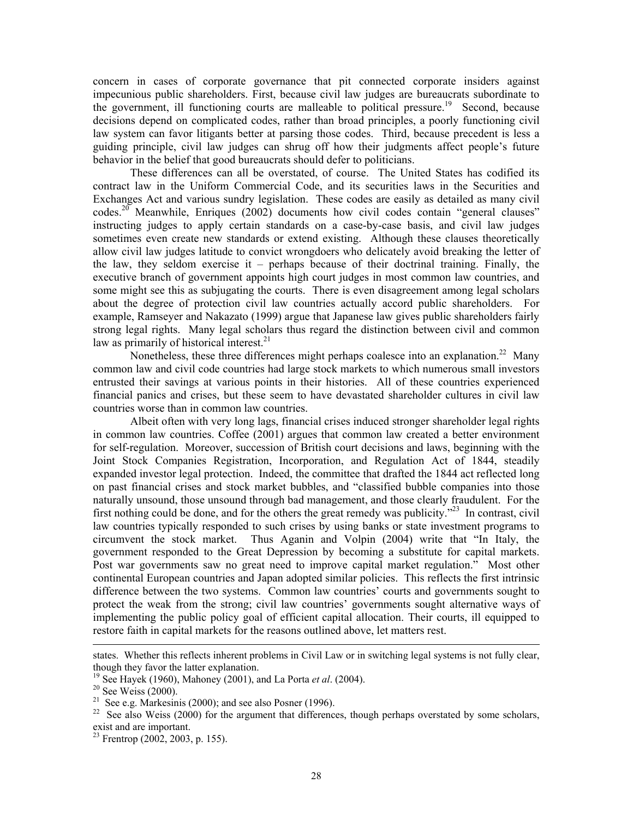concern in cases of corporate governance that pit connected corporate insiders against impecunious public shareholders. First, because civil law judges are bureaucrats subordinate to the government, ill functioning courts are malleable to political pressure.<sup>19</sup> Second, because decisions depend on complicated codes, rather than broad principles, a poorly functioning civil law system can favor litigants better at parsing those codes. Third, because precedent is less a guiding principle, civil law judges can shrug off how their judgments affect people's future behavior in the belief that good bureaucrats should defer to politicians.

 These differences can all be overstated, of course. The United States has codified its contract law in the Uniform Commercial Code, and its securities laws in the Securities and Exchanges Act and various sundry legislation. These codes are easily as detailed as many civil  $\text{codes.}^{20}$  Meanwhile, Enriques (2002) documents how civil codes contain "general clauses" instructing judges to apply certain standards on a case-by-case basis, and civil law judges sometimes even create new standards or extend existing. Although these clauses theoretically allow civil law judges latitude to convict wrongdoers who delicately avoid breaking the letter of the law, they seldom exercise it – perhaps because of their doctrinal training. Finally, the executive branch of government appoints high court judges in most common law countries, and some might see this as subjugating the courts. There is even disagreement among legal scholars about the degree of protection civil law countries actually accord public shareholders. For example, Ramseyer and Nakazato (1999) argue that Japanese law gives public shareholders fairly strong legal rights. Many legal scholars thus regard the distinction between civil and common law as primarily of historical interest. $21$ 

Nonetheless, these three differences might perhaps coalesce into an explanation.<sup>22</sup> Many common law and civil code countries had large stock markets to which numerous small investors entrusted their savings at various points in their histories. All of these countries experienced financial panics and crises, but these seem to have devastated shareholder cultures in civil law countries worse than in common law countries.

 Albeit often with very long lags, financial crises induced stronger shareholder legal rights in common law countries. Coffee (2001) argues that common law created a better environment for self-regulation. Moreover, succession of British court decisions and laws, beginning with the Joint Stock Companies Registration, Incorporation, and Regulation Act of 1844, steadily expanded investor legal protection. Indeed, the committee that drafted the 1844 act reflected long on past financial crises and stock market bubbles, and "classified bubble companies into those naturally unsound, those unsound through bad management, and those clearly fraudulent. For the first nothing could be done, and for the others the great remedy was publicity."23 In contrast, civil law countries typically responded to such crises by using banks or state investment programs to circumvent the stock market. Thus Aganin and Volpin (2004) write that "In Italy, the government responded to the Great Depression by becoming a substitute for capital markets. Post war governments saw no great need to improve capital market regulation." Most other continental European countries and Japan adopted similar policies. This reflects the first intrinsic difference between the two systems. Common law countries' courts and governments sought to protect the weak from the strong; civil law countries' governments sought alternative ways of implementing the public policy goal of efficient capital allocation. Their courts, ill equipped to restore faith in capital markets for the reasons outlined above, let matters rest.

states. Whether this reflects inherent problems in Civil Law or in switching legal systems is not fully clear, though they favor the latter explanation.

<sup>&</sup>lt;sup>19</sup> See Hayek (1960), Mahoney (2001), and La Porta *et al.* (2004).<br><sup>20</sup> See Weiss (2000).<br><sup>21</sup> See e.g. Markesinis (2000); and see also Posner (1996).

 $22$  See also Weiss (2000) for the argument that differences, though perhaps overstated by some scholars, exist and are important.

 $2<sup>23</sup>$  Frentrop (2002, 2003, p. 155).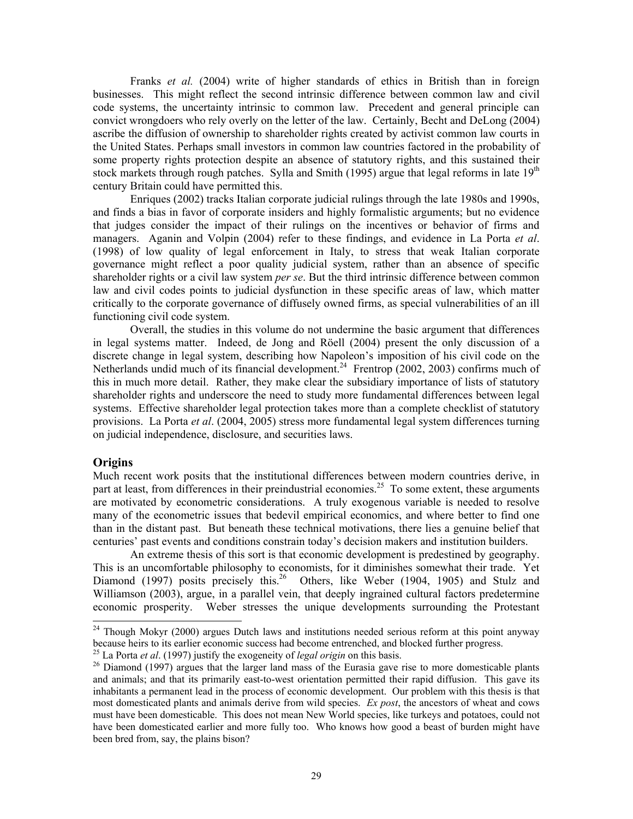Franks *et al.* (2004) write of higher standards of ethics in British than in foreign businesses. This might reflect the second intrinsic difference between common law and civil code systems, the uncertainty intrinsic to common law. Precedent and general principle can convict wrongdoers who rely overly on the letter of the law. Certainly, Becht and DeLong (2004) ascribe the diffusion of ownership to shareholder rights created by activist common law courts in the United States. Perhaps small investors in common law countries factored in the probability of some property rights protection despite an absence of statutory rights, and this sustained their stock markets through rough patches. Sylla and Smith (1995) argue that legal reforms in late  $19<sup>th</sup>$ century Britain could have permitted this.

 Enriques (2002) tracks Italian corporate judicial rulings through the late 1980s and 1990s, and finds a bias in favor of corporate insiders and highly formalistic arguments; but no evidence that judges consider the impact of their rulings on the incentives or behavior of firms and managers. Aganin and Volpin (2004) refer to these findings, and evidence in La Porta *et al*. (1998) of low quality of legal enforcement in Italy, to stress that weak Italian corporate governance might reflect a poor quality judicial system, rather than an absence of specific shareholder rights or a civil law system *per se*. But the third intrinsic difference between common law and civil codes points to judicial dysfunction in these specific areas of law, which matter critically to the corporate governance of diffusely owned firms, as special vulnerabilities of an ill functioning civil code system.

 Overall, the studies in this volume do not undermine the basic argument that differences in legal systems matter. Indeed, de Jong and Röell (2004) present the only discussion of a discrete change in legal system, describing how Napoleon's imposition of his civil code on the Netherlands undid much of its financial development.<sup>24</sup> Frentrop (2002, 2003) confirms much of this in much more detail. Rather, they make clear the subsidiary importance of lists of statutory shareholder rights and underscore the need to study more fundamental differences between legal systems. Effective shareholder legal protection takes more than a complete checklist of statutory provisions. La Porta *et al*. (2004, 2005) stress more fundamental legal system differences turning on judicial independence, disclosure, and securities laws.

## **Origins**

 $\overline{a}$ 

Much recent work posits that the institutional differences between modern countries derive, in part at least, from differences in their preindustrial economies.<sup>25</sup> To some extent, these arguments are motivated by econometric considerations. A truly exogenous variable is needed to resolve many of the econometric issues that bedevil empirical economics, and where better to find one than in the distant past. But beneath these technical motivations, there lies a genuine belief that centuries' past events and conditions constrain today's decision makers and institution builders.

 An extreme thesis of this sort is that economic development is predestined by geography. This is an uncomfortable philosophy to economists, for it diminishes somewhat their trade. Yet Diamond (1997) posits precisely this.<sup>26</sup> Others, like Weber (1904, 1905) and Stulz and Williamson (2003), argue, in a parallel vein, that deeply ingrained cultural factors predetermine economic prosperity. Weber stresses the unique developments surrounding the Protestant

 $^{24}$  Though Mokyr (2000) argues Dutch laws and institutions needed serious reform at this point anyway because heirs to its earlier economic success had become entrenched, and blocked further progress.

<sup>&</sup>lt;sup>25</sup> La Porta *et al.* (1997) justify the exogeneity of *legal origin* on this basis.<br><sup>26</sup> Diamond (1997) argues that the larger land mass of the Eurasia gave rise to more domesticable plants and animals; and that its primarily east-to-west orientation permitted their rapid diffusion. This gave its inhabitants a permanent lead in the process of economic development. Our problem with this thesis is that most domesticated plants and animals derive from wild species. *Ex post*, the ancestors of wheat and cows must have been domesticable. This does not mean New World species, like turkeys and potatoes, could not have been domesticated earlier and more fully too. Who knows how good a beast of burden might have been bred from, say, the plains bison?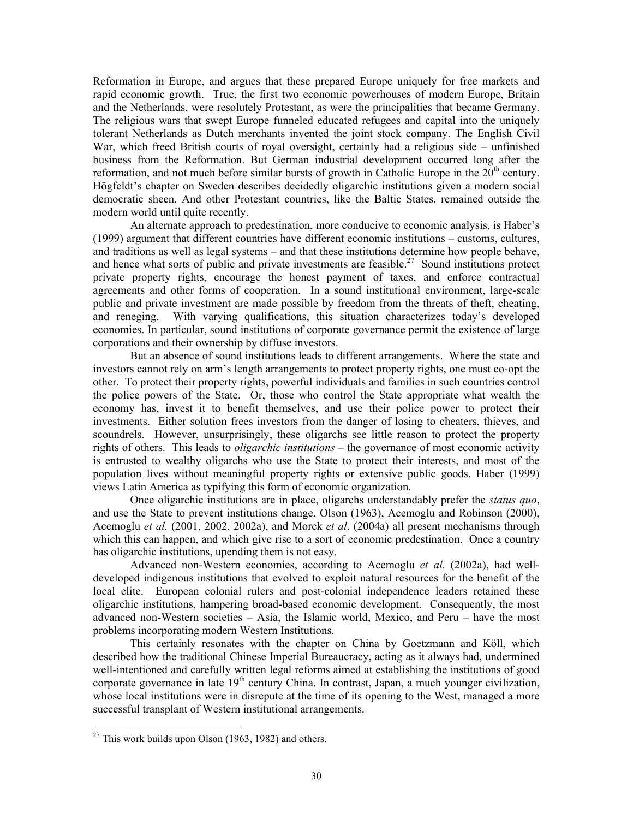Reformation in Europe, and argues that these prepared Europe uniquely for free markets and rapid economic growth. True, the first two economic powerhouses of modern Europe, Britain and the Netherlands, were resolutely Protestant, as were the principalities that became Germany. The religious wars that swept Europe funneled educated refugees and capital into the uniquely tolerant Netherlands as Dutch merchants invented the joint stock company. The English Civil War, which freed British courts of royal oversight, certainly had a religious side – unfinished business from the Reformation. But German industrial development occurred long after the reformation, and not much before similar bursts of growth in Catholic Europe in the  $20<sup>th</sup>$  century. Högfeldt's chapter on Sweden describes decidedly oligarchic institutions given a modern social democratic sheen. And other Protestant countries, like the Baltic States, remained outside the modern world until quite recently.

 An alternate approach to predestination, more conducive to economic analysis, is Haber's (1999) argument that different countries have different economic institutions – customs, cultures, and traditions as well as legal systems – and that these institutions determine how people behave, and hence what sorts of public and private investments are feasible.<sup>27</sup> Sound institutions protect private property rights, encourage the honest payment of taxes, and enforce contractual agreements and other forms of cooperation. In a sound institutional environment, large-scale public and private investment are made possible by freedom from the threats of theft, cheating, and reneging. With varying qualifications, this situation characterizes today's developed economies. In particular, sound institutions of corporate governance permit the existence of large corporations and their ownership by diffuse investors.

 But an absence of sound institutions leads to different arrangements. Where the state and investors cannot rely on arm's length arrangements to protect property rights, one must co-opt the other. To protect their property rights, powerful individuals and families in such countries control the police powers of the State. Or, those who control the State appropriate what wealth the economy has, invest it to benefit themselves, and use their police power to protect their investments. Either solution frees investors from the danger of losing to cheaters, thieves, and scoundrels. However, unsurprisingly, these oligarchs see little reason to protect the property rights of others. This leads to *oligarchic institutions* – the governance of most economic activity is entrusted to wealthy oligarchs who use the State to protect their interests, and most of the population lives without meaningful property rights or extensive public goods. Haber (1999) views Latin America as typifying this form of economic organization.

 Once oligarchic institutions are in place, oligarchs understandably prefer the *status quo*, and use the State to prevent institutions change. Olson (1963), Acemoglu and Robinson (2000), Acemoglu *et al.* (2001, 2002, 2002a), and Morck *et al*. (2004a) all present mechanisms through which this can happen, and which give rise to a sort of economic predestination. Once a country has oligarchic institutions, upending them is not easy.

 Advanced non-Western economies, according to Acemoglu *et al.* (2002a), had welldeveloped indigenous institutions that evolved to exploit natural resources for the benefit of the local elite. European colonial rulers and post-colonial independence leaders retained these oligarchic institutions, hampering broad-based economic development. Consequently, the most advanced non-Western societies – Asia, the Islamic world, Mexico, and Peru – have the most problems incorporating modern Western Institutions.

 This certainly resonates with the chapter on China by Goetzmann and Köll, which described how the traditional Chinese Imperial Bureaucracy, acting as it always had, undermined well-intentioned and carefully written legal reforms aimed at establishing the institutions of good corporate governance in late 19<sup>th</sup> century China. In contrast, Japan, a much younger civilization, whose local institutions were in disrepute at the time of its opening to the West, managed a more successful transplant of Western institutional arrangements.

 $27$  This work builds upon Olson (1963, 1982) and others.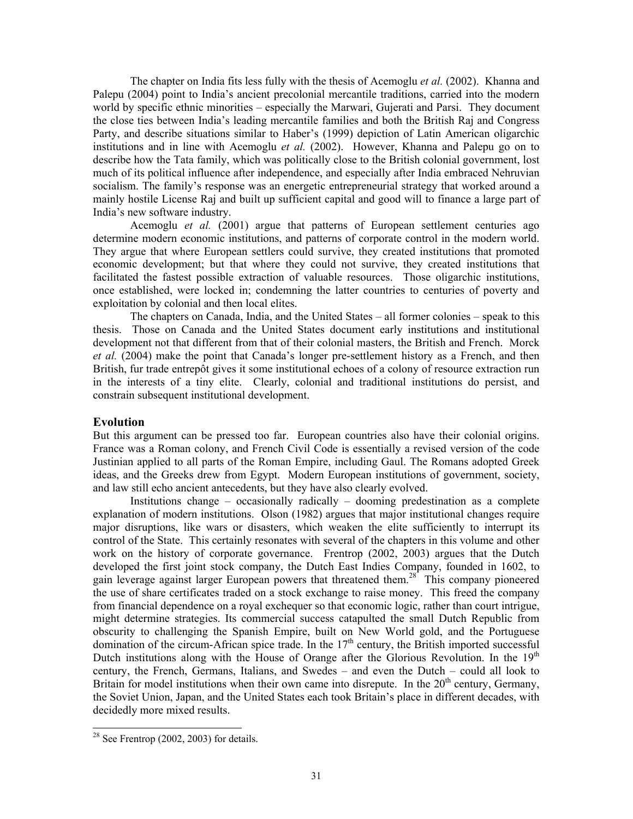The chapter on India fits less fully with the thesis of Acemoglu *et al.* (2002). Khanna and Palepu (2004) point to India's ancient precolonial mercantile traditions, carried into the modern world by specific ethnic minorities – especially the Marwari, Gujerati and Parsi. They document the close ties between India's leading mercantile families and both the British Raj and Congress Party, and describe situations similar to Haber's (1999) depiction of Latin American oligarchic institutions and in line with Acemoglu *et al.* (2002). However, Khanna and Palepu go on to describe how the Tata family, which was politically close to the British colonial government, lost much of its political influence after independence, and especially after India embraced Nehruvian socialism. The family's response was an energetic entrepreneurial strategy that worked around a mainly hostile License Raj and built up sufficient capital and good will to finance a large part of India's new software industry.

 Acemoglu *et al.* (2001) argue that patterns of European settlement centuries ago determine modern economic institutions, and patterns of corporate control in the modern world. They argue that where European settlers could survive, they created institutions that promoted economic development; but that where they could not survive, they created institutions that facilitated the fastest possible extraction of valuable resources. Those oligarchic institutions, once established, were locked in; condemning the latter countries to centuries of poverty and exploitation by colonial and then local elites.

 The chapters on Canada, India, and the United States – all former colonies – speak to this thesis. Those on Canada and the United States document early institutions and institutional development not that different from that of their colonial masters, the British and French. Morck *et al.* (2004) make the point that Canada's longer pre-settlement history as a French, and then British, fur trade entrepôt gives it some institutional echoes of a colony of resource extraction run in the interests of a tiny elite. Clearly, colonial and traditional institutions do persist, and constrain subsequent institutional development.

## **Evolution**

But this argument can be pressed too far. European countries also have their colonial origins. France was a Roman colony, and French Civil Code is essentially a revised version of the code Justinian applied to all parts of the Roman Empire, including Gaul. The Romans adopted Greek ideas, and the Greeks drew from Egypt. Modern European institutions of government, society, and law still echo ancient antecedents, but they have also clearly evolved.

 Institutions change – occasionally radically – dooming predestination as a complete explanation of modern institutions. Olson (1982) argues that major institutional changes require major disruptions, like wars or disasters, which weaken the elite sufficiently to interrupt its control of the State. This certainly resonates with several of the chapters in this volume and other work on the history of corporate governance. Frentrop (2002, 2003) argues that the Dutch developed the first joint stock company, the Dutch East Indies Company, founded in 1602, to gain leverage against larger European powers that threatened them.<sup>28</sup> This company pioneered the use of share certificates traded on a stock exchange to raise money. This freed the company from financial dependence on a royal exchequer so that economic logic, rather than court intrigue, might determine strategies. Its commercial success catapulted the small Dutch Republic from obscurity to challenging the Spanish Empire, built on New World gold, and the Portuguese domination of the circum-African spice trade. In the  $17<sup>th</sup>$  century, the British imported successful Dutch institutions along with the House of Orange after the Glorious Revolution. In the  $19<sup>th</sup>$ century, the French, Germans, Italians, and Swedes – and even the Dutch – could all look to Britain for model institutions when their own came into disrepute. In the  $20<sup>th</sup>$  century, Germany, the Soviet Union, Japan, and the United States each took Britain's place in different decades, with decidedly more mixed results.

 $28$  See Frentrop (2002, 2003) for details.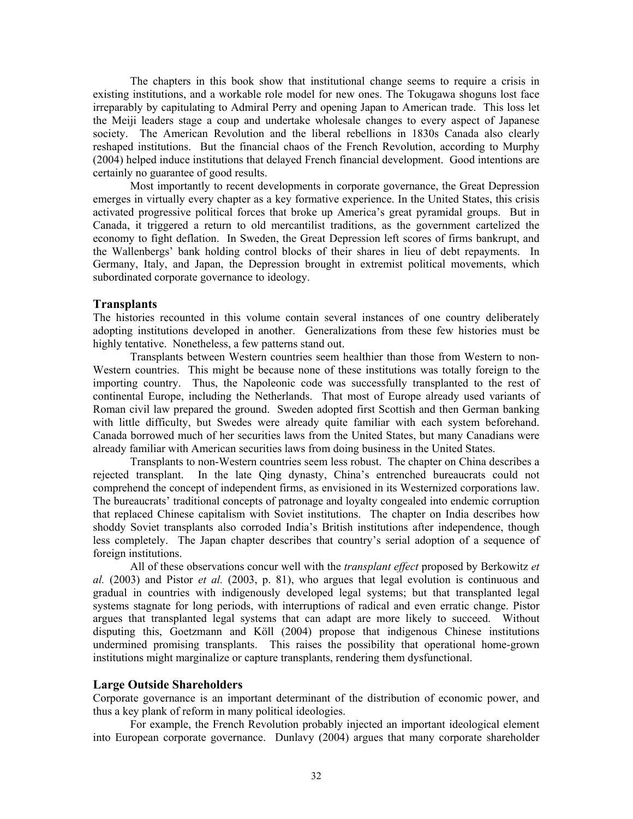The chapters in this book show that institutional change seems to require a crisis in existing institutions, and a workable role model for new ones. The Tokugawa shoguns lost face irreparably by capitulating to Admiral Perry and opening Japan to American trade. This loss let the Meiji leaders stage a coup and undertake wholesale changes to every aspect of Japanese society. The American Revolution and the liberal rebellions in 1830s Canada also clearly reshaped institutions. But the financial chaos of the French Revolution, according to Murphy (2004) helped induce institutions that delayed French financial development. Good intentions are certainly no guarantee of good results.

 Most importantly to recent developments in corporate governance, the Great Depression emerges in virtually every chapter as a key formative experience. In the United States, this crisis activated progressive political forces that broke up America's great pyramidal groups. But in Canada, it triggered a return to old mercantilist traditions, as the government cartelized the economy to fight deflation. In Sweden, the Great Depression left scores of firms bankrupt, and the Wallenbergs' bank holding control blocks of their shares in lieu of debt repayments. In Germany, Italy, and Japan, the Depression brought in extremist political movements, which subordinated corporate governance to ideology.

#### **Transplants**

The histories recounted in this volume contain several instances of one country deliberately adopting institutions developed in another. Generalizations from these few histories must be highly tentative. Nonetheless, a few patterns stand out.

 Transplants between Western countries seem healthier than those from Western to non-Western countries. This might be because none of these institutions was totally foreign to the importing country. Thus, the Napoleonic code was successfully transplanted to the rest of continental Europe, including the Netherlands. That most of Europe already used variants of Roman civil law prepared the ground. Sweden adopted first Scottish and then German banking with little difficulty, but Swedes were already quite familiar with each system beforehand. Canada borrowed much of her securities laws from the United States, but many Canadians were already familiar with American securities laws from doing business in the United States.

 Transplants to non-Western countries seem less robust. The chapter on China describes a rejected transplant. In the late Qing dynasty, China's entrenched bureaucrats could not comprehend the concept of independent firms, as envisioned in its Westernized corporations law. The bureaucrats' traditional concepts of patronage and loyalty congealed into endemic corruption that replaced Chinese capitalism with Soviet institutions. The chapter on India describes how shoddy Soviet transplants also corroded India's British institutions after independence, though less completely. The Japan chapter describes that country's serial adoption of a sequence of foreign institutions.

 All of these observations concur well with the *transplant effect* proposed by Berkowitz *et al.* (2003) and Pistor *et al.* (2003, p. 81), who argues that legal evolution is continuous and gradual in countries with indigenously developed legal systems; but that transplanted legal systems stagnate for long periods, with interruptions of radical and even erratic change. Pistor argues that transplanted legal systems that can adapt are more likely to succeed. Without disputing this, Goetzmann and Köll (2004) propose that indigenous Chinese institutions undermined promising transplants. This raises the possibility that operational home-grown institutions might marginalize or capture transplants, rendering them dysfunctional.

### **Large Outside Shareholders**

Corporate governance is an important determinant of the distribution of economic power, and thus a key plank of reform in many political ideologies.

 For example, the French Revolution probably injected an important ideological element into European corporate governance. Dunlavy (2004) argues that many corporate shareholder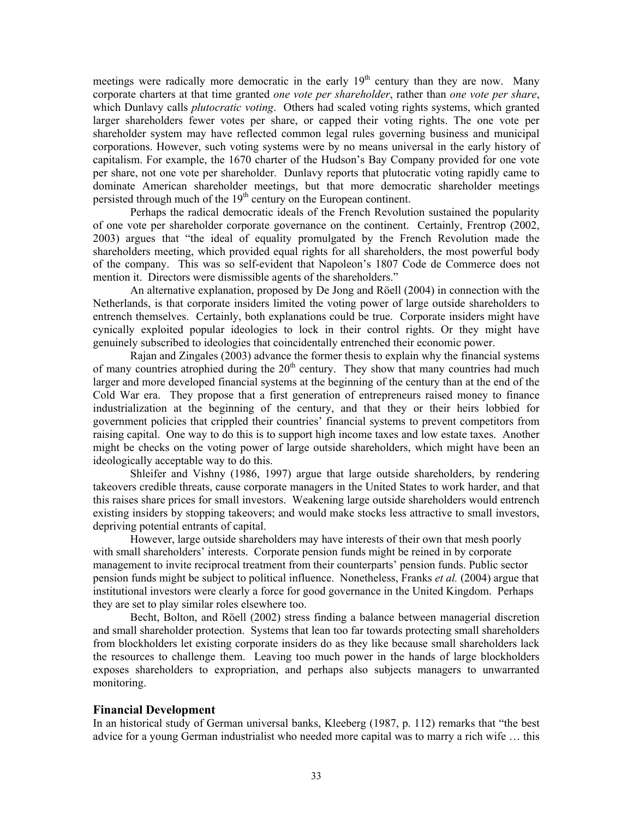meetings were radically more democratic in the early  $19<sup>th</sup>$  century than they are now. Many corporate charters at that time granted *one vote per shareholder*, rather than *one vote per share*, which Dunlavy calls *plutocratic voting*. Others had scaled voting rights systems, which granted larger shareholders fewer votes per share, or capped their voting rights. The one vote per shareholder system may have reflected common legal rules governing business and municipal corporations. However, such voting systems were by no means universal in the early history of capitalism. For example, the 1670 charter of the Hudson's Bay Company provided for one vote per share, not one vote per shareholder. Dunlavy reports that plutocratic voting rapidly came to dominate American shareholder meetings, but that more democratic shareholder meetings persisted through much of the  $19<sup>th</sup>$  century on the European continent.

 Perhaps the radical democratic ideals of the French Revolution sustained the popularity of one vote per shareholder corporate governance on the continent. Certainly, Frentrop (2002, 2003) argues that "the ideal of equality promulgated by the French Revolution made the shareholders meeting, which provided equal rights for all shareholders, the most powerful body of the company. This was so self-evident that Napoleon's 1807 Code de Commerce does not mention it. Directors were dismissible agents of the shareholders."

 An alternative explanation, proposed by De Jong and Röell (2004) in connection with the Netherlands, is that corporate insiders limited the voting power of large outside shareholders to entrench themselves. Certainly, both explanations could be true. Corporate insiders might have cynically exploited popular ideologies to lock in their control rights. Or they might have genuinely subscribed to ideologies that coincidentally entrenched their economic power.

 Rajan and Zingales (2003) advance the former thesis to explain why the financial systems of many countries atrophied during the  $20<sup>th</sup>$  century. They show that many countries had much larger and more developed financial systems at the beginning of the century than at the end of the Cold War era. They propose that a first generation of entrepreneurs raised money to finance industrialization at the beginning of the century, and that they or their heirs lobbied for government policies that crippled their countries' financial systems to prevent competitors from raising capital. One way to do this is to support high income taxes and low estate taxes. Another might be checks on the voting power of large outside shareholders, which might have been an ideologically acceptable way to do this.

 Shleifer and Vishny (1986, 1997) argue that large outside shareholders, by rendering takeovers credible threats, cause corporate managers in the United States to work harder, and that this raises share prices for small investors. Weakening large outside shareholders would entrench existing insiders by stopping takeovers; and would make stocks less attractive to small investors, depriving potential entrants of capital.

 However, large outside shareholders may have interests of their own that mesh poorly with small shareholders' interests. Corporate pension funds might be reined in by corporate management to invite reciprocal treatment from their counterparts' pension funds. Public sector pension funds might be subject to political influence. Nonetheless, Franks *et al.* (2004) argue that institutional investors were clearly a force for good governance in the United Kingdom. Perhaps they are set to play similar roles elsewhere too.

 Becht, Bolton, and Röell (2002) stress finding a balance between managerial discretion and small shareholder protection. Systems that lean too far towards protecting small shareholders from blockholders let existing corporate insiders do as they like because small shareholders lack the resources to challenge them. Leaving too much power in the hands of large blockholders exposes shareholders to expropriation, and perhaps also subjects managers to unwarranted monitoring.

## **Financial Development**

In an historical study of German universal banks, Kleeberg (1987, p. 112) remarks that "the best advice for a young German industrialist who needed more capital was to marry a rich wife … this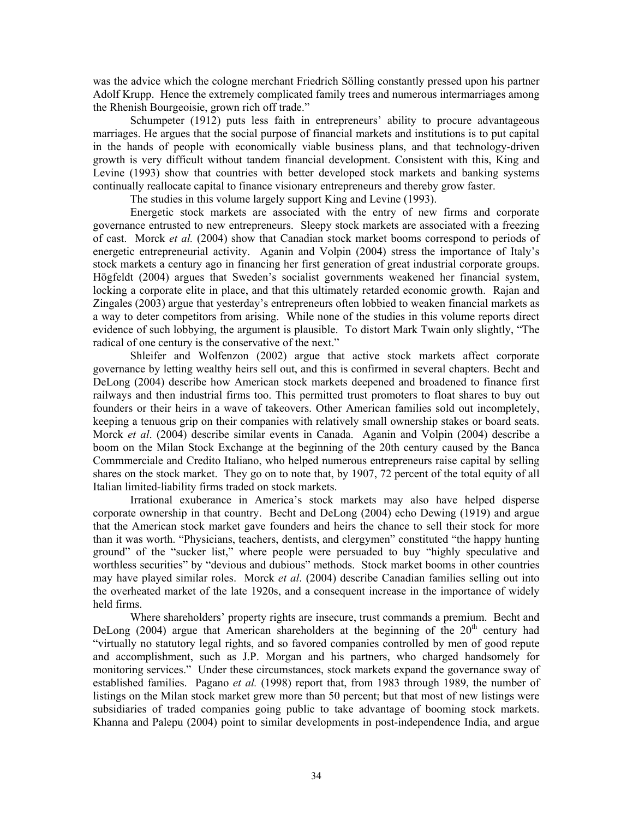was the advice which the cologne merchant Friedrich Sölling constantly pressed upon his partner Adolf Krupp. Hence the extremely complicated family trees and numerous intermarriages among the Rhenish Bourgeoisie, grown rich off trade."

Schumpeter (1912) puts less faith in entrepreneurs' ability to procure advantageous marriages. He argues that the social purpose of financial markets and institutions is to put capital in the hands of people with economically viable business plans, and that technology-driven growth is very difficult without tandem financial development. Consistent with this, King and Levine (1993) show that countries with better developed stock markets and banking systems continually reallocate capital to finance visionary entrepreneurs and thereby grow faster.

The studies in this volume largely support King and Levine (1993).

 Energetic stock markets are associated with the entry of new firms and corporate governance entrusted to new entrepreneurs. Sleepy stock markets are associated with a freezing of cast. Morck *et al.* (2004) show that Canadian stock market booms correspond to periods of energetic entrepreneurial activity. Aganin and Volpin (2004) stress the importance of Italy's stock markets a century ago in financing her first generation of great industrial corporate groups. Högfeldt (2004) argues that Sweden's socialist governments weakened her financial system, locking a corporate elite in place, and that this ultimately retarded economic growth. Rajan and Zingales (2003) argue that yesterday's entrepreneurs often lobbied to weaken financial markets as a way to deter competitors from arising. While none of the studies in this volume reports direct evidence of such lobbying, the argument is plausible. To distort Mark Twain only slightly, "The radical of one century is the conservative of the next."

 Shleifer and Wolfenzon (2002) argue that active stock markets affect corporate governance by letting wealthy heirs sell out, and this is confirmed in several chapters. Becht and DeLong (2004) describe how American stock markets deepened and broadened to finance first railways and then industrial firms too. This permitted trust promoters to float shares to buy out founders or their heirs in a wave of takeovers. Other American families sold out incompletely, keeping a tenuous grip on their companies with relatively small ownership stakes or board seats. Morck *et al*. (2004) describe similar events in Canada. Aganin and Volpin (2004) describe a boom on the Milan Stock Exchange at the beginning of the 20th century caused by the Banca Commmerciale and Credito Italiano, who helped numerous entrepreneurs raise capital by selling shares on the stock market. They go on to note that, by 1907, 72 percent of the total equity of all Italian limited-liability firms traded on stock markets.

 Irrational exuberance in America's stock markets may also have helped disperse corporate ownership in that country. Becht and DeLong (2004) echo Dewing (1919) and argue that the American stock market gave founders and heirs the chance to sell their stock for more than it was worth. "Physicians, teachers, dentists, and clergymen" constituted "the happy hunting ground" of the "sucker list," where people were persuaded to buy "highly speculative and worthless securities" by "devious and dubious" methods. Stock market booms in other countries may have played similar roles. Morck *et al*. (2004) describe Canadian families selling out into the overheated market of the late 1920s, and a consequent increase in the importance of widely held firms.

 Where shareholders' property rights are insecure, trust commands a premium. Becht and DeLong (2004) argue that American shareholders at the beginning of the  $20<sup>th</sup>$  century had "virtually no statutory legal rights, and so favored companies controlled by men of good repute and accomplishment, such as J.P. Morgan and his partners, who charged handsomely for monitoring services." Under these circumstances, stock markets expand the governance sway of established families. Pagano *et al.* (1998) report that, from 1983 through 1989, the number of listings on the Milan stock market grew more than 50 percent; but that most of new listings were subsidiaries of traded companies going public to take advantage of booming stock markets. Khanna and Palepu (2004) point to similar developments in post-independence India, and argue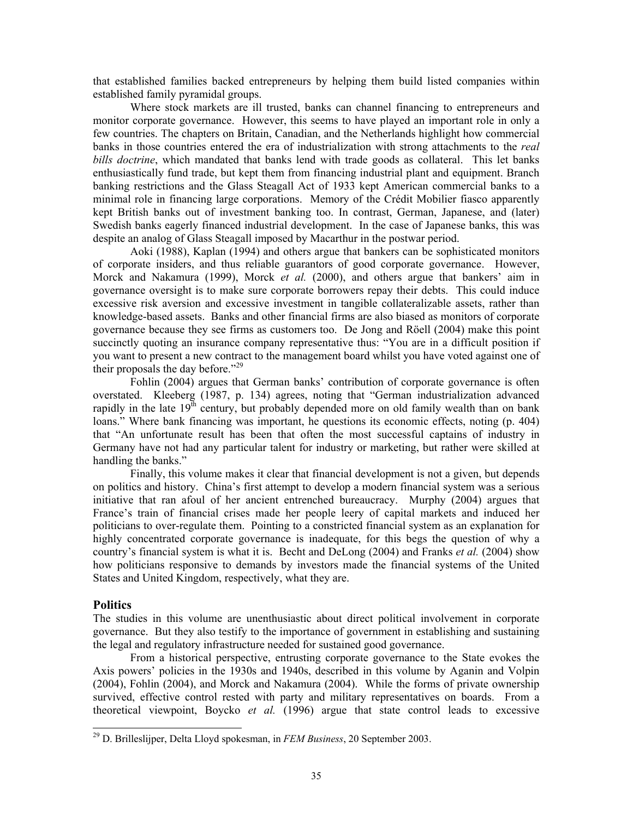that established families backed entrepreneurs by helping them build listed companies within established family pyramidal groups.

 Where stock markets are ill trusted, banks can channel financing to entrepreneurs and monitor corporate governance. However, this seems to have played an important role in only a few countries. The chapters on Britain, Canadian, and the Netherlands highlight how commercial banks in those countries entered the era of industrialization with strong attachments to the *real bills doctrine*, which mandated that banks lend with trade goods as collateral. This let banks enthusiastically fund trade, but kept them from financing industrial plant and equipment. Branch banking restrictions and the Glass Steagall Act of 1933 kept American commercial banks to a minimal role in financing large corporations. Memory of the Crédit Mobilier fiasco apparently kept British banks out of investment banking too. In contrast, German, Japanese, and (later) Swedish banks eagerly financed industrial development. In the case of Japanese banks, this was despite an analog of Glass Steagall imposed by Macarthur in the postwar period.

 Aoki (1988), Kaplan (1994) and others argue that bankers can be sophisticated monitors of corporate insiders, and thus reliable guarantors of good corporate governance. However, Morck and Nakamura (1999), Morck *et al.* (2000), and others argue that bankers' aim in governance oversight is to make sure corporate borrowers repay their debts. This could induce excessive risk aversion and excessive investment in tangible collateralizable assets, rather than knowledge-based assets. Banks and other financial firms are also biased as monitors of corporate governance because they see firms as customers too. De Jong and Röell (2004) make this point succinctly quoting an insurance company representative thus: "You are in a difficult position if you want to present a new contract to the management board whilst you have voted against one of their proposals the day before."<sup>29</sup>

 Fohlin (2004) argues that German banks' contribution of corporate governance is often overstated. Kleeberg (1987, p. 134) agrees, noting that "German industrialization advanced rapidly in the late  $19<sup>th</sup>$  century, but probably depended more on old family wealth than on bank loans." Where bank financing was important, he questions its economic effects, noting (p. 404) that "An unfortunate result has been that often the most successful captains of industry in Germany have not had any particular talent for industry or marketing, but rather were skilled at handling the banks."

 Finally, this volume makes it clear that financial development is not a given, but depends on politics and history. China's first attempt to develop a modern financial system was a serious initiative that ran afoul of her ancient entrenched bureaucracy. Murphy (2004) argues that France's train of financial crises made her people leery of capital markets and induced her politicians to over-regulate them. Pointing to a constricted financial system as an explanation for highly concentrated corporate governance is inadequate, for this begs the question of why a country's financial system is what it is. Becht and DeLong (2004) and Franks *et al.* (2004) show how politicians responsive to demands by investors made the financial systems of the United States and United Kingdom, respectively, what they are.

### **Politics**

 $\overline{a}$ 

The studies in this volume are unenthusiastic about direct political involvement in corporate governance. But they also testify to the importance of government in establishing and sustaining the legal and regulatory infrastructure needed for sustained good governance.

 From a historical perspective, entrusting corporate governance to the State evokes the Axis powers' policies in the 1930s and 1940s, described in this volume by Aganin and Volpin (2004), Fohlin (2004), and Morck and Nakamura (2004). While the forms of private ownership survived, effective control rested with party and military representatives on boards. From a theoretical viewpoint, Boycko *et al.* (1996) argue that state control leads to excessive

<sup>29</sup> D. Brilleslijper, Delta Lloyd spokesman, in *FEM Business*, 20 September 2003.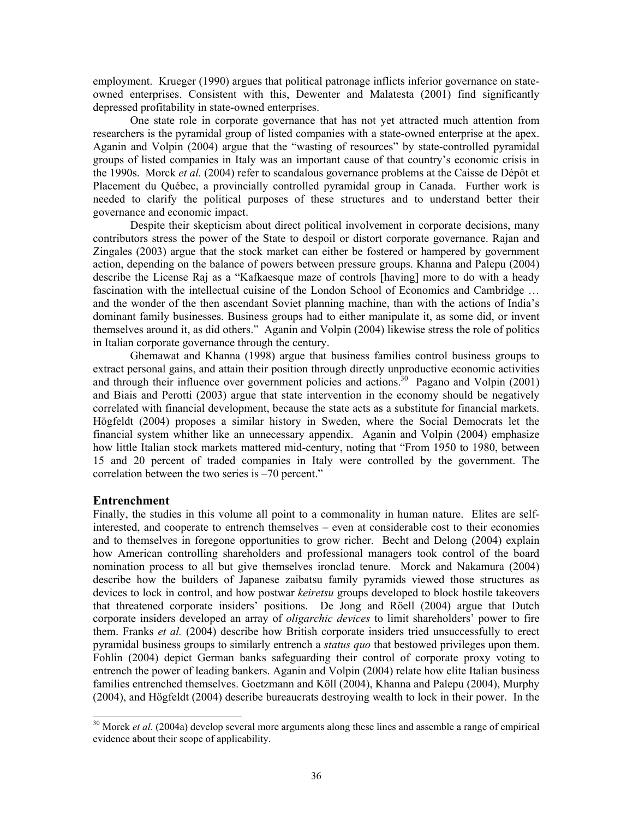employment. Krueger (1990) argues that political patronage inflicts inferior governance on stateowned enterprises. Consistent with this, Dewenter and Malatesta (2001) find significantly depressed profitability in state-owned enterprises.

 One state role in corporate governance that has not yet attracted much attention from researchers is the pyramidal group of listed companies with a state-owned enterprise at the apex. Aganin and Volpin (2004) argue that the "wasting of resources" by state-controlled pyramidal groups of listed companies in Italy was an important cause of that country's economic crisis in the 1990s. Morck *et al.* (2004) refer to scandalous governance problems at the Caisse de Dépôt et Placement du Québec, a provincially controlled pyramidal group in Canada. Further work is needed to clarify the political purposes of these structures and to understand better their governance and economic impact.

 Despite their skepticism about direct political involvement in corporate decisions, many contributors stress the power of the State to despoil or distort corporate governance. Rajan and Zingales (2003) argue that the stock market can either be fostered or hampered by government action, depending on the balance of powers between pressure groups. Khanna and Palepu (2004) describe the License Raj as a "Kafkaesque maze of controls [having] more to do with a heady fascination with the intellectual cuisine of the London School of Economics and Cambridge … and the wonder of the then ascendant Soviet planning machine, than with the actions of India's dominant family businesses. Business groups had to either manipulate it, as some did, or invent themselves around it, as did others." Aganin and Volpin (2004) likewise stress the role of politics in Italian corporate governance through the century.

 Ghemawat and Khanna (1998) argue that business families control business groups to extract personal gains, and attain their position through directly unproductive economic activities and through their influence over government policies and actions.<sup>30</sup> Pagano and Volpin (2001) and Biais and Perotti (2003) argue that state intervention in the economy should be negatively correlated with financial development, because the state acts as a substitute for financial markets. Högfeldt (2004) proposes a similar history in Sweden, where the Social Democrats let the financial system whither like an unnecessary appendix. Aganin and Volpin (2004) emphasize how little Italian stock markets mattered mid-century, noting that "From 1950 to 1980, between 15 and 20 percent of traded companies in Italy were controlled by the government. The correlation between the two series is –70 percent."

## **Entrenchment**

 $\overline{a}$ 

Finally, the studies in this volume all point to a commonality in human nature. Elites are selfinterested, and cooperate to entrench themselves – even at considerable cost to their economies and to themselves in foregone opportunities to grow richer. Becht and Delong (2004) explain how American controlling shareholders and professional managers took control of the board nomination process to all but give themselves ironclad tenure. Morck and Nakamura (2004) describe how the builders of Japanese zaibatsu family pyramids viewed those structures as devices to lock in control, and how postwar *keiretsu* groups developed to block hostile takeovers that threatened corporate insiders' positions. De Jong and Röell (2004) argue that Dutch corporate insiders developed an array of *oligarchic devices* to limit shareholders' power to fire them. Franks *et al.* (2004) describe how British corporate insiders tried unsuccessfully to erect pyramidal business groups to similarly entrench a *status quo* that bestowed privileges upon them. Fohlin (2004) depict German banks safeguarding their control of corporate proxy voting to entrench the power of leading bankers. Aganin and Volpin (2004) relate how elite Italian business families entrenched themselves. Goetzmann and Köll (2004), Khanna and Palepu (2004), Murphy (2004), and Högfeldt (2004) describe bureaucrats destroying wealth to lock in their power. In the

<sup>&</sup>lt;sup>30</sup> Morck *et al.* (2004a) develop several more arguments along these lines and assemble a range of empirical evidence about their scope of applicability.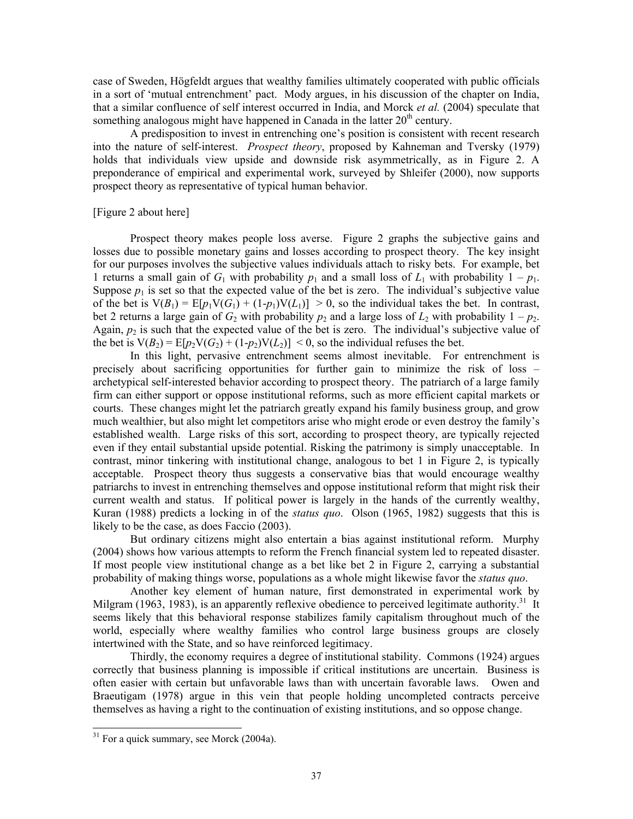case of Sweden, Högfeldt argues that wealthy families ultimately cooperated with public officials in a sort of 'mutual entrenchment' pact. Mody argues, in his discussion of the chapter on India, that a similar confluence of self interest occurred in India, and Morck *et al.* (2004) speculate that something analogous might have happened in Canada in the latter  $20<sup>th</sup>$  century.

 A predisposition to invest in entrenching one's position is consistent with recent research into the nature of self-interest. *Prospect theory*, proposed by Kahneman and Tversky (1979) holds that individuals view upside and downside risk asymmetrically, as in Figure 2. A preponderance of empirical and experimental work, surveyed by Shleifer (2000), now supports prospect theory as representative of typical human behavior.

### [Figure 2 about here]

 Prospect theory makes people loss averse. Figure 2 graphs the subjective gains and losses due to possible monetary gains and losses according to prospect theory. The key insight for our purposes involves the subjective values individuals attach to risky bets. For example, bet 1 returns a small gain of  $G_1$  with probability  $p_1$  and a small loss of  $L_1$  with probability  $1 - p_1$ . Suppose  $p_1$  is set so that the expected value of the bet is zero. The individual's subjective value of the bet is  $V(B_1) = E[p_1V(G_1) + (1-p_1)V(L_1)] > 0$ , so the individual takes the bet. In contrast, bet 2 returns a large gain of  $G_2$  with probability  $p_2$  and a large loss of  $L_2$  with probability  $1 - p_2$ . Again,  $p_2$  is such that the expected value of the bet is zero. The individual's subjective value of the bet is  $V(B_2) = E[p_2V(G_2) + (1-p_2)V(L_2)] < 0$ , so the individual refuses the bet.

 In this light, pervasive entrenchment seems almost inevitable. For entrenchment is precisely about sacrificing opportunities for further gain to minimize the risk of loss – archetypical self-interested behavior according to prospect theory. The patriarch of a large family firm can either support or oppose institutional reforms, such as more efficient capital markets or courts. These changes might let the patriarch greatly expand his family business group, and grow much wealthier, but also might let competitors arise who might erode or even destroy the family's established wealth. Large risks of this sort, according to prospect theory, are typically rejected even if they entail substantial upside potential. Risking the patrimony is simply unacceptable. In contrast, minor tinkering with institutional change, analogous to bet 1 in Figure 2, is typically acceptable. Prospect theory thus suggests a conservative bias that would encourage wealthy patriarchs to invest in entrenching themselves and oppose institutional reform that might risk their current wealth and status. If political power is largely in the hands of the currently wealthy, Kuran (1988) predicts a locking in of the *status quo*. Olson (1965, 1982) suggests that this is likely to be the case, as does Faccio (2003).

 But ordinary citizens might also entertain a bias against institutional reform. Murphy (2004) shows how various attempts to reform the French financial system led to repeated disaster. If most people view institutional change as a bet like bet 2 in Figure 2, carrying a substantial probability of making things worse, populations as a whole might likewise favor the *status quo*.

 Another key element of human nature, first demonstrated in experimental work by Milgram (1963, 1983), is an apparently reflexive obedience to perceived legitimate authority.<sup>31</sup> It seems likely that this behavioral response stabilizes family capitalism throughout much of the world, especially where wealthy families who control large business groups are closely intertwined with the State, and so have reinforced legitimacy.

 Thirdly, the economy requires a degree of institutional stability. Commons (1924) argues correctly that business planning is impossible if critical institutions are uncertain. Business is often easier with certain but unfavorable laws than with uncertain favorable laws. Owen and Braeutigam (1978) argue in this vein that people holding uncompleted contracts perceive themselves as having a right to the continuation of existing institutions, and so oppose change.

 $31$  For a quick summary, see Morck (2004a).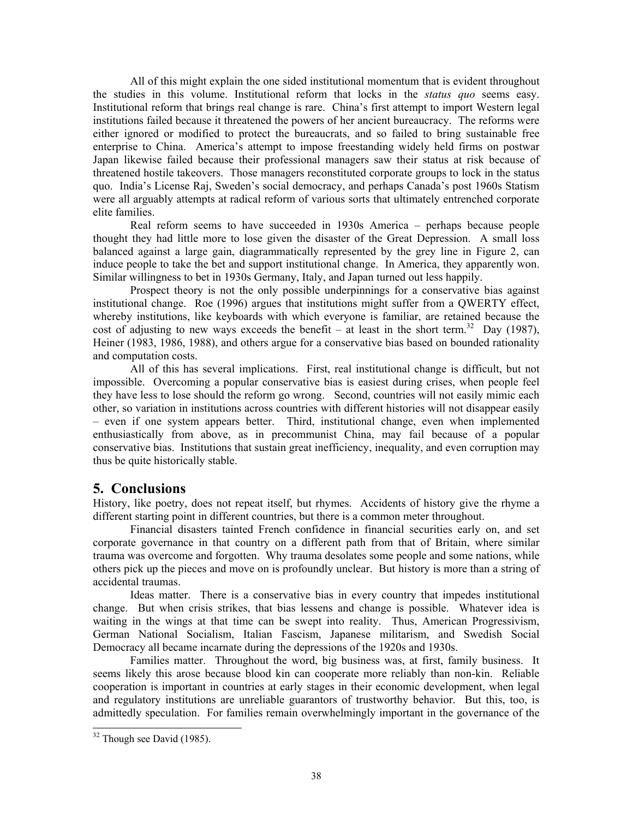All of this might explain the one sided institutional momentum that is evident throughout the studies in this volume. Institutional reform that locks in the *status quo* seems easy. Institutional reform that brings real change is rare. China's first attempt to import Western legal institutions failed because it threatened the powers of her ancient bureaucracy. The reforms were either ignored or modified to protect the bureaucrats, and so failed to bring sustainable free enterprise to China. America's attempt to impose freestanding widely held firms on postwar Japan likewise failed because their professional managers saw their status at risk because of threatened hostile takeovers. Those managers reconstituted corporate groups to lock in the status quo. India's License Raj, Sweden's social democracy, and perhaps Canada's post 1960s Statism were all arguably attempts at radical reform of various sorts that ultimately entrenched corporate elite families.

 Real reform seems to have succeeded in 1930s America – perhaps because people thought they had little more to lose given the disaster of the Great Depression. A small loss balanced against a large gain, diagrammatically represented by the grey line in Figure 2, can induce people to take the bet and support institutional change. In America, they apparently won. Similar willingness to bet in 1930s Germany, Italy, and Japan turned out less happily.

 Prospect theory is not the only possible underpinnings for a conservative bias against institutional change. Roe (1996) argues that institutions might suffer from a QWERTY effect, whereby institutions, like keyboards with which everyone is familiar, are retained because the cost of adjusting to new ways exceeds the benefit – at least in the short term.<sup>32</sup> Day (1987), Heiner (1983, 1986, 1988), and others argue for a conservative bias based on bounded rationality and computation costs.

 All of this has several implications. First, real institutional change is difficult, but not impossible. Overcoming a popular conservative bias is easiest during crises, when people feel they have less to lose should the reform go wrong. Second, countries will not easily mimic each other, so variation in institutions across countries with different histories will not disappear easily – even if one system appears better. Third, institutional change, even when implemented enthusiastically from above, as in precommunist China, may fail because of a popular conservative bias. Institutions that sustain great inefficiency, inequality, and even corruption may thus be quite historically stable.

# **5. Conclusions**

History, like poetry, does not repeat itself, but rhymes. Accidents of history give the rhyme a different starting point in different countries, but there is a common meter throughout.

Financial disasters tainted French confidence in financial securities early on, and set corporate governance in that country on a different path from that of Britain, where similar trauma was overcome and forgotten. Why trauma desolates some people and some nations, while others pick up the pieces and move on is profoundly unclear. But history is more than a string of accidental traumas.

Ideas matter. There is a conservative bias in every country that impedes institutional change. But when crisis strikes, that bias lessens and change is possible. Whatever idea is waiting in the wings at that time can be swept into reality. Thus, American Progressivism, German National Socialism, Italian Fascism, Japanese militarism, and Swedish Social Democracy all became incarnate during the depressions of the 1920s and 1930s.

Families matter. Throughout the word, big business was, at first, family business. It seems likely this arose because blood kin can cooperate more reliably than non-kin. Reliable cooperation is important in countries at early stages in their economic development, when legal and regulatory institutions are unreliable guarantors of trustworthy behavior. But this, too, is admittedly speculation. For families remain overwhelmingly important in the governance of the

<sup>32</sup> Though see David (1985).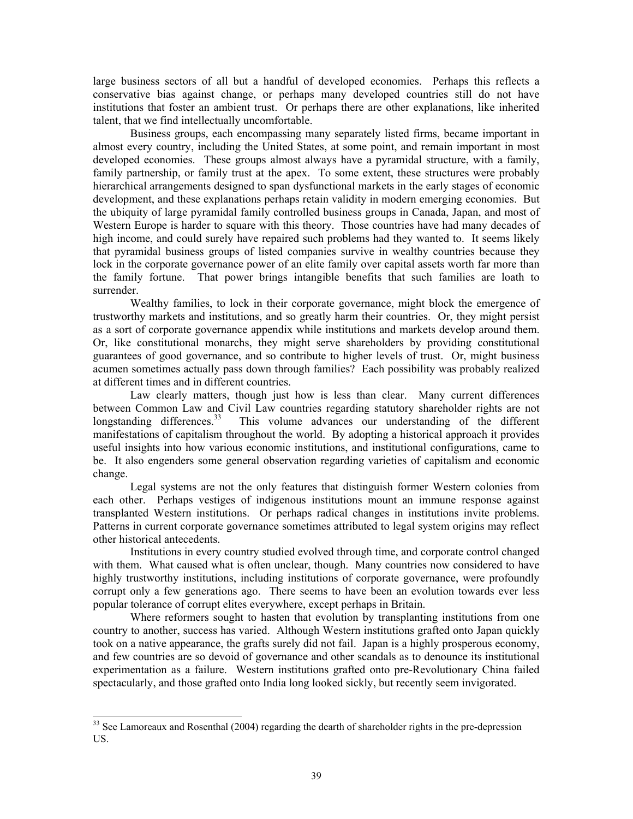large business sectors of all but a handful of developed economies. Perhaps this reflects a conservative bias against change, or perhaps many developed countries still do not have institutions that foster an ambient trust. Or perhaps there are other explanations, like inherited talent, that we find intellectually uncomfortable.

Business groups, each encompassing many separately listed firms, became important in almost every country, including the United States, at some point, and remain important in most developed economies. These groups almost always have a pyramidal structure, with a family, family partnership, or family trust at the apex. To some extent, these structures were probably hierarchical arrangements designed to span dysfunctional markets in the early stages of economic development, and these explanations perhaps retain validity in modern emerging economies. But the ubiquity of large pyramidal family controlled business groups in Canada, Japan, and most of Western Europe is harder to square with this theory. Those countries have had many decades of high income, and could surely have repaired such problems had they wanted to. It seems likely that pyramidal business groups of listed companies survive in wealthy countries because they lock in the corporate governance power of an elite family over capital assets worth far more than the family fortune. That power brings intangible benefits that such families are loath to surrender.

 Wealthy families, to lock in their corporate governance, might block the emergence of trustworthy markets and institutions, and so greatly harm their countries. Or, they might persist as a sort of corporate governance appendix while institutions and markets develop around them. Or, like constitutional monarchs, they might serve shareholders by providing constitutional guarantees of good governance, and so contribute to higher levels of trust. Or, might business acumen sometimes actually pass down through families? Each possibility was probably realized at different times and in different countries.

Law clearly matters, though just how is less than clear. Many current differences between Common Law and Civil Law countries regarding statutory shareholder rights are not longstanding differences.<sup>33</sup> This volume advances our understanding of the different This volume advances our understanding of the different manifestations of capitalism throughout the world. By adopting a historical approach it provides useful insights into how various economic institutions, and institutional configurations, came to be. It also engenders some general observation regarding varieties of capitalism and economic change.

Legal systems are not the only features that distinguish former Western colonies from each other. Perhaps vestiges of indigenous institutions mount an immune response against transplanted Western institutions. Or perhaps radical changes in institutions invite problems. Patterns in current corporate governance sometimes attributed to legal system origins may reflect other historical antecedents.

Institutions in every country studied evolved through time, and corporate control changed with them. What caused what is often unclear, though. Many countries now considered to have highly trustworthy institutions, including institutions of corporate governance, were profoundly corrupt only a few generations ago. There seems to have been an evolution towards ever less popular tolerance of corrupt elites everywhere, except perhaps in Britain.

Where reformers sought to hasten that evolution by transplanting institutions from one country to another, success has varied. Although Western institutions grafted onto Japan quickly took on a native appearance, the grafts surely did not fail. Japan is a highly prosperous economy, and few countries are so devoid of governance and other scandals as to denounce its institutional experimentation as a failure. Western institutions grafted onto pre-Revolutionary China failed spectacularly, and those grafted onto India long looked sickly, but recently seem invigorated.

<sup>&</sup>lt;sup>33</sup> See Lamoreaux and Rosenthal (2004) regarding the dearth of shareholder rights in the pre-depression US.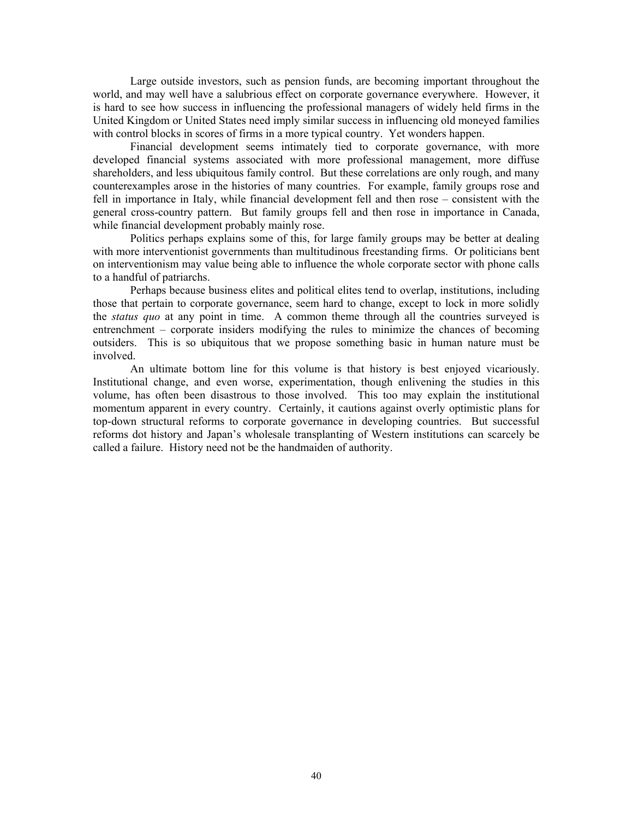Large outside investors, such as pension funds, are becoming important throughout the world, and may well have a salubrious effect on corporate governance everywhere. However, it is hard to see how success in influencing the professional managers of widely held firms in the United Kingdom or United States need imply similar success in influencing old moneyed families with control blocks in scores of firms in a more typical country. Yet wonders happen.

Financial development seems intimately tied to corporate governance, with more developed financial systems associated with more professional management, more diffuse shareholders, and less ubiquitous family control. But these correlations are only rough, and many counterexamples arose in the histories of many countries. For example, family groups rose and fell in importance in Italy, while financial development fell and then rose – consistent with the general cross-country pattern. But family groups fell and then rose in importance in Canada, while financial development probably mainly rose.

Politics perhaps explains some of this, for large family groups may be better at dealing with more interventionist governments than multitudinous freestanding firms. Or politicians bent on interventionism may value being able to influence the whole corporate sector with phone calls to a handful of patriarchs.

Perhaps because business elites and political elites tend to overlap, institutions, including those that pertain to corporate governance, seem hard to change, except to lock in more solidly the *status quo* at any point in time. A common theme through all the countries surveyed is entrenchment – corporate insiders modifying the rules to minimize the chances of becoming outsiders. This is so ubiquitous that we propose something basic in human nature must be involved.

An ultimate bottom line for this volume is that history is best enjoyed vicariously. Institutional change, and even worse, experimentation, though enlivening the studies in this volume, has often been disastrous to those involved. This too may explain the institutional momentum apparent in every country. Certainly, it cautions against overly optimistic plans for top-down structural reforms to corporate governance in developing countries. But successful reforms dot history and Japan's wholesale transplanting of Western institutions can scarcely be called a failure. History need not be the handmaiden of authority.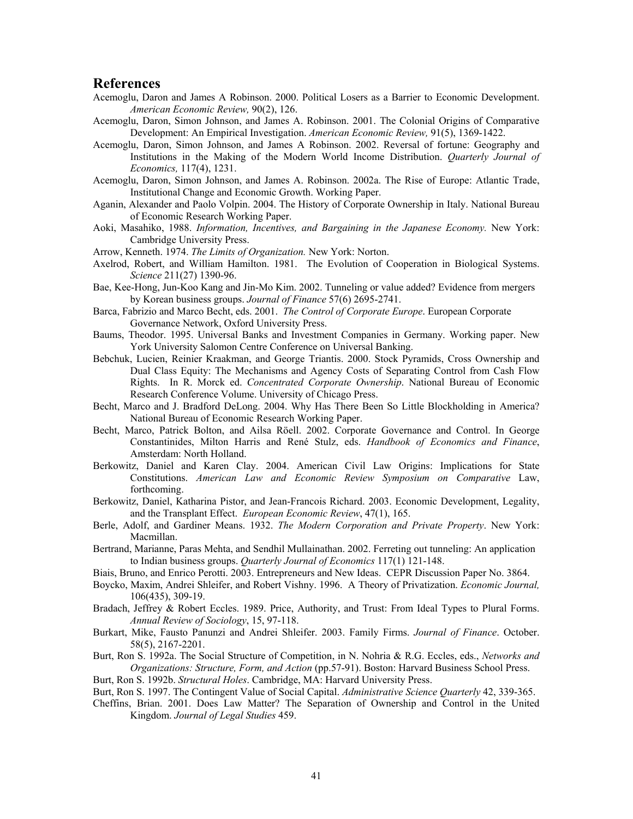## **References**

- Acemoglu, Daron and James A Robinson. 2000. Political Losers as a Barrier to Economic Development. *American Economic Review,* 90(2), 126.
- Acemoglu, Daron, Simon Johnson, and James A. Robinson. 2001. The Colonial Origins of Comparative Development: An Empirical Investigation. *American Economic Review,* 91(5), 1369-1422.
- Acemoglu, Daron, Simon Johnson, and James A Robinson. 2002. Reversal of fortune: Geography and Institutions in the Making of the Modern World Income Distribution. *Quarterly Journal of Economics,* 117(4), 1231.
- Acemoglu, Daron, Simon Johnson, and James A. Robinson. 2002a. The Rise of Europe: Atlantic Trade, Institutional Change and Economic Growth. Working Paper.
- Aganin, Alexander and Paolo Volpin. 2004. The History of Corporate Ownership in Italy. National Bureau of Economic Research Working Paper.
- Aoki, Masahiko, 1988. *Information, Incentives, and Bargaining in the Japanese Economy.* New York: Cambridge University Press.
- Arrow, Kenneth. 1974. *The Limits of Organization.* New York: Norton.
- Axelrod, Robert, and William Hamilton. 1981. The Evolution of Cooperation in Biological Systems. *Science* 211(27) 1390-96.
- Bae, Kee-Hong, Jun-Koo Kang and Jin-Mo Kim. 2002. Tunneling or value added? Evidence from mergers by Korean business groups. *Journal of Finance* 57(6) 2695-2741.
- Barca, Fabrizio and Marco Becht, eds. 2001. *The Control of Corporate Europe*. European Corporate Governance Network, Oxford University Press.
- Baums, Theodor. 1995. Universal Banks and Investment Companies in Germany. Working paper. New York University Salomon Centre Conference on Universal Banking.
- Bebchuk, Lucien, Reinier Kraakman, and George Triantis. 2000. Stock Pyramids, Cross Ownership and Dual Class Equity: The Mechanisms and Agency Costs of Separating Control from Cash Flow Rights. In R. Morck ed. *Concentrated Corporate Ownership*. National Bureau of Economic Research Conference Volume. University of Chicago Press.
- Becht, Marco and J. Bradford DeLong. 2004. Why Has There Been So Little Blockholding in America? National Bureau of Economic Research Working Paper.
- Becht, Marco, Patrick Bolton, and Ailsa Röell. 2002. Corporate Governance and Control. In George Constantinides, Milton Harris and René Stulz, eds. *Handbook of Economics and Finance*, Amsterdam: North Holland.
- Berkowitz, Daniel and Karen Clay. 2004. American Civil Law Origins: Implications for State Constitutions. *American Law and Economic Review Symposium on Comparative* Law, forthcoming.
- Berkowitz, Daniel, Katharina Pistor, and Jean-Francois Richard. 2003. Economic Development, Legality, and the Transplant Effect. *European Economic Review*, 47(1), 165.
- Berle, Adolf, and Gardiner Means. 1932. *The Modern Corporation and Private Property*. New York: Macmillan.
- Bertrand, Marianne, Paras Mehta, and Sendhil Mullainathan. 2002. Ferreting out tunneling: An application to Indian business groups. *Quarterly Journal of Economics* 117(1) 121-148.
- Biais, Bruno, and Enrico Perotti. 2003. Entrepreneurs and New Ideas. CEPR Discussion Paper No. 3864.
- Boycko, Maxim, Andrei Shleifer, and Robert Vishny. 1996. A Theory of Privatization. *Economic Journal,* 106(435), 309-19.
- Bradach, Jeffrey & Robert Eccles. 1989. Price, Authority, and Trust: From Ideal Types to Plural Forms. *Annual Review of Sociology*, 15, 97-118.
- Burkart, Mike, Fausto Panunzi and Andrei Shleifer. 2003. Family Firms. *Journal of Finance*. October. 58(5), 2167-2201.
- Burt, Ron S. 1992a. The Social Structure of Competition, in N. Nohria & R.G. Eccles, eds., *Networks and Organizations: Structure, Form, and Action* (pp.57-91). Boston: Harvard Business School Press.
- Burt, Ron S. 1992b. *Structural Holes*. Cambridge, MA: Harvard University Press.
- Burt, Ron S. 1997. The Contingent Value of Social Capital. *Administrative Science Quarterly* 42, 339-365.
- Cheffins, Brian. 2001. Does Law Matter? The Separation of Ownership and Control in the United Kingdom. *Journal of Legal Studies* 459.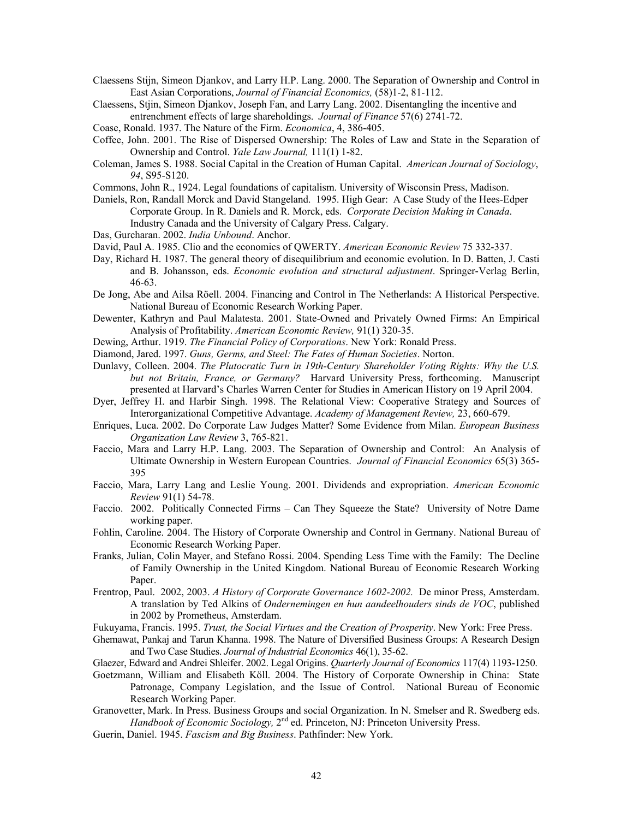Claessens Stijn, Simeon Djankov, and Larry H.P. Lang. 2000. The Separation of Ownership and Control in East Asian Corporations, *Journal of Financial Economics,* (58)1-2, 81-112.

Claessens, Stjin, Simeon Djankov, Joseph Fan, and Larry Lang. 2002. Disentangling the incentive and entrenchment effects of large shareholdings. *Journal of Finance* 57(6) 2741-72.

Coase, Ronald. 1937. The Nature of the Firm. *Economica*, 4, 386-405.

- Coffee, John. 2001. The Rise of Dispersed Ownership: The Roles of Law and State in the Separation of Ownership and Control. *Yale Law Journal,* 111(1) 1-82.
- Coleman, James S. 1988. Social Capital in the Creation of Human Capital. *American Journal of Sociology*, *94*, S95-S120.

Commons, John R., 1924. Legal foundations of capitalism. University of Wisconsin Press, Madison.

- Daniels, Ron, Randall Morck and David Stangeland. 1995. High Gear: A Case Study of the Hees-Edper Corporate Group. In R. Daniels and R. Morck, eds. *Corporate Decision Making in Canada*. Industry Canada and the University of Calgary Press. Calgary.
- Das, Gurcharan. 2002. *India Unbound*. Anchor.
- David, Paul A. 1985. Clio and the economics of QWERTY. *American Economic Review* 75 332-337.
- Day, Richard H. 1987. The general theory of disequilibrium and economic evolution. In D. Batten, J. Casti and B. Johansson, eds. *Economic evolution and structural adjustment*. Springer-Verlag Berlin, 46-63.
- De Jong, Abe and Ailsa Röell. 2004. Financing and Control in The Netherlands: A Historical Perspective. National Bureau of Economic Research Working Paper.
- Dewenter, Kathryn and Paul Malatesta. 2001. State-Owned and Privately Owned Firms: An Empirical Analysis of Profitability. *American Economic Review,* 91(1) 320-35.
- Dewing, Arthur. 1919. *The Financial Policy of Corporations*. New York: Ronald Press.
- Diamond, Jared. 1997. *Guns, Germs, and Steel: The Fates of Human Societies*. Norton.
- Dunlavy, Colleen. 2004. *The Plutocratic Turn in 19th-Century Shareholder Voting Rights: Why the U.S. but not Britain, France, or Germany?* Harvard University Press, forthcoming. Manuscript presented at Harvard's Charles Warren Center for Studies in American History on 19 April 2004.
- Dyer, Jeffrey H. and Harbir Singh. 1998. The Relational View: Cooperative Strategy and Sources of Interorganizational Competitive Advantage. *Academy of Management Review,* 23, 660-679.
- Enriques, Luca. 2002. Do Corporate Law Judges Matter? Some Evidence from Milan. *European Business Organization Law Review* 3, 765-821.
- Faccio, Mara and Larry H.P. Lang. 2003. The Separation of Ownership and Control: An Analysis of Ultimate Ownership in Western European Countries. *Journal of Financial Economics* 65(3) 365- 395
- Faccio, Mara, Larry Lang and Leslie Young. 2001. Dividends and expropriation. *American Economic Review* 91(1) 54-78.
- Faccio. 2002. Politically Connected Firms Can They Squeeze the State? University of Notre Dame working paper.
- Fohlin, Caroline. 2004. The History of Corporate Ownership and Control in Germany. National Bureau of Economic Research Working Paper.
- Franks, Julian, Colin Mayer, and Stefano Rossi. 2004. Spending Less Time with the Family: The Decline of Family Ownership in the United Kingdom. National Bureau of Economic Research Working Paper.
- Frentrop, Paul. 2002, 2003. *A History of Corporate Governance 1602-2002.* De minor Press, Amsterdam. A translation by Ted Alkins of *Ondernemingen en hun aandeelhouders sinds de VOC*, published in 2002 by Prometheus, Amsterdam.
- Fukuyama, Francis. 1995. *Trust, the Social Virtues and the Creation of Prosperity*. New York: Free Press.
- Ghemawat, Pankaj and Tarun Khanna. 1998. The Nature of Diversified Business Groups: A Research Design and Two Case Studies. *Journal of Industrial Economics* 46(1), 35-62.
- Glaezer, Edward and Andrei Shleifer. 2002. Legal Origins. *Quarterly Journal of Economics* 117(4) 1193-1250.
- Goetzmann, William and Elisabeth Köll. 2004. The History of Corporate Ownership in China: State Patronage, Company Legislation, and the Issue of Control. National Bureau of Economic Research Working Paper.
- Granovetter, Mark. In Press. Business Groups and social Organization. In N. Smelser and R. Swedberg eds. *Handbook of Economic Sociology*, 2<sup>nd</sup> ed. Princeton, NJ: Princeton University Press.
- Guerin, Daniel. 1945. *Fascism and Big Business*. Pathfinder: New York.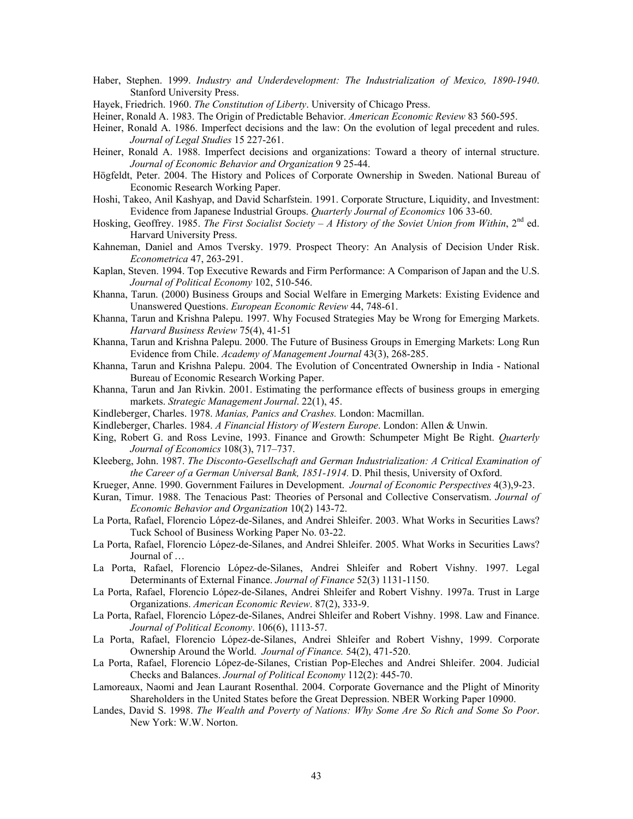- Haber, Stephen. 1999. *Industry and Underdevelopment: The Industrialization of Mexico, 1890-1940*. Stanford University Press.
- Hayek, Friedrich. 1960. *The Constitution of Liberty*. University of Chicago Press.
- Heiner, Ronald A. 1983. The Origin of Predictable Behavior. *American Economic Review* 83 560-595.
- Heiner, Ronald A. 1986. Imperfect decisions and the law: On the evolution of legal precedent and rules. *Journal of Legal Studies* 15 227-261.
- Heiner, Ronald A. 1988. Imperfect decisions and organizations: Toward a theory of internal structure. *Journal of Economic Behavior and Organization* 9 25-44.
- Högfeldt, Peter. 2004. The History and Polices of Corporate Ownership in Sweden. National Bureau of Economic Research Working Paper.
- Hoshi, Takeo, Anil Kashyap, and David Scharfstein. 1991. Corporate Structure, Liquidity, and Investment: Evidence from Japanese Industrial Groups. *Quarterly Journal of Economics* 106 33-60.
- Hosking, Geoffrey. 1985. *The First Socialist Society A History of the Soviet Union from Within*,  $2<sup>nd</sup>$  ed. Harvard University Press.
- Kahneman, Daniel and Amos Tversky. 1979. Prospect Theory: An Analysis of Decision Under Risk. *Econometrica* 47, 263-291.
- Kaplan, Steven. 1994. Top Executive Rewards and Firm Performance: A Comparison of Japan and the U.S. *Journal of Political Economy* 102, 510-546.
- Khanna, Tarun. (2000) Business Groups and Social Welfare in Emerging Markets: Existing Evidence and Unanswered Questions. *European Economic Review* 44, 748-61.
- Khanna, Tarun and Krishna Palepu. 1997. Why Focused Strategies May be Wrong for Emerging Markets. *Harvard Business Review* 75(4), 41-51
- Khanna, Tarun and Krishna Palepu. 2000. The Future of Business Groups in Emerging Markets: Long Run Evidence from Chile. *Academy of Management Journal* 43(3), 268-285.
- Khanna, Tarun and Krishna Palepu. 2004. The Evolution of Concentrated Ownership in India National Bureau of Economic Research Working Paper.
- Khanna, Tarun and Jan Rivkin. 2001. Estimating the performance effects of business groups in emerging markets. *Strategic Management Journal*. 22(1), 45.
- Kindleberger, Charles. 1978. *Manias, Panics and Crashes.* London: Macmillan.
- Kindleberger, Charles. 1984. *A Financial History of Western Europe*. London: Allen & Unwin.
- King, Robert G. and Ross Levine, 1993. Finance and Growth: Schumpeter Might Be Right. *Quarterly Journal of Economics* 108(3), 717–737.
- Kleeberg, John. 1987. *The Disconto-Gesellschaft and German Industrialization: A Critical Examination of the Career of a German Universal Bank, 1851-1914.* D. Phil thesis, University of Oxford.
- Krueger, Anne. 1990. Government Failures in Development. *Journal of Economic Perspectives* 4(3),9-23.
- Kuran, Timur. 1988. The Tenacious Past: Theories of Personal and Collective Conservatism. *Journal of Economic Behavior and Organization* 10(2) 143-72.
- La Porta, Rafael, Florencio López-de-Silanes, and Andrei Shleifer. 2003. What Works in Securities Laws? Tuck School of Business Working Paper No. 03-22.
- La Porta, Rafael, Florencio López-de-Silanes, and Andrei Shleifer. 2005. What Works in Securities Laws? Journal of …
- La Porta, Rafael, Florencio López-de-Silanes, Andrei Shleifer and Robert Vishny. 1997. Legal Determinants of External Finance. *Journal of Finance* 52(3) 1131-1150.
- La Porta, Rafael, Florencio López-de-Silanes, Andrei Shleifer and Robert Vishny. 1997a. Trust in Large Organizations. *American Economic Review*. 87(2), 333-9.
- La Porta, Rafael, Florencio López-de-Silanes, Andrei Shleifer and Robert Vishny. 1998. Law and Finance. *Journal of Political Economy*. 106(6), 1113-57.
- La Porta, Rafael, Florencio López-de-Silanes, Andrei Shleifer and Robert Vishny, 1999. Corporate Ownership Around the World. *Journal of Finance.* 54(2), 471-520.
- La Porta, Rafael, Florencio López-de-Silanes, Cristian Pop-Eleches and Andrei Shleifer. 2004. Judicial Checks and Balances. *Journal of Political Economy* 112(2): 445-70.
- Lamoreaux, Naomi and Jean Laurant Rosenthal. 2004. Corporate Governance and the Plight of Minority Shareholders in the United States before the Great Depression. NBER Working Paper 10900.
- Landes, David S. 1998. *The Wealth and Poverty of Nations: Why Some Are So Rich and Some So Poor*. New York: W.W. Norton.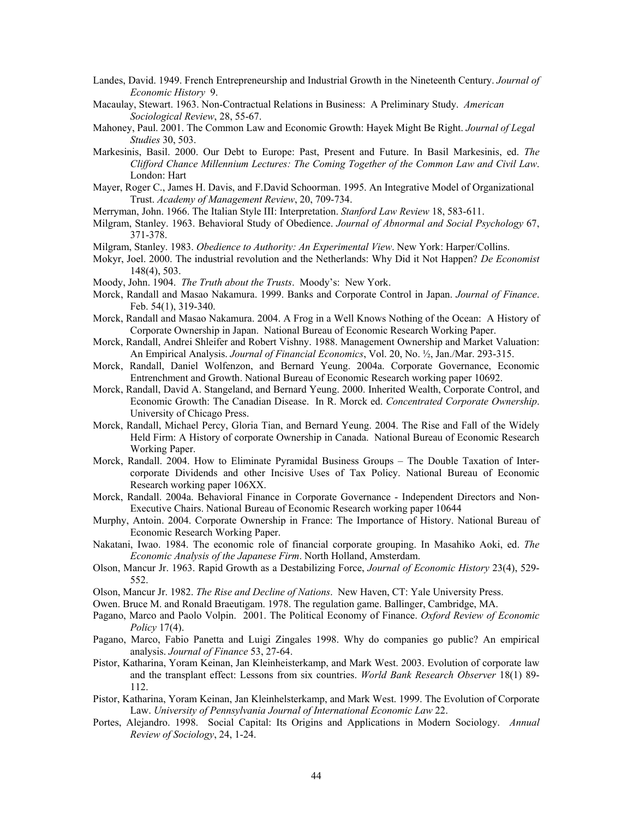- Landes, David. 1949. French Entrepreneurship and Industrial Growth in the Nineteenth Century. *Journal of Economic History* 9.
- Macaulay, Stewart. 1963. Non-Contractual Relations in Business: A Preliminary Study. *American Sociological Review*, 28, 55-67.
- Mahoney, Paul. 2001. The Common Law and Economic Growth: Hayek Might Be Right. *Journal of Legal Studies* 30, 503.
- Markesinis, Basil. 2000. Our Debt to Europe: Past, Present and Future. In Basil Markesinis, ed. *The Clifford Chance Millennium Lectures: The Coming Together of the Common Law and Civil Law*. London: Hart
- Mayer, Roger C., James H. Davis, and F.David Schoorman. 1995. An Integrative Model of Organizational Trust. *Academy of Management Review*, 20, 709-734.
- Merryman, John. 1966. The Italian Style III: Interpretation. *Stanford Law Review* 18, 583-611.
- Milgram, Stanley. 1963. Behavioral Study of Obedience. *Journal of Abnormal and Social Psychology* 67, 371-378.
- Milgram, Stanley. 1983. *Obedience to Authority: An Experimental View*. New York: Harper/Collins.
- Mokyr, Joel. 2000. The industrial revolution and the Netherlands: Why Did it Not Happen? *De Economist*  148(4), 503.
- Moody, John. 1904. *The Truth about the Trusts*. Moody's: New York.
- Morck, Randall and Masao Nakamura. 1999. Banks and Corporate Control in Japan. *Journal of Finance*. Feb. 54(1), 319-340.
- Morck, Randall and Masao Nakamura. 2004. A Frog in a Well Knows Nothing of the Ocean: A History of Corporate Ownership in Japan. National Bureau of Economic Research Working Paper.
- Morck, Randall, Andrei Shleifer and Robert Vishny. 1988. Management Ownership and Market Valuation: An Empirical Analysis. *Journal of Financial Economics*, Vol. 20, No. ½, Jan./Mar. 293-315.
- Morck, Randall, Daniel Wolfenzon, and Bernard Yeung. 2004a. Corporate Governance, Economic Entrenchment and Growth. National Bureau of Economic Research working paper 10692.
- Morck, Randall, David A. Stangeland, and Bernard Yeung. 2000. Inherited Wealth, Corporate Control, and Economic Growth: The Canadian Disease. In R. Morck ed. *Concentrated Corporate Ownership*. University of Chicago Press.
- Morck, Randall, Michael Percy, Gloria Tian, and Bernard Yeung. 2004. The Rise and Fall of the Widely Held Firm: A History of corporate Ownership in Canada. National Bureau of Economic Research Working Paper.
- Morck, Randall. 2004. How to Eliminate Pyramidal Business Groups The Double Taxation of Intercorporate Dividends and other Incisive Uses of Tax Policy. National Bureau of Economic Research working paper 106XX.
- Morck, Randall. 2004a. Behavioral Finance in Corporate Governance Independent Directors and Non-Executive Chairs. National Bureau of Economic Research working paper 10644
- Murphy, Antoin. 2004. Corporate Ownership in France: The Importance of History. National Bureau of Economic Research Working Paper.
- Nakatani, Iwao. 1984. The economic role of financial corporate grouping. In Masahiko Aoki, ed. *The Economic Analysis of the Japanese Firm*. North Holland, Amsterdam.
- Olson, Mancur Jr. 1963. Rapid Growth as a Destabilizing Force, *Journal of Economic History* 23(4), 529- 552.
- Olson, Mancur Jr. 1982. *The Rise and Decline of Nations*. New Haven, CT: Yale University Press.
- Owen. Bruce M. and Ronald Braeutigam. 1978. The regulation game. Ballinger, Cambridge, MA.
- Pagano, Marco and Paolo Volpin. 2001. The Political Economy of Finance. *Oxford Review of Economic Policy* 17(4).
- Pagano, Marco, Fabio Panetta and Luigi Zingales 1998. Why do companies go public? An empirical analysis. *Journal of Finance* 53, 27-64.
- Pistor, Katharina, Yoram Keinan, Jan Kleinheisterkamp, and Mark West. 2003. Evolution of corporate law and the transplant effect: Lessons from six countries. *World Bank Research Observer* 18(1) 89- 112.
- Pistor, Katharina, Yoram Keinan, Jan Kleinhelsterkamp, and Mark West. 1999. The Evolution of Corporate Law. *University of Pennsylvania Journal of International Economic Law* 22.
- Portes, Alejandro. 1998. Social Capital: Its Origins and Applications in Modern Sociology. *Annual Review of Sociology*, 24, 1-24.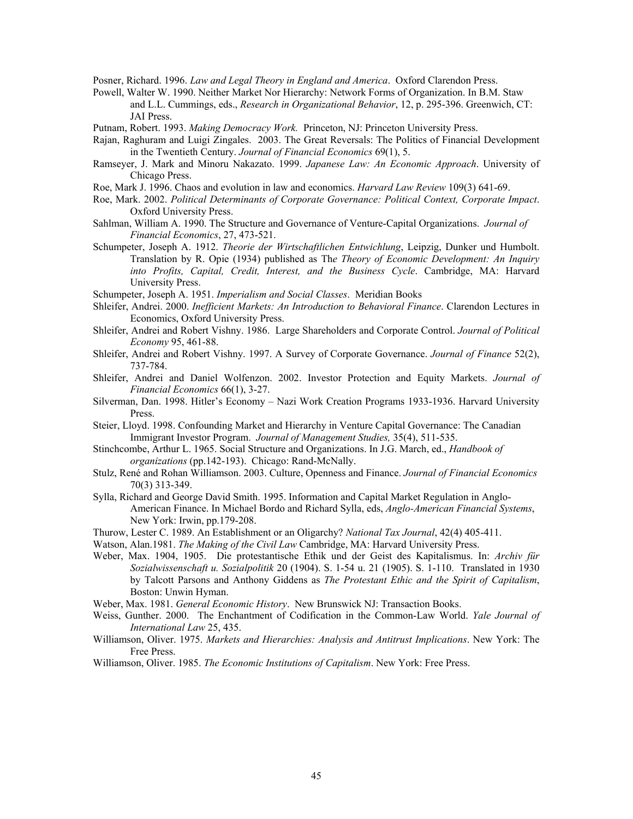Posner, Richard. 1996. *Law and Legal Theory in England and America*. Oxford Clarendon Press.

- Powell, Walter W. 1990. Neither Market Nor Hierarchy: Network Forms of Organization. In B.M. Staw and L.L. Cummings, eds., *Research in Organizational Behavior*, 12, p. 295-396. Greenwich, CT: JAI Press.
- Putnam, Robert. 1993. *Making Democracy Work.* Princeton, NJ: Princeton University Press.
- Rajan, Raghuram and Luigi Zingales. 2003. The Great Reversals: The Politics of Financial Development in the Twentieth Century. *Journal of Financial Economics* 69(1), 5.
- Ramseyer, J. Mark and Minoru Nakazato. 1999. *Japanese Law: An Economic Approach*. University of Chicago Press.
- Roe, Mark J. 1996. Chaos and evolution in law and economics. *Harvard Law Review* 109(3) 641-69.
- Roe, Mark. 2002. *Political Determinants of Corporate Governance: Political Context, Corporate Impact*. Oxford University Press.
- Sahlman, William A. 1990. The Structure and Governance of Venture-Capital Organizations. *Journal of Financial Economics*, 27, 473-521.
- Schumpeter, Joseph A. 1912. *Theorie der Wirtschaftlichen Entwichlung*, Leipzig, Dunker und Humbolt. Translation by R. Opie (1934) published as Th*e Theory of Economic Development: An Inquiry into Profits, Capital, Credit, Interest, and the Business Cycle*. Cambridge, MA: Harvard University Press.

Schumpeter, Joseph A. 1951. *Imperialism and Social Classes*. Meridian Books

- Shleifer, Andrei. 2000. *Inefficient Markets: An Introduction to Behavioral Finance*. Clarendon Lectures in Economics, Oxford University Press.
- Shleifer, Andrei and Robert Vishny. 1986. Large Shareholders and Corporate Control. *Journal of Political Economy* 95, 461-88.
- Shleifer, Andrei and Robert Vishny. 1997. A Survey of Corporate Governance. *Journal of Finance* 52(2), 737-784.
- Shleifer, Andrei and Daniel Wolfenzon. 2002. Investor Protection and Equity Markets. *Journal of Financial Economics* 66(1), 3-27.
- Silverman, Dan. 1998. Hitler's Economy Nazi Work Creation Programs 1933-1936. Harvard University Press.
- Steier, Lloyd. 1998. Confounding Market and Hierarchy in Venture Capital Governance: The Canadian Immigrant Investor Program. *Journal of Management Studies,* 35(4), 511-535.
- Stinchcombe, Arthur L. 1965. Social Structure and Organizations. In J.G. March, ed., *Handbook of organizations* (pp.142-193). Chicago: Rand-McNally.
- Stulz, René and Rohan Williamson. 2003. Culture, Openness and Finance. *Journal of Financial Economics* 70(3) 313-349.
- Sylla, Richard and George David Smith. 1995. Information and Capital Market Regulation in Anglo-American Finance. In Michael Bordo and Richard Sylla, eds, *Anglo-American Financial Systems*, New York: Irwin, pp.179-208.
- Thurow, Lester C. 1989. An Establishment or an Oligarchy? *National Tax Journal*, 42(4) 405-411.
- Watson, Alan.1981. *The Making of the Civil Law* Cambridge, MA: Harvard University Press.
- Weber, Max. 1904, 1905. Die protestantische Ethik und der Geist des Kapitalismus. In: *Archiv für Sozialwissenschaft u. Sozialpolitik* 20 (1904). S. 1-54 u. 21 (1905). S. 1-110. Translated in 1930 by Talcott Parsons and Anthony Giddens as *The Protestant Ethic and the Spirit of Capitalism*, Boston: Unwin Hyman.
- Weber, Max. 1981. *General Economic History*. New Brunswick NJ: Transaction Books.
- Weiss, Gunther. 2000. The Enchantment of Codification in the Common-Law World. *Yale Journal of International Law* 25, 435.
- Williamson, Oliver. 1975. *Markets and Hierarchies: Analysis and Antitrust Implications*. New York: The Free Press.
- Williamson, Oliver. 1985. *The Economic Institutions of Capitalism*. New York: Free Press.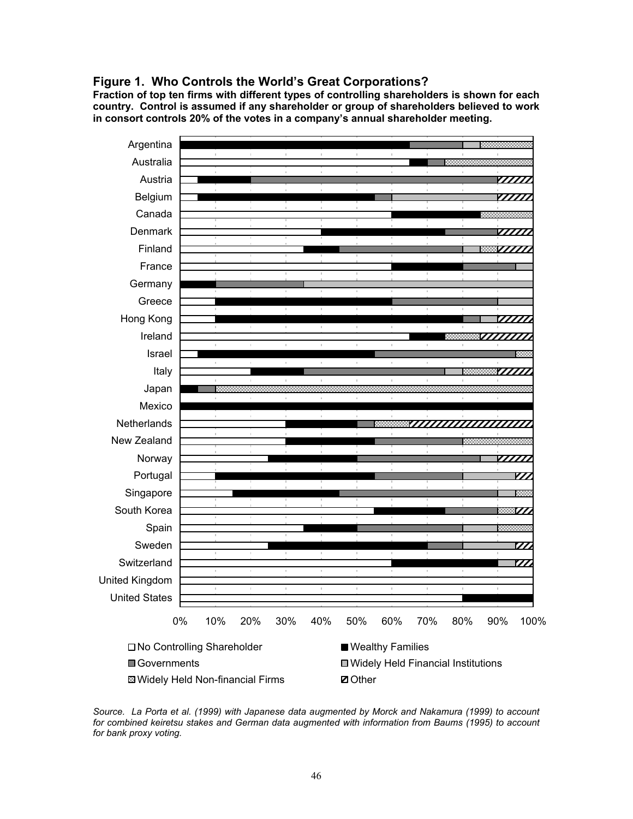# **Figure 1. Who Controls the World's Great Corporations?**

**Fraction of top ten firms with different types of controlling shareholders is shown for each country. Control is assumed if any shareholder or group of shareholders believed to work in consort controls 20% of the votes in a company's annual shareholder meeting.** 

| Argentina                                |     |                |                |                |                                      |                |     |     |       |      |
|------------------------------------------|-----|----------------|----------------|----------------|--------------------------------------|----------------|-----|-----|-------|------|
| Australia                                | n.  | Ù.             | Ù.             | $\bar{1}$      | Ù.                                   | r.             |     |     |       |      |
| Austria                                  |     |                |                |                |                                      |                |     |     | W     |      |
| Belgium                                  |     |                |                |                |                                      |                |     |     | 7777  |      |
| Canada                                   |     |                |                |                |                                      |                |     |     |       |      |
| Denmark                                  |     |                |                |                |                                      |                |     |     | ///// |      |
| Finland                                  |     |                |                |                |                                      |                |     |     | ///// |      |
| France                                   |     |                |                |                |                                      |                |     |     |       |      |
| Germany                                  |     |                |                |                |                                      |                |     |     |       |      |
| Greece                                   |     |                |                |                |                                      |                |     |     |       |      |
| Hong Kong                                |     | т,             | t.             | $\mathbb{R}$   | ×,                                   |                |     |     |       |      |
| Ireland                                  |     | $\mathbb{R}^+$ | $\mathbb{R}^n$ | $\mathbb{R}^n$ | J.                                   | $\mathbb{R}^+$ |     |     |       |      |
| Israel                                   |     | $\bar{1}$      | í,             |                |                                      |                |     |     |       |      |
| Italy                                    | n.  | $\mathbb{I}$   | $\mathbb{R}^2$ | $\mathbb{R}^2$ | f.                                   |                |     |     |       |      |
|                                          | n.  | n.             |                |                |                                      |                |     |     |       |      |
| Japan<br>Mexico                          | H.  | t,             | j.             | J.             | J.                                   | J.             |     |     |       |      |
|                                          |     | n.             |                |                |                                      |                |     |     |       |      |
| Netherlands                              |     |                |                |                |                                      |                |     |     |       |      |
| New Zealand                              |     |                |                |                |                                      |                |     |     |       |      |
| Norway                                   |     |                |                |                |                                      |                |     |     | 7777  |      |
| Portugal                                 |     |                |                |                |                                      |                |     |     |       | z    |
| Singapore                                |     |                |                |                |                                      |                |     |     |       | Å    |
| South Korea                              |     |                |                |                |                                      |                |     |     | ⋙     |      |
| Spain                                    |     | ×,             |                |                |                                      |                |     |     |       |      |
| Sweden                                   | H.  | t,             |                |                |                                      |                |     |     |       |      |
| Switzerland                              |     | $\bar{1}$      | $\bar{\alpha}$ | $\bar{\alpha}$ |                                      |                |     |     |       |      |
| United Kingdom                           | J.  | $\mathbb{I}$   | I,             | $\,$           | j.                                   | Ú.             | J.  |     |       |      |
| <b>United States</b>                     |     |                |                |                |                                      |                |     |     |       |      |
| 0%                                       | 10% | 20%            | 30%            | 40%            | 50%                                  | 60%            | 70% | 80% | 90%   | 100% |
| □ No Controlling Shareholder             |     |                |                |                | Wealthy Families                     |                |     |     |       |      |
| <b>Governments</b>                       |     |                |                |                | □ Widely Held Financial Institutions |                |     |     |       |      |
| <b>E</b> Widely Held Non-financial Firms |     |                |                |                | <b>Z</b> Other                       |                |     |     |       |      |

*Source. La Porta et al. (1999) with Japanese data augmented by Morck and Nakamura (1999) to account for combined keiretsu stakes and German data augmented with information from Baums (1995) to account for bank proxy voting.*